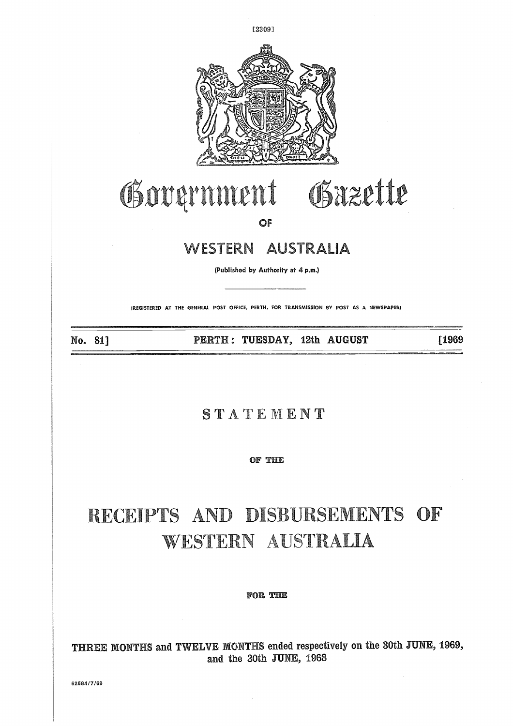

### Government Gazette

**OF**

#### WESTERN AUSTRALIA

(Published by Authority at 4 p.m.)

(REGISTERED AT THE GENERAL POST OFFICE, PERTH, FOR TRANSMISSION BY POST AS A NEWSPAPERI

No. 81]

**PERTH: TUESDAY, 12th AUGUST 1969** 

#### **STATEMENT**

**OF THE**

#### RECEIPTS AND DISBURSEMENTS OF **WESTERN AUSTRALIA**

#### FOR THE

THREE MONTHS and TWELVE MONTHS ended respectively on the 30th JUNE, 1969, and the 30th **JUNE, 1968**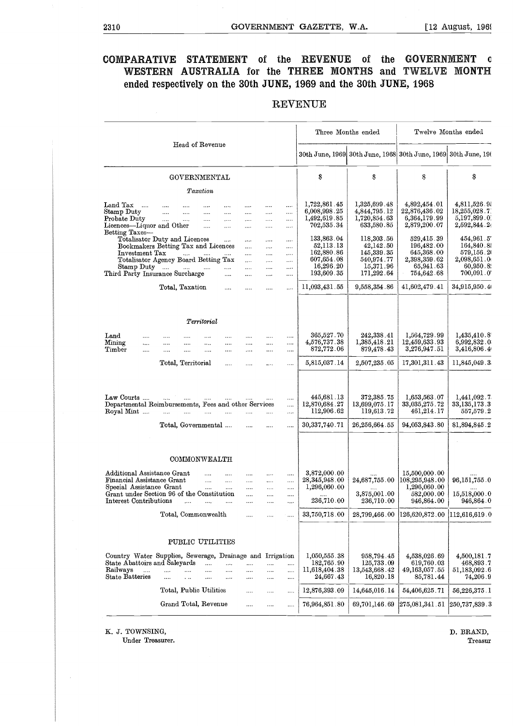## 2310 GOVERNMENT GAZETTE, W.A. t12 August, 1961 **COMPARATIVE STATEMENT** of the REVENUE of the GOVERNMENT **c WESTERN AUSTRALIA for the THREE MONTHS and TWELVE MONTH ended respectively on the 30th JUNE, 1969 and the 30th JUNE, 1968**

| 2310                                                                                                            |                                                                                                                                                                                                                                                                          |                                                              |                                                                                               | GOVERNMENT GAZETTE, W.A.                                                       |                                                                                |                                                                                   | $[12 \text{ August}, 1969]$                                                                |
|-----------------------------------------------------------------------------------------------------------------|--------------------------------------------------------------------------------------------------------------------------------------------------------------------------------------------------------------------------------------------------------------------------|--------------------------------------------------------------|-----------------------------------------------------------------------------------------------|--------------------------------------------------------------------------------|--------------------------------------------------------------------------------|-----------------------------------------------------------------------------------|--------------------------------------------------------------------------------------------|
| <b>COMPARATIVE</b><br><b>WESTERN</b>                                                                            | <b>STATEMENT</b><br>AUSTRALIA for the<br>ended respectively on the 30th JUNE, 1969 and the 30th JUNE, 1968                                                                                                                                                               | 0Î                                                           | the                                                                                           | <b>REVENUE</b><br><b>THREE</b>                                                 | 0Î<br>the<br><b>MONTHS</b><br>and                                              | <b>GOVERNMENT</b><br>TWELVE                                                       | O<br><b>MONTH</b>                                                                          |
|                                                                                                                 |                                                                                                                                                                                                                                                                          |                                                              |                                                                                               | <b>REVENUE</b>                                                                 |                                                                                |                                                                                   |                                                                                            |
|                                                                                                                 |                                                                                                                                                                                                                                                                          |                                                              |                                                                                               |                                                                                | Three Months ended                                                             |                                                                                   | Twelve Months ended                                                                        |
|                                                                                                                 | Head of Revenue                                                                                                                                                                                                                                                          |                                                              |                                                                                               |                                                                                |                                                                                | 30th June, 1969 30th June, 1968 30th June, 1969 30th June, 196                    |                                                                                            |
|                                                                                                                 | GOVERNMENTAL<br>Taxation                                                                                                                                                                                                                                                 |                                                              |                                                                                               | \$                                                                             | Ŝ                                                                              | $\mathbf{s}$                                                                      | S                                                                                          |
| $Land Tax$<br>Stamp Duty<br>Probate Duty<br>Licences-Liquor and Other<br>Betting Taxes-                         | $\cdots$<br>$\cdots$<br>$\cdots$<br>$\cdots$<br>$\ldots$<br>$\cdots$<br>$\cdots$<br>$\cdots$<br>$\sim 10^{-10}$<br>$\cdots$<br>$\cdots$<br>$\cdots$<br>$\sim$<br>$\cdots$                                                                                                | $\cdots$<br>$\cdots$<br>$\cdots$<br>$\cdots$                 | <br><br><br>$\cdots$<br>$\cdots$<br><br>$\cdots$<br>                                          | 1,722,861.45<br>6,008,998.25<br>1,492,619.85<br>702,535.34                     | 1,325,699.48<br>4,844,795.12<br>1,720,854.63<br>633,580.85                     | 4,892,454.01<br>22,876,436.02<br>6,364,179.99<br>2,879,200.07                     | 4,811,526.9<br>18,255,028.7<br>5,197,899.0<br>2,592,844.2                                  |
| Investment Tax<br>Stamp Duty                                                                                    | $\ldots$<br>Totalisator Duty and Licences<br>Bookmakers Betting Tax and Licences<br>$\cdots$<br>$\sim 100$<br>Totalisator Agency Board Betting Tax<br>$\mathbf{m}$ and $\mathbf{m}$ and $\mathbf{m}$<br>$\sim 10^{-10}$<br>Third Party Insurance Surcharge<br>$\dddotsc$ | <br>$\cdots$<br>$\cdots$<br>$\cdots$<br>$\ldots$<br>$\cdots$ | $\cdots$<br><br>$\cdots$<br><br>$\cdots$<br>.<br>$\cdots$<br><br>$\cdots$<br><br>$\cdots$<br> | 133,863.04<br>52,113.13<br>162,880.86<br>607,654.08<br>16,296.20<br>193,609.35 | 118,303.56<br>42,142.50<br>145,339.35<br>540,974.77<br>15,371.96<br>171,292.64 | 529,415.39<br>196,482.00<br>645,368.00<br>2,398,359.62<br>65,941.63<br>754,642.68 | 454,961.5<br>164,840.8<br>579,156.20<br>2,098,651.0<br>60,950.82<br>$700,091$ . $0^\prime$ |
|                                                                                                                 | Total, Taxation<br>$\cdots$                                                                                                                                                                                                                                              | $\cdots$                                                     | <br>                                                                                          | 11,093,431.55                                                                  | 9,558,354.86                                                                   | 41,602,479.41                                                                     | 34,915,950.4                                                                               |
|                                                                                                                 | Territorial                                                                                                                                                                                                                                                              |                                                              |                                                                                               |                                                                                |                                                                                |                                                                                   |                                                                                            |
| $\rm Land$<br><br>Mining<br>$\cdots$<br>Timber<br>                                                              | $\cdots$<br>$\cdots$<br>$\cdots$<br>$\cdots$<br>$\cdots$<br>$\cdots$<br>$\cdots$<br><br>$\cdots$<br>$\cdots$<br>$\cdots$<br>$\cdots$                                                                                                                                     | $\cdots$<br>$\cdots$<br>.                                    | $\cdots$<br>$\cdots$<br><br><br><br>                                                          | 365,527.70<br>4,576,737.38<br>872,772.06                                       | 242,338.41<br>1,385,418.21<br>879,478.43                                       | 1,564,729.99<br>12,459,633.93<br>3,276,947.51                                     | 1,435,410.8<br>$6,\!992,\!832$ . $0$<br>3,416,806.4                                        |
|                                                                                                                 | Total, Territorial<br>$\cdots$                                                                                                                                                                                                                                           | $\cdots$                                                     | $\cdots$<br>$\cdots$                                                                          | 5,815,037.14                                                                   | 2,507,235.05                                                                   | 17,301,311.43                                                                     | 11,845,049.3                                                                               |
| Roval Mint                                                                                                      | Law Courts<br>Departmental Reimbursements, Fees and other Services<br>$\ldots$<br>$\cdots$<br>$\cdots$<br>                                                                                                                                                               |                                                              | $\cdots$<br><br>                                                                              | 445,681.13<br>12,870,684.27<br>112,906.62                                      | 372,385.75<br>13,699,075.17<br>119,613.72                                      | 1,653,563.07<br>33,035,275.72<br>461,214.17                                       | 1,441,092.7<br>33,135,173.3<br>557,579.2                                                   |
|                                                                                                                 | Total, Governmental                                                                                                                                                                                                                                                      |                                                              | $\cdots$<br>                                                                                  | 30, 337, 740. 71                                                               | 26,256,664.55                                                                  | 94,053,843.80                                                                     | 81.894.845.2                                                                               |
|                                                                                                                 | COMMONWEALTH                                                                                                                                                                                                                                                             |                                                              |                                                                                               |                                                                                |                                                                                |                                                                                   |                                                                                            |
| Additional Assistance Grant<br>Financial Assistance Grant<br>Special Assistance Grant<br>Interest Contributions | <br><br>$\cdots$<br>$\cdots$<br>$\cdots$<br>$\cdots$<br>Grant under Section 96 of the Constitution<br><br>$\mathbf{1}$<br>$\cdots$                                                                                                                                       | <br><br><br><br>                                             | <br><br><br><br><br><br><br><br><br>.                                                         | 3,872,000.00<br>28, 345, 948.00<br>1,296,060.00<br>236,710.00                  | 24,687,755.00<br>3,875,001.00<br>236,710.00                                    | 15,500,000.00<br>108,295,948.00<br>1,296,060.00<br>582,000.00<br>946,864.00       | 96, 151, 755.0<br>15,518,000.0<br>946,864.0                                                |
|                                                                                                                 | Total, Commonwealth                                                                                                                                                                                                                                                      | $\cdots$                                                     | <br>$\cdots$                                                                                  | 33,750,718.00                                                                  | $28{,}799{,}466$ . $00$                                                        | 126,620,872.00                                                                    | 112,616,619.0                                                                              |
|                                                                                                                 | PUBLIC UTILITIES                                                                                                                                                                                                                                                         |                                                              |                                                                                               |                                                                                |                                                                                |                                                                                   |                                                                                            |
| State Abattoirs and Saleyards<br>Railways<br>$\cdots$<br>State Batteries                                        | Country Water Supplies, Sewerage, Drainage and Irrigation<br>$\cdots$<br><br><br>$\cdots$<br>$\cdots$<br>$\cdots$<br>$\cdots$<br>$\cdots$<br>$\cdots$<br>$\cdots$                                                                                                        | <br><br>$\cdots$                                             | $\cdots$<br><br><br>$\cdots$<br><br>                                                          | 1,050,555.38<br>182,765.90<br>11,618,404.38<br>24,667.43                       | 958,794.45<br>125,733.09<br>13,543,668.42<br>16,820.18                         | 4,538,026.69<br>619,760.03<br>49,163,057.55<br>85,781.44                          | 4,500,181.7<br>468,893.7<br>51,183,092.6<br>74,206.9                                       |
|                                                                                                                 | Total, Public Utilities                                                                                                                                                                                                                                                  |                                                              | <br>                                                                                          | 12,876,393.09                                                                  | 14,645,016.14                                                                  | 54,406,625.71                                                                     | 56,226,375.1                                                                               |
|                                                                                                                 | Grand Total, Revenue                                                                                                                                                                                                                                                     |                                                              | <br>                                                                                          | 76,964,851.80                                                                  | 69,701,146.69                                                                  | 275,081,341.51                                                                    | $\vert 250,\allowbreak 737,\allowbreak 839$ . $3$                                          |

#### REVENUE

K. J. TOWNSING,

Under Treasurer.

D. BRAND, Treasur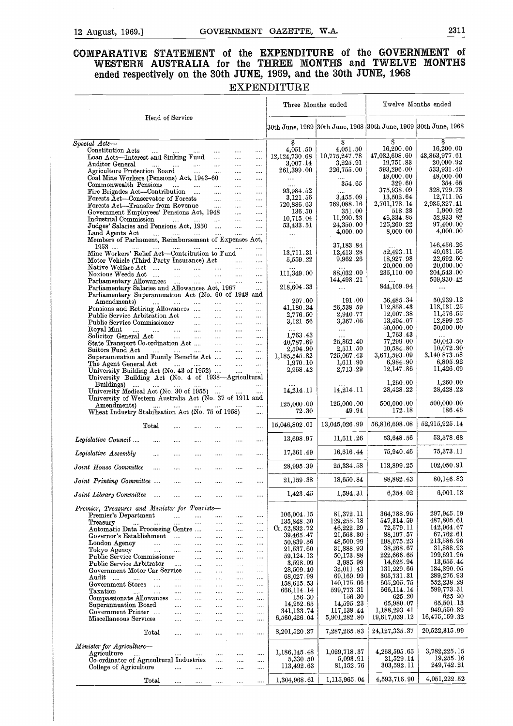# 12 August, 1969.] GOVERNMENT GAZETTE, W.A. 2311<br> **COMPARATIVE STATEMENT** of the EXPENDITURE of the GOVERNMENT of<br>
WESTERN AUSTRALIA for the THREE MONTHS and TWELVE MONTHS **WESTERN AUSTRALIA for the THREE MONTHS and TWELVE MONTHS**

| COMPARATIVE STATEMENT<br>WESTERN AUSTRALIA for the THREE MONTHS and TWELVE MONTHS<br>ended respectively on the 30th JUNE, 1969, and the 30th JUNE, 1968                                          |                               |                                     |                      |                           |                                   |                                |                            | of the EXPENDITURE of the GOVERNMENT                                                               | - 01                               |
|--------------------------------------------------------------------------------------------------------------------------------------------------------------------------------------------------|-------------------------------|-------------------------------------|----------------------|---------------------------|-----------------------------------|--------------------------------|----------------------------|----------------------------------------------------------------------------------------------------|------------------------------------|
|                                                                                                                                                                                                  |                               |                                     |                      |                           |                                   | <b>EXPENDITURE</b>             |                            |                                                                                                    |                                    |
|                                                                                                                                                                                                  |                               |                                     |                      |                           |                                   | Three Months ended             |                            |                                                                                                    | Twelve Months ended                |
| Head of Service                                                                                                                                                                                  |                               |                                     |                      |                           |                                   |                                |                            | $30{\rm th}$ June, 1969 $ 30{\rm th}$ June, 1968 $ 30{\rm th}$ June, 1969 $ 30{\rm th}$ June, 1968 |                                    |
| $Special$ $\overline{Acts-}$<br>Constitution Acts                                                                                                                                                |                               |                                     |                      |                           |                                   | $\boldsymbol{s}$<br>4.051.50   | S<br>4.051.50              | s<br>16,200.00                                                                                     | ŝ<br>16,200.00                     |
| التقطيع والمتقرب والتقطيع والمتقرب<br>Loan Acts-Interest and Sinking Fund                                                                                                                        |                               |                                     |                      | $\ldots$ .<br>$\cdots$    | $\cdots$<br>$\cdots$              | 12, 124, 730.68                | 10,775,247.78              | 47,082,608.60                                                                                      | 43,863,977.61                      |
| Auditor General<br>المتداري متداري التبدي المتداري<br>Agriculture Protection Board                                                                                                               |                               |                                     |                      | $\cdots$<br>$\cdots$      | $\ldots$<br>$\cdots$              | 3,007.14<br>$261,\!399$ . $00$ | 3,225.91<br>226,755.00     | 19,751.83<br>593,296.00                                                                            | 20,090.92<br>533,931.40            |
| Coal Mine Workers (Pensions) Act, 1943-60                                                                                                                                                        |                               |                                     |                      | $\cdots$                  | $\cdots$                          | $\Delta\sim 10^{-10}$          | 354.65                     | 48,000.00<br>329.60                                                                                | 48,000.00<br>354.65                |
| Commonwealth Pensions<br>Fire Brigades Act-Contribution                                                                                                                                          |                               |                                     | $\sim$               | $\sim$ $\sim$<br>$\cdots$ | $\ldots$<br>$\cdots$              | 93,984.52                      |                            | 375,938.09                                                                                         | 328,799.78                         |
| Forests Act-Conservator of Forests                                                                                                                                                               |                               |                                     |                      | $\cdots$                  | $\cdots$                          | 3,121.56                       | 3,455.09<br>769,088.16     | 13,502.64<br>2,761,178.14                                                                          | 12,711.95                          |
| Forests Act-Transfer from Revenue<br>Government Employees' Pensions Act, 1948                                                                                                                    |                               |                                     | <b>College State</b> | $\cdots$<br>$\sim$        | $\cdots$<br>$\sim$                | 720,886 63<br>136.50           | 351.00                     | 518 38                                                                                             | 2,935,327.41<br>1,900.92           |
| Industrial Commission                                                                                                                                                                            |                               |                                     |                      |                           | $\cdots$                          | 10,715 04                      | 11,990.33                  | 46,334.85                                                                                          | 52,933.82                          |
| Industrial Commission      Judges' Salaries and Pensions Act, 1950                                                                                                                               |                               |                                     |                      |                           |                                   | 53,433 51                      | 24,350.00<br>4,000.00      | 125,260 22<br>8,000.00                                                                             | 97,400.00<br>4,000.00              |
| Land Agents Act<br>المسامي السنام البسامي للسام<br>Members of Parliament, Reimbursement of Expenses Act,                                                                                         |                               |                                     |                      |                           | $\sim$                            | $\sim$                         |                            |                                                                                                    |                                    |
| 1953 …. …… …… …… …… ……<br>Mine Workers' Relief Act-Contribution to Fund                                                                                                                          |                               |                                     |                      |                           | $\sim 10^{-1}$                    | 13,711.21                      | 37,183.84<br>12,413.28     | 52,493.11                                                                                          | 146,456.26<br>49,031.56            |
| Motor Vehicle (Third Party Insurance) Act                                                                                                                                                        |                               |                                     |                      |                           | $\mathcal{L}_{\mathbf{z}}$ .      | 5,559.22                       | 9,962 26                   | 18,927.98                                                                                          | 22,692.60                          |
| Native Welfare Act                                                                                                                                                                               |                               |                                     |                      |                           | $\mathbf{1}$                      | 111,349.00                     | 88,032.00                  | 20,000.00<br>235,110.00                                                                            | 20,000.00<br>204,543.00            |
|                                                                                                                                                                                                  |                               |                                     |                      |                           | $\sim 10^{-1}$<br>$\sim$ . $\sim$ |                                | 144,498 21                 |                                                                                                    | 569,930.42                         |
| Parliamentary Salaries and Allowances Act, 1967                                                                                                                                                  |                               |                                     |                      |                           | $\cdots$                          | 218,604.33                     | $\cdots$                   | 844,169.94                                                                                         | $\cdots$                           |
| Parliamentary Superannuation Act (No. 60 of 1948 and<br>Amendments)                                                                                                                              |                               |                                     |                      |                           |                                   | 207.00                         | 191.00                     | 56,485.34                                                                                          | 50,939.12                          |
| المتناد المتناد المتناد المتناد المتنادر<br>Pensions and Retiring Allowances                                                                                                                     |                               |                                     |                      |                           | $\cdots$<br>$\cdots$              | 41,180.34                      | 26,538.59                  | 112,858.43                                                                                         | 113,131 25                         |
| Public Service Arbitration Act                                                                                                                                                                   |                               |                                     |                      |                           | $\ldots$                          | 2,776.50                       | 2,940.77<br>3,367.05       | 12,007.38<br>13,494.07                                                                             | 11,576 55<br>12,899 25             |
| Public Service Commissioner<br>Royal Mint                                                                                                                                                        |                               |                                     |                      |                           | $\cdots$<br>$\cdots$              | 3,121.56                       | $\cdots$                   | 50,000.00                                                                                          | 50,000.00                          |
| Solicitor General Act                                                                                                                                                                            |                               |                                     |                      |                           | $\cdots$                          | 1,763 43                       |                            | 1,763.43                                                                                           |                                    |
|                                                                                                                                                                                                  |                               |                                     |                      |                           | $\cdots$                          | 40,787.69                      | 25,862.40                  | 77,299.00<br>10,584.80                                                                             | 50,043.50<br>10,072.90             |
| Suitors Fund Act<br>Superannuation and Family Benefits Act                                                                                                                                       |                               |                                     |                      |                           | $\cdots$<br>$\cdots$              | 2,504.90<br>1,185,545.82       | 2,511.50<br>725,067.43     | 3,671,593.09                                                                                       | 3,140 873 58                       |
| The Agent General Act                                                                                                                                                                            |                               | التبيدات التبيدات التبيدات التبيدات |                      |                           | $\cdots$                          | 1,970.10                       | 1,611.90                   | 6,984.90                                                                                           | 6,805.92                           |
| $\begin{tabular}{ll} \hline University Building Act (No. 43 of 1952) \dots & \dots & \dots \\ University Building Act (No. 4 of 1938—Agricultural \\ \hline \end{tabular}$<br><b>Buildings</b> ) |                               |                                     |                      | <b>Contract Contract</b>  | $\cdots$                          | 2,968.42<br>14,214.11          | 2,713.29<br>14,214.11      | 12,147.86<br>1,260.00<br>28,428.22                                                                 | 11,426 09<br>1,260.00<br>28,428 22 |
| University Medical Act (No. 30 of 1955)<br>University of Western Australia Act (No. 37 of 1911 and<br>Amendments)<br>and and the state of the                                                    |                               | and the manufacturers               |                      |                           | $\mathbf{r}$<br>$\cdots$          | 125,000 00                     | 125,000.00<br>49.94        | 500,000.00<br>172.18                                                                               | 500,000.00<br>186.46               |
| Wheat Industry Stabilisation Act (No. 75 of 1958)                                                                                                                                                |                               |                                     |                      |                           | $\ldots$                          | 72 30                          |                            |                                                                                                    |                                    |
| $_{\rm Total}$                                                                                                                                                                                   | $\cdots$<br><b>Contractor</b> |                                     | $\ldots$ .           | $\ldots$ .                | $\cdots$                          | 15,046,802.01                  | 13,045,026.99              | 56,816,698.08<br>53,648.56                                                                         | 52,915,925.14<br>53,578.68         |
| Legislative Council<br>                                                                                                                                                                          |                               |                                     |                      | .                         |                                   | 13,698.97                      | 11,611.26                  |                                                                                                    | 75,373.11                          |
| Legislative Assembly<br>                                                                                                                                                                         |                               | .                                   | $\cdots$             |                           |                                   | 17,361.49                      | 16,616.44                  | 75,940.46<br>113,899.25                                                                            | 102,050.91                         |
| Joint House Committee<br>                                                                                                                                                                        | $\sim$                        | $\sim$                              | $\cdots$             |                           | $\cdots$                          | 28,995.39                      | 25,334.58                  |                                                                                                    | 80,146.83                          |
| Joint Printing Committee                                                                                                                                                                         |                               | $\cdots$                            | $\cdots$             |                           |                                   | 21,159.38                      | 18,650.84<br>1,594.31      | 88,882.43<br>6,354.02                                                                              | 6,001.13                           |
| Joint Library Committee<br>$\cdots$                                                                                                                                                              |                               | $\cdots$                            |                      |                           |                                   | 1,423.45                       |                            |                                                                                                    |                                    |
| Premier, Treasurer and Minister for Tourists-<br>Premier's Department                                                                                                                            |                               |                                     |                      |                           |                                   | 106,004 15                     | 81,372.11                  | 364,788.95                                                                                         | 297,945.19                         |
| Treasury<br><b>Contractor</b><br>$\sim 100$                                                                                                                                                      | .<br>$\cdots$                 | <br>$\ldots$                        | <br>$\cdots$         | <br>$\cdots$              | $\cdots$<br>                      | 135,848.30                     | 129,255.18                 | 547,314 59                                                                                         | 487,805.61                         |
| Automatic Data Processing Centre                                                                                                                                                                 |                               |                                     |                      | $\cdots$                  | $\cdots$                          | Cr. 52,832.72                  | 46,222.29                  | 72,579 11                                                                                          | 142,964.67<br>67,762.61            |
| Governor's Establishment<br>$\cdots$                                                                                                                                                             | $\bar{z}$                     |                                     |                      |                           | $\cdots$                          | 39,465.47<br>50,839.56         | 21,563 30<br>48,500.99     | 88,197 57<br>198,675 23                                                                            | 213,586.96                         |
| London Agency<br>Tokyo Agency<br>$\cdots$                                                                                                                                                        | $\cdots$<br>                  | $\cdots$<br>$\cdots$                | $\cdots$<br>$\cdots$ | $\cdots$<br>$\cdots$      | <br>                              | 21,537.60                      | 31,888.93                  | 38,268.67                                                                                          | 31,888.93                          |
| Public Service Commissioner                                                                                                                                                                      |                               | $\cdots$                            | $\cdots$             | $\cdots$                  | $\cdots$                          | 59, 124. 13                    | 50,173.88                  | 222,666.65                                                                                         | 199,691.96<br>13,655.44            |
| Public Service Arbitrator<br>Government Motor Car Service                                                                                                                                        | $\cdots$                      | $\cdots$<br>$\ldots$                | $\cdots$             | $\cdots$                  | $\cdots$<br>$\cdots$              | 3,598.09<br>28,509.40          | 3,985.99<br>32,011.43      | 14,625.94<br>131,229.66                                                                            | 134,890.05                         |
| Audit …<br>$\cdots$<br>$\cdots$                                                                                                                                                                  |                               | $\ldots$                            | $\cdots$<br>$\cdots$ | $\cdots$<br>$\cdots$      | $\ldots$                          | 68,027.99                      | 69,169.99                  | 305,731.31                                                                                         | 289,276.93                         |
| Government Stores                                                                                                                                                                                |                               | $\cdots$                            | $\ldots$             | $\cdots$                  | $\cdots$                          | 158,615.53<br>666,114.14       | 140,175.66<br>599,773.31   | 605,205.75<br>666,114.14                                                                           | 552,238.29<br>599,773.31           |
| Taxation<br>$\mathcal{L}_{\text{max}}$ .<br>$\sim 100$<br>Compassionate Allowances                                                                                                               | $\cdots$<br>$\sim$            | $\cdots$<br>$\cdots$                | $\cdots$<br>$\cdots$ | $\cdots$<br>$\ldots$      | $\sim$<br>$\cdots$                | 156.30                         | 156.30                     | 625.20                                                                                             | 625.20                             |
| Superannuation Board                                                                                                                                                                             | $\cdots$                      | $\cdots$                            | $\cdots$             | $\cdots$                  | $\cdots$                          | 14,952.65                      | 14,595.23                  | 65,980.07                                                                                          | 65,501.13                          |
| Government Printer<br>Miscellaneous Services                                                                                                                                                     | $\cdots$                      | $\ldots$                            |                      | $\cdots$                  |                                   | 341,133.74<br>6,560,426.04     | 117,138.44<br>5,901,282.80 | 1,188,293.41<br>19,617,039 12                                                                      | 949,550.39<br>16,475,159.32        |
|                                                                                                                                                                                                  | $\cdots$                      |                                     |                      |                           |                                   |                                |                            |                                                                                                    |                                    |
| $_{\rm Total}$                                                                                                                                                                                   | $\cdots$                      |                                     |                      | $\cdots$                  | $\sim$                            | 8,201,520 37                   | 7,287,265.83               | 24,127,335 37                                                                                      | 20,522,315.99                      |
| Minister for Agriculture-                                                                                                                                                                        |                               |                                     |                      |                           |                                   | 1,186,145 48                   | 1,029,718.37               | 4,268,595.65                                                                                       | 3,782,225.15                       |
| Agriculture<br>$\cdots$<br>Co-ordinator of Agricultural Industries                                                                                                                               |                               | $\cdots$                            | .<br>                | $\cdots$<br>              | $\cdots$<br>$\cdots$              | 5,330.50                       | 5,093.91                   | 21,529.14                                                                                          | 19,255.16                          |
| College of Agriculture                                                                                                                                                                           |                               |                                     |                      |                           | $\cdots$                          | 113,492.63                     | 81,152.76                  | 303,592 11                                                                                         | 249,742.21                         |
| Total                                                                                                                                                                                            | $\cdots$                      |                                     |                      | $\ldots$                  | $\cdots$                          | 1,304,968.61                   | 1,115,965.04               | 4,593,716.90                                                                                       | 4,051,222.52                       |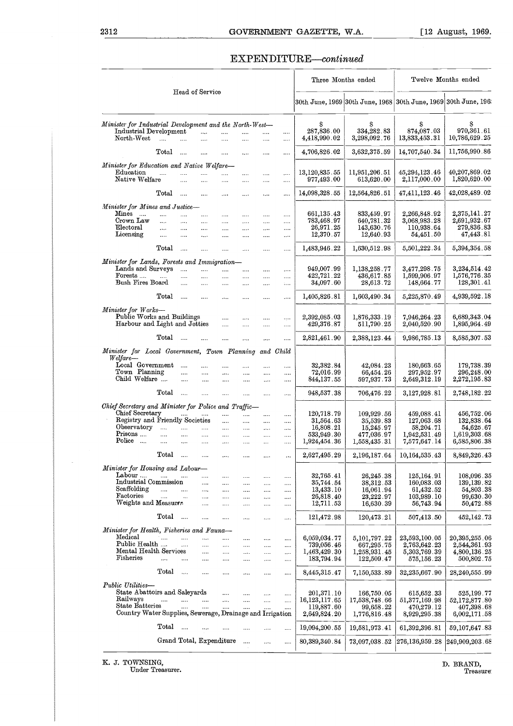# COVERNMENT GAZETTE, W.A. [12 August, 1969.]<br>EXPENDITURE—continued

| 2312                                                                                             |                                 |                                    |                                  |                                             |                                |                                                   |                      | GOVERNMENT GAZETTE, W.A.                  |                                          |                                                                | $[12 \text{ August}, 1969.$                |
|--------------------------------------------------------------------------------------------------|---------------------------------|------------------------------------|----------------------------------|---------------------------------------------|--------------------------------|---------------------------------------------------|----------------------|-------------------------------------------|------------------------------------------|----------------------------------------------------------------|--------------------------------------------|
|                                                                                                  |                                 |                                    |                                  |                                             |                                |                                                   |                      | EXPENDITURE-continued                     |                                          |                                                                |                                            |
|                                                                                                  |                                 |                                    |                                  |                                             |                                |                                                   |                      | Three Months ended                        |                                          |                                                                | Twelve Months ended                        |
|                                                                                                  |                                 |                                    | Head of Service                  |                                             |                                |                                                   |                      |                                           |                                          | 30th June, 1969 30th June, 1968 30th June, 1969 30th June, 196 |                                            |
| Minister for Industrial Development and the North-West-<br>Industrial Development<br>North-West  | $\sim$                          | $\sim$ $\sim$                      | $\ldots$<br>                     | $\cdots$<br>$\ddotsc$                       | <br>$\ddotsc$                  | .<br>                                             | <br>                 | s<br>287,836.00<br>4,418,990.02           | S<br>334,282.83<br>3,298,092.76          | S<br>874,087.03<br>13,833,453.31                               | s<br>970,361.61<br>10,786,629.25           |
|                                                                                                  | $\rm Total$                     | $\cdots$                           | $\cdots$                         | $\cdots$                                    | $\cdots$                       | $\cdots$                                          | $\cdots$             | 4,706,826.02                              | 3,632,375.59                             | 14,707,540.34                                                  | 11,756,990.86                              |
| Minister for Education and Native Welfare-                                                       |                                 |                                    |                                  |                                             |                                |                                                   |                      |                                           |                                          |                                                                |                                            |
| Education<br>Native Welfare                                                                      | $\sim 10^{-1}$                  | $\cdots$<br>$\cdots$               | $\cdots$<br>$\cdots$             | <br>$\cdots$                                | $\cdots$<br>$\cdots$           | $\cdots$<br>$\cdots$                              | $\cdots$<br>$\cdots$ | 13,120,835.55<br>977,493.00               | 11,951,206.51<br>613,620.00              | 45,294,123.46<br>2,117,000.00                                  | 40,207,869.02<br>1,820,620.00              |
|                                                                                                  | $\operatorname{Total}$          |                                    | $\cdots$                         | $\cdots$                                    |                                |                                                   |                      | 14,098,328.55                             | 12,564,826.51                            | 47,411,123.46                                                  | 42,028,489.02                              |
| Minister for Mines and Justice-<br>Mines                                                         | $\cdots$                        | aan in                             |                                  | $\cdots$                                    | $\cdots$                       |                                                   |                      | 661,135.43                                | 833,459.97                               | 2,266,848.92                                                   | 2,375,141.27                               |
| Crown Law<br>Electoral                                                                           | $\cdots$<br>$\cdots$            | $\cdots$<br>                       | $\cdots$<br>$\cdots$             | $\cdots$<br>$\cdots$                        | $\ldots$<br>$\dots$ .          | $\ldots$<br>$\cdots$                              | $\cdots$<br>         | 783,468.97<br>26,971.25                   | 640,781.32<br>143,630.76                 | 3,068,983.28<br>110,938.64                                     | 2,691,932.67<br>279,836.83                 |
| Licensing                                                                                        | $\cdots$                        | $\cdots$                           |                                  | $\cdots$                                    |                                |                                                   |                      | 12,370.57                                 | 12,640.93                                | 54,451.50                                                      | 47,443.81                                  |
|                                                                                                  | Total                           | $\cdots$                           | $\cdots$                         |                                             | $\cdots$                       |                                                   |                      | 1,483,946.22                              | 1,630,512.98                             | $5,501,222$ . $34$                                             | $5,394,354$ . $58$                         |
| Minister for Lands, Forests and Immigration-<br>Lands and Surveys<br>Forests<br>Bush Fires Board | $\cdots$                        | $\cdots$<br>$\cdots$<br>$\cdots$   | $\cdots$<br><br>                 | $\cdots$<br><br>                            | <br><br>$\cdots$               | <br><br>$\cdots$                                  | <br><br>$\ddots$     | 949,007.99<br>422,721.22<br>34,097.60     | 1,138,258.77<br>436,617.85<br>28,613.72  | 3,477,298.75<br>1,599,906.97<br>148,664.77                     | 3,234,514.42<br>1,576,776.35<br>128,301.41 |
|                                                                                                  | Total                           | $\cdots$                           | $\cdots$                         | $\cdots$                                    |                                |                                                   |                      | 1,405,826.81                              | 1,603,490.34                             | 5,225,870.49                                                   | 4,939,592.18                               |
| Minister for Works-<br>Public Works and Buildings<br>Harbour and Light and Jetties               |                                 |                                    |                                  | <br>                                        | <br>                           | <br>$\cdots$                                      | <br>                 | 2,392,085.03<br>429,376.87                | 1,876,333.19<br>511,790.25               | 7,946,264.23<br>$2{,}040{,}520.90$                             | 6,689,343.04<br>1,895,964.49               |
|                                                                                                  | Total                           | and the company                    |                                  | $\cdots$                                    | $\cdots$                       | $\cdots$                                          | $\cdots$             | 2,821,461.90                              | 2,388,123.44                             | 9,986,785.13                                                   | 8,585,307 53                               |
| Minister for Local Government, Town Planning and Child<br>Welfare-<br>Local Government           |                                 |                                    | $\cdots$                         |                                             |                                |                                                   |                      | 32,382.84                                 | 42,084.23                                | 180,663.65                                                     | 179,738.39                                 |
| Town Planning<br>Child Welfare                                                                   |                                 | $\cdots$<br>$\ldots$               | $\ldots$<br>$\cdots$             | <br>$\cdots$<br>$\cdots$                    | <br>$\cdots$<br>$\cdots$       | <br><br>$\cdots$                                  | <br><br>             | 72,016.99<br>844, 137.55                  | 66,454.26<br>597,937.73                  | 297,952.97<br>2,649,312.19                                     | 296,248.00<br>2,272,195.83                 |
|                                                                                                  | $_{\rm Total}$                  | $\sim$ $\sim$ $\sim$               | $\cdots$                         | $\cdots$                                    | $\cdots$                       |                                                   | $\ddotsc$            | 948,537.38                                | 706,476.22                               | 3,127,928.81                                                   | 2,748,182.22                               |
| Chief Secretary and Minister for Police and Traffic-                                             |                                 |                                    |                                  |                                             |                                |                                                   |                      |                                           |                                          |                                                                |                                            |
| Chief Secretary<br>Registry and Friendly Societies                                               |                                 | $\cdots$                           |                                  | $\sim 10^{-1}$<br>$\cdots$                  | $\cdots$<br>$\cdots$           | $\cdots$<br>$\cdots$                              | <br>                 | 120,718.79<br>31,564.63                   | 109.929.56<br>35,539.83                  | 459,088.41<br>127,063.68                                       | 456,752.06<br>132,838.64                   |
| Observatory<br>Prisons                                                                           | $\cdots$<br>$\cdots$            | <b>Contractor</b><br>$\sim$ $\sim$ | $\mathbf{1}$<br>$\cdots$         | $\cdots$<br>$\cdots$                        | $\cdots$<br>$\cdots$           | $\cdots$<br>$\cdots$                              | <br>                 | 16,808.21<br>533,949.30                   | 15,245.97<br>477,036.97                  | 58,204.71<br>1,942,531.49                                      | 54,625.67<br>1,619,303.68                  |
| Police                                                                                           | $\cdots$<br>Total               | $\cdots$                           | $\dots$                          | $\ldots$ .                                  | $\cdots$                       | $\cdots$                                          |                      | 1,924,454.36                              | 1,558,435.31                             | 7,577,647.14                                                   | 6,585,806.38                               |
| Minister for Housing and Labour-                                                                 |                                 |                                    | $\cdots$                         | $\cdots$                                    | $\cdots$                       | $\cdots$                                          | $\ddots$             | 2,627,495.29                              | 2,196,187.64                             | 10, 164, 535.43                                                | 8,849,326.43                               |
| Labour<br>Industrial Commission                                                                  | $\cdots$                        |                                    | <br>$\cdots$                     | $\cdots$<br>$\cdots$                        | $\cdots$<br>$\sim 100$         | $\cdots$<br>$\cdots$                              | $\cdots$<br>         | 32,765.41<br>35,744.54                    | 26,245.38<br>38,312.53                   | 125,164.91<br>160,083.03                                       | 108,096.35<br>139, 139. 82                 |
| Scaffolding<br>Factories                                                                         | $\ldots$ . $\ldots$<br>$\cdots$ | $\ldots$                           | $\sim$ $\sim$ $\sim$<br>$\cdots$ | $\ldots$ .<br>$\sim$ 100 $\mu$              | $\cdots$<br>$\sim$             | $\cdots$<br>$\mathcal{L}_{\mathbf{z}}$ .          | $\cdots$<br>$\cdots$ | 13,433.10<br>26,818.40                    | 16,061.94<br>23,222.97                   | 61,432.52<br>103,989.10                                        | 54,803.38<br>99,630:30                     |
| Weights and Measuren                                                                             |                                 |                                    | $\cdots$                         | $\cdots$                                    | $\sim 100$                     | $\cdots$                                          |                      | 12,711.53                                 | 16,630.39                                | 56,743.94                                                      | 50,472.88                                  |
|                                                                                                  | $_{\rm Total}$                  | $\sim$                             | $\cdots$                         | $\cdots$                                    | $\ldots$                       | $\mathcal{L}_{\bullet}$ . $\mathcal{L}_{\bullet}$ | $\cdots$             | 121,472.98                                | 120,473.21                               | 507,413.50                                                     | 452,142.73                                 |
| Minister for Health, Fisheries and Fauna-<br>Medical                                             | .<br>                           | $\cdots$                           |                                  |                                             | $\cdots$                       | $\cdots$                                          |                      | 6,059,034.77                              | 5,101,797.22                             | 23,593,100.05                                                  | 20,395,255.06                              |
| Public Health<br>Mental Health Services                                                          |                                 | $\cdots$                           | $\cdots$<br>$\sim$ $\sim$        | $\mathcal{L}_{\text{max}}$<br>$\sim$ $\sim$ | $\ldots$<br>$\cdots$           | $\cdots$<br>$\cdots$                              | <br>$\cdots$         | 739,056.46<br>1,463,429.30                | 667,295.75<br>1,258,931.45               | 2,763,642.23<br>5,303,769.39                                   | 2,544,361.93<br>4,800,136.25               |
| Fisheries                                                                                        | $\cdots$                        | $\cdots$                           | $\sim$ 1000 $\mu$                | $\sim$ 1000 $\mu$                           | $\cdots$                       | $\cdots$                                          |                      | 183,794.94                                | 122,509.47                               | 575,156.23                                                     | 500,802.75                                 |
|                                                                                                  | Total                           | $\sim$                             | $\cdots$                         | $\sim$ $\sim$                               | $\cdots$                       |                                                   |                      | 8,445,315.47                              | 7,150,533.89                             | 32,235,667.90                                                  | 28,240,555.99                              |
| Public Utilities-<br>State Abattoirs and Saleyards<br>Railways<br>State Batteries                | $\cdots$                        | and the same<br>$\cdots$           | $\cdots$                         | $\cdots$<br>$\cdots$<br>$\cdots$            | $\sim$<br>$\cdots$<br>$\cdots$ | $\ldots$<br>$\cdots$<br>$\cdots$                  | <br>$\cdots$<br>     | 201,371.10<br>16,123,117.65<br>119,887.60 | 166,750.05<br>17,538,748.66<br>99,658.22 | 615,652.33<br>51,377,169.98<br>470,279.12                      | 525,199.77<br>52,172,877.80<br>407,398.68  |
| Country Water Supplies, Sewerage, Drainage and Irrigation                                        |                                 |                                    |                                  |                                             |                                |                                                   |                      | 2,649,824.20                              | 1,776,816.48                             | 8,929,295.38                                                   | 6,002,171.58                               |
|                                                                                                  | Total                           | $\ddotsc$                          | $\ddotsc$                        | $\cdots$                                    | $\sim$                         | $\cdots$                                          | $\cdots$             | 19,094,200.55                             | 19,581,973.41                            | 61,392,396.81                                                  | 59,107,647.83                              |
|                                                                                                  |                                 |                                    | Grand Total, Expenditure         |                                             |                                | $\cdots$                                          | $\cdots$             | 80,389,340.84                             | 73,097,038.52                            | 276,136,959.28                                                 | 249,909,203.68                             |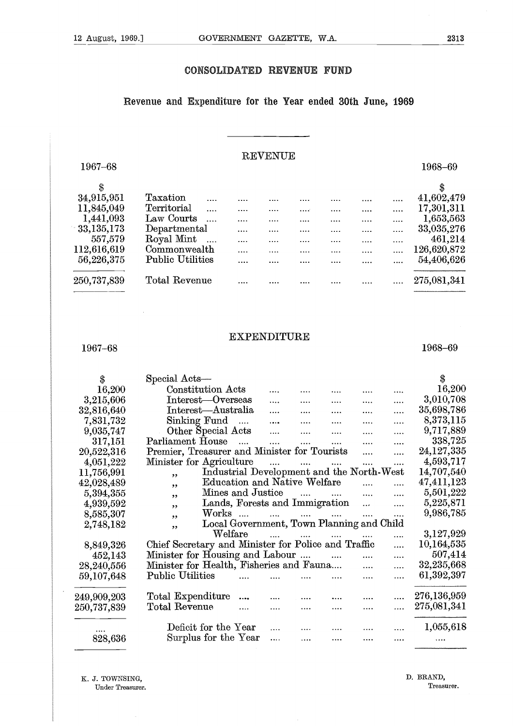#### **CONSOLIDATED REVENUE FUND**

#### Revenue and Expenditure for the Year ended **30th June, 1969**

#### REVENUE

|             | CONSOLIDATED REVENUE                                       |   |                |          | <b>FUND</b> |   |             |
|-------------|------------------------------------------------------------|---|----------------|----------|-------------|---|-------------|
|             | Revenue and Expenditure for the Year ended 30th June, 1969 |   |                |          |             |   |             |
| 1967-68     |                                                            |   | <b>REVENUE</b> |          |             |   | 1968-69     |
| \$          |                                                            |   |                |          |             |   | \$          |
| 34,915,951  | Taxation                                                   |   |                |          |             |   | 41,602,479  |
| 11,845,049  | Territorial<br>$\cdots$                                    |   | .              | $\cdots$ | .           |   | 17,301,311  |
| 1,441,093   | Law Courts<br>$\cdots$                                     |   | .              | .        |             |   | 1,653,563   |
| 33,135,173  | Departmental                                               |   |                | .        | .           |   | 33,035,276  |
| 557,579     | Royal Mint<br>$\ldots$                                     | . | .              | .        |             |   | 461,214     |
| 112,616,619 | Commonwealth                                               | . | .              | .        | .           |   | 126,620,872 |
| 56,226,375  | <b>Public Utilities</b>                                    |   |                |          |             | . | 54,406,626  |
| 250,737,839 | <b>Total Revenue</b>                                       |   |                |          |             |   | 275,081,341 |
|             |                                                            |   |                |          |             |   |             |

#### EXPENDITURE

#### 1967-68

EXPENDITURE 1968–69<br>
ial Acts—<br>
Constitution Acts — Same Constitution Acts<br>
Constitution Acts — Same — Same — Same — Same — Same — Same — Same — Same — Same — Same — Same — Same — Same — Same — Same — Same — Same — Same — Minister for Agriculture .... 4,593,717 Parliament House<br>
Minister for Agriculture<br>
Extended Lots<br>
Constitution Acts<br>
Constitution Acts<br>
Constitution Acts<br>
Constitution Acts<br>
Constitution Acts<br>
Constrained Minister for Tourists<br>
Constitution Acts<br>
Constitution C <sup>99</sup>Mines and Justice .... 5,501,222 Special Acts \$ Constitution Acts .... .... .... .... .... 16,200 16,200 Welfare .... 3,127,929 11terest—Overseas .... .... .... .... .... 3,010,708<br>Interest—Australia .... .... .... .... .... 35,698,786 3,215,606 Chief Secretary and Minister for Police and Traffic .... 10,164,535 32,816,640 Interest—Australia .... .... .... .... .... 35,698,786<br>Sinking Fund .... .... .... .... .... .... 8,373,115 nt in<br>11<br>.er<br>.er<br>.,, Sinking Fund .... .... .... .... .... 8,373,115<br>
Other Special Acts .... .... .... .... .... 9,717,889<br>
Parliament House .... ..... ..... .... .... ... 338,725<br>
Premier, Treasurer and Minister for Tourists .... .... 24,127 7,831,732 99 9,035,747 317,151 49 Premier, Treasurer and Minister for Tourists .... .... 24,127,335<br>Minister for Agriculture .... .... .... .... .... 4,593,717 20,522,316 Total Expenditure •••• .... 276,136,959 4,051,222 Total Revenue .... 275,081,341 1001<br>,,,,,,,<br>〔2〕 Industrial Development and the North-West 14,707,540 11,756,991 42,028,489 Education and Native Welfare  $\ldots$   $\ldots$   $47,411,123$ <br>Mines and Justice  $\ldots$   $\ldots$   $\ldots$   $\ldots$   $5,501,222$ 5,394,355 Lands, Forests and Immigration ... .... 5,225,871<br>Works .... .... .... .... .... .... 9,986,785 4,939,592 8,585,307  $\frac{1}{2}$ , Works .... .... .... .... .... Local Government, Town Planning and Child 2,748,182 8,849,326 Minister for Housing and Labour .... .... .... .... 507,414<br>Minister for Health, Fisheries and Fauna.... .... .... 32.235.668 452,143 28,240,556 Minister for Health, Fisheries and Fauna.... 32,235,668 Public Utilities 61,392,397 59,107,648 249,909,203 250,737,839 Deficit for the Year  $\ldots$   $\ldots$   $\ldots$   $\ldots$   $\ldots$   $1,055,618$ Surplus for the Year 828,636

K. J. TOWNSING, Under Treasurer. D. BRAND, Treasurer.

1968-69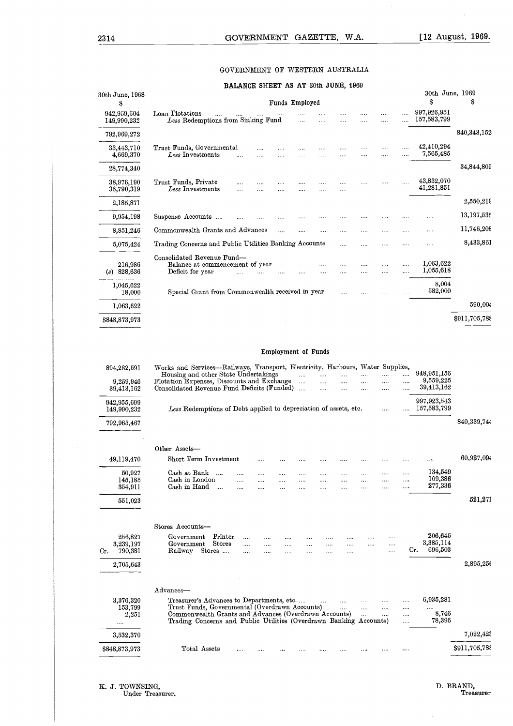#### GOVERNMENT OF WESTERN AUSTRALIA

#### **BALANCE SHEET** AS AT 30th JUNE, 1969

| GOVERNMENT OF WESTERN AUSTRALIA<br>BALANCE SHEET AS AT 30th JUNE, 1969<br>30th June, 1969<br>Ŝ<br>S<br>Funds Employed<br>s<br>997,926,951<br>Loan Flotations<br>942,959,504<br>$\cdots$<br>.<br>$\cdots$<br>1.1.1<br>$\cdots$<br>$\cdots$<br>157,583,799<br>Less Redemptions from Sinking Fund<br>149,990,232<br>$\cdots$<br>$\sim$<br>.<br>792,969,272<br>42,410,294<br>33,443,710<br>Trust Funds, Governmental<br><br><br>$\cdots$<br>$\cdots$<br>$\cdots$<br>7,565,485<br>Less Investments<br>4,669,370<br>$\cdots$<br>$\cdots$<br>$\cdots$<br>28,774,340<br>43,832,070<br>38,976,190<br>Trust Funds, Private<br><br>$\cdots$<br>$\cdots$<br>$\cdots$<br><br><br>41,281,851<br>Less Investments<br>36,790,319<br>$\cdots$<br><br>$\cdots$<br>$\cdots$<br><br>.<br>$\cdots$<br><br>$\cdots$<br>2,185,871<br>9,954,198<br>Suspense Accounts<br>.<br>$\cdots$<br>Commonwealth Grants and Advances<br>8,851,246<br><br><br><br>$\cdots$<br>.<br>$\cdots$<br>$\cdots$<br>Trading Concerns and Public Utilities Banking Accounts<br>5,075,424<br><br>$\cdots$<br><br>$\cdots$<br><br>Consolidated Revenue Fund-<br>1,063,622<br>Balance at commencement of year<br>216,986<br>$\cdots$<br>$\cdots$<br>$\cdots$<br><br><br>1,055,618<br>$(s)$ 828,636<br>Deficit for year<br>$\sim$<br>$\cdots$<br>$\cdots$<br>$\cdots$<br>$\cdots$<br><br><br>8,004<br>1,045,622<br>582,000<br>Special Grant from Commonwealth received in year<br>18,000<br>$\cdots$<br>$\cdots$<br>$\cdots$<br>1,063,622<br>\$848,873,973<br>Employment of Funds<br>Works and Services-Railways, Transport, Electricity, Harbours, Water Supplies,<br>894,282,591<br>948, 951, 156<br>Housing and other State Undertakings<br><br>.<br>$\cdots$<br>$\cdots$<br>$\cdots$<br><br>9,559,225<br>Flotation Expenses, Discounts and Exchange<br>9,259,946<br>$\cdots$<br>$\cdots$<br>$\cdots$<br>$\cdots$<br>$\cdots$<br>39,413,162<br>Consolidated Revenue Fund Deficits (Funded)<br>39,413,162<br>$\cdots$<br>$\cdots$<br><br><br> | [12 August, 1969. |                |  |  |  |  | GOVERNMENT GAZETTE, W.A. | 2314            |
|-----------------------------------------------------------------------------------------------------------------------------------------------------------------------------------------------------------------------------------------------------------------------------------------------------------------------------------------------------------------------------------------------------------------------------------------------------------------------------------------------------------------------------------------------------------------------------------------------------------------------------------------------------------------------------------------------------------------------------------------------------------------------------------------------------------------------------------------------------------------------------------------------------------------------------------------------------------------------------------------------------------------------------------------------------------------------------------------------------------------------------------------------------------------------------------------------------------------------------------------------------------------------------------------------------------------------------------------------------------------------------------------------------------------------------------------------------------------------------------------------------------------------------------------------------------------------------------------------------------------------------------------------------------------------------------------------------------------------------------------------------------------------------------------------------------------------------------------------------------------------------------------------------------------------------------------------------------------------------------------------|-------------------|----------------|--|--|--|--|--------------------------|-----------------|
|                                                                                                                                                                                                                                                                                                                                                                                                                                                                                                                                                                                                                                                                                                                                                                                                                                                                                                                                                                                                                                                                                                                                                                                                                                                                                                                                                                                                                                                                                                                                                                                                                                                                                                                                                                                                                                                                                                                                                                                               |                   |                |  |  |  |  |                          |                 |
|                                                                                                                                                                                                                                                                                                                                                                                                                                                                                                                                                                                                                                                                                                                                                                                                                                                                                                                                                                                                                                                                                                                                                                                                                                                                                                                                                                                                                                                                                                                                                                                                                                                                                                                                                                                                                                                                                                                                                                                               |                   |                |  |  |  |  |                          |                 |
|                                                                                                                                                                                                                                                                                                                                                                                                                                                                                                                                                                                                                                                                                                                                                                                                                                                                                                                                                                                                                                                                                                                                                                                                                                                                                                                                                                                                                                                                                                                                                                                                                                                                                                                                                                                                                                                                                                                                                                                               |                   |                |  |  |  |  |                          | 30th June, 1968 |
|                                                                                                                                                                                                                                                                                                                                                                                                                                                                                                                                                                                                                                                                                                                                                                                                                                                                                                                                                                                                                                                                                                                                                                                                                                                                                                                                                                                                                                                                                                                                                                                                                                                                                                                                                                                                                                                                                                                                                                                               |                   |                |  |  |  |  |                          |                 |
|                                                                                                                                                                                                                                                                                                                                                                                                                                                                                                                                                                                                                                                                                                                                                                                                                                                                                                                                                                                                                                                                                                                                                                                                                                                                                                                                                                                                                                                                                                                                                                                                                                                                                                                                                                                                                                                                                                                                                                                               | 840, 343, 152     |                |  |  |  |  |                          |                 |
|                                                                                                                                                                                                                                                                                                                                                                                                                                                                                                                                                                                                                                                                                                                                                                                                                                                                                                                                                                                                                                                                                                                                                                                                                                                                                                                                                                                                                                                                                                                                                                                                                                                                                                                                                                                                                                                                                                                                                                                               |                   |                |  |  |  |  |                          |                 |
|                                                                                                                                                                                                                                                                                                                                                                                                                                                                                                                                                                                                                                                                                                                                                                                                                                                                                                                                                                                                                                                                                                                                                                                                                                                                                                                                                                                                                                                                                                                                                                                                                                                                                                                                                                                                                                                                                                                                                                                               | 34,844,809        |                |  |  |  |  |                          |                 |
|                                                                                                                                                                                                                                                                                                                                                                                                                                                                                                                                                                                                                                                                                                                                                                                                                                                                                                                                                                                                                                                                                                                                                                                                                                                                                                                                                                                                                                                                                                                                                                                                                                                                                                                                                                                                                                                                                                                                                                                               |                   |                |  |  |  |  |                          |                 |
|                                                                                                                                                                                                                                                                                                                                                                                                                                                                                                                                                                                                                                                                                                                                                                                                                                                                                                                                                                                                                                                                                                                                                                                                                                                                                                                                                                                                                                                                                                                                                                                                                                                                                                                                                                                                                                                                                                                                                                                               | 2,550,219         |                |  |  |  |  |                          |                 |
|                                                                                                                                                                                                                                                                                                                                                                                                                                                                                                                                                                                                                                                                                                                                                                                                                                                                                                                                                                                                                                                                                                                                                                                                                                                                                                                                                                                                                                                                                                                                                                                                                                                                                                                                                                                                                                                                                                                                                                                               | 13,197,535        |                |  |  |  |  |                          |                 |
|                                                                                                                                                                                                                                                                                                                                                                                                                                                                                                                                                                                                                                                                                                                                                                                                                                                                                                                                                                                                                                                                                                                                                                                                                                                                                                                                                                                                                                                                                                                                                                                                                                                                                                                                                                                                                                                                                                                                                                                               | 11,746,208        |                |  |  |  |  |                          |                 |
|                                                                                                                                                                                                                                                                                                                                                                                                                                                                                                                                                                                                                                                                                                                                                                                                                                                                                                                                                                                                                                                                                                                                                                                                                                                                                                                                                                                                                                                                                                                                                                                                                                                                                                                                                                                                                                                                                                                                                                                               | 8,433,861         |                |  |  |  |  |                          |                 |
|                                                                                                                                                                                                                                                                                                                                                                                                                                                                                                                                                                                                                                                                                                                                                                                                                                                                                                                                                                                                                                                                                                                                                                                                                                                                                                                                                                                                                                                                                                                                                                                                                                                                                                                                                                                                                                                                                                                                                                                               |                   |                |  |  |  |  |                          |                 |
|                                                                                                                                                                                                                                                                                                                                                                                                                                                                                                                                                                                                                                                                                                                                                                                                                                                                                                                                                                                                                                                                                                                                                                                                                                                                                                                                                                                                                                                                                                                                                                                                                                                                                                                                                                                                                                                                                                                                                                                               |                   |                |  |  |  |  |                          |                 |
|                                                                                                                                                                                                                                                                                                                                                                                                                                                                                                                                                                                                                                                                                                                                                                                                                                                                                                                                                                                                                                                                                                                                                                                                                                                                                                                                                                                                                                                                                                                                                                                                                                                                                                                                                                                                                                                                                                                                                                                               | 590,004           |                |  |  |  |  |                          |                 |
|                                                                                                                                                                                                                                                                                                                                                                                                                                                                                                                                                                                                                                                                                                                                                                                                                                                                                                                                                                                                                                                                                                                                                                                                                                                                                                                                                                                                                                                                                                                                                                                                                                                                                                                                                                                                                                                                                                                                                                                               | \$911,705,788     |                |  |  |  |  |                          |                 |
|                                                                                                                                                                                                                                                                                                                                                                                                                                                                                                                                                                                                                                                                                                                                                                                                                                                                                                                                                                                                                                                                                                                                                                                                                                                                                                                                                                                                                                                                                                                                                                                                                                                                                                                                                                                                                                                                                                                                                                                               |                   |                |  |  |  |  |                          |                 |
|                                                                                                                                                                                                                                                                                                                                                                                                                                                                                                                                                                                                                                                                                                                                                                                                                                                                                                                                                                                                                                                                                                                                                                                                                                                                                                                                                                                                                                                                                                                                                                                                                                                                                                                                                                                                                                                                                                                                                                                               |                   | $0.0700$ $7.0$ |  |  |  |  |                          |                 |

#### Employment of Funds

| 590,004       |
|---------------|
|               |
| \$911,705,788 |
|               |
|               |
|               |
|               |
| 840,339,744   |
|               |
| 60,927,094    |
|               |
| 521,271       |
|               |
|               |
| 2,895,256     |
|               |
|               |
| 7,022,425     |
| \$911,705,788 |
|               |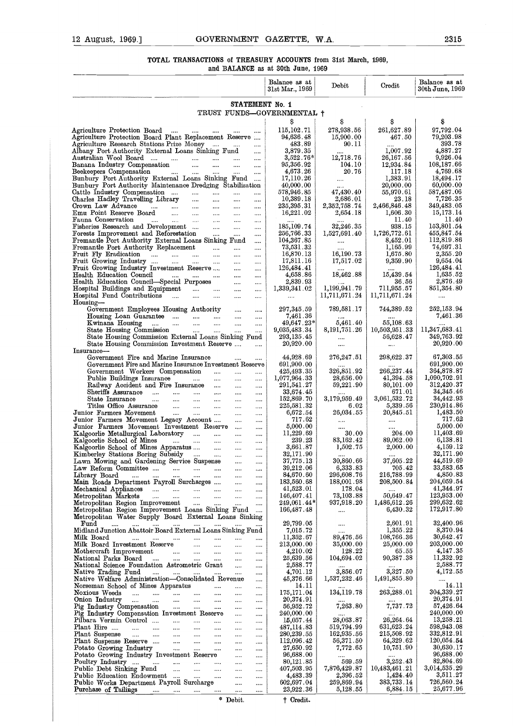## 12 August, 1969.] GOVERNMENT GAZETTE, W.A. 2315<br>TOTAL TRANSACTIONS of TREASURY ACCOUNTS from 31st March, 1969,<br>and BALANCE as at 30th June, 1969 **TOTAL TRANSACTIONS** of TREASURY ACCOUNTS from 31st March, 1269, and BALANCE as at 30th June, 1969

| Balance as at<br>Debit<br>Credit<br>31st Mar., 1969<br>STATEMENT No. 1<br>TRUST FUNDS-GOVERNMENTAL +<br>\$<br>S<br>S<br>s<br>278,938.56<br>261,627.89<br>115,102.71<br>Agriculture Protection Board<br><b>Second</b><br><b>Service</b><br>$\cdots$<br>Agriculture Protection Board Plant Replacement Reserve<br>94,636.48<br>15,900.00<br>79,203.98<br>467.50<br>483.89<br>90.II<br>$\cdots$<br>3,879.35<br>1,007.92<br>$\cdots$<br>$3,522.76*$<br>12,718.76<br>26,167.56<br>9,926.04<br>المنتقد المتنبين المتنبين<br>$\cdots$<br>$\cdots$<br>95,356.92<br>12,934.84<br>المنتبر<br>104.10<br>$\ldots$<br>$\cdots$<br><br>4,673.26<br>20.76<br>117.18<br><b>Contract Contract Contract</b><br>المنتقل المنتقل<br>and the<br>$\cdots$<br>17,110.26<br>1,383.91<br>18,494.17<br>$\cdots$<br>40,000.00<br>20,000.00<br>578,946.85<br>47,430.40<br>55,970.61<br>$\sim$ $\sim$<br>$\cdots$<br>$\cdots$<br><br>10,389.18<br>2,686.01<br>7,726.35<br>التبيات<br>23.18<br>$\sim 10^{-1}$<br>$\cdots$<br>$\cdots$<br>235,395.31<br>2,352,758.74<br>2,466,846.48<br>المتنا المتنا المتنا<br>$\cdots$<br><br>$\cdots$<br>15,173.14<br>16,221.02<br>2,654.18<br>1,606.30<br>$\cdots$<br>$\cdots$<br><br>11.40<br>and the state of the state of the state of the state of the state of the state of the state of the state of the<br>$\cdots$<br>$\ldots$<br>185,109.74<br>32,246.35<br>938.15<br>$\sim$<br>$\cdots$<br><br>1,726,772.61<br>455,847.54<br>256,766.33<br>1,527,691.40<br>$\cdots$<br>$\cdots$<br><br>104,367.85<br>8,452.01<br>$\cdots$<br>$\cdots$<br>1,165.99<br>73,531.32<br><b>Second</b><br>$\cdots$<br><br><br>2,355.20<br>16,870.13<br>16,190.73<br>1,675.80<br>المستحدث السنادا السناد<br>$\cdots$<br>$\cdots$<br><br>Fruit Growing Industry<br>17,811.16<br>17,517.02<br>9,359.90<br>$\cdots$<br><br>126,484.41<br>$\sim$<br><br><br>18,462.88<br>15,439.54<br>Health Education Council<br>4,658.86<br>and the company of the state of the state of the state of the state of the state of the state of the state of the<br>$\cdots$<br>$\ldots$<br><br>2,839.93<br>36.56<br>$\ddotsc$<br>$\cdots$<br>1,199,941.79<br>711,955.57<br>851,354.80<br>1,339,341.02<br>$\sim$<br>$\cdots$<br><br>Hospital Fund Contributions<br>11,711,671.24<br>11,711,671.24<br>$\cdots$<br>$\cdots$<br>$\cdots$<br>$\cdots$<br><br>Housing-<br>297,345.59<br>789,581.17<br>252,153.94<br>Government Employees Housing Authority<br>744,389.52<br>$\cdots$<br>$\cdots$<br>Housing Loan Guarantee<br>7,461.36<br>$\cdots$<br><br>5,461.40<br>55,108.63<br>$49,647.23*$<br>Kwinana Housing<br>المنباب المنباب المنباب المنبا<br>$\cdots$<br>$\cdots$<br>State Housing Commission<br>8,191,751.26<br>10,503,951.33<br>المنباب المنبات<br>9,035,483.34<br>$\sim$ $\sim$ $\sim$<br>$\cdots$<br>56,628.47<br>State Housing Commission External Loans Sinking Fund<br>293, 135.45<br><br>20,920.00<br>State Housing Commission Investment Reserve<br>20,920.00<br>$\cdots$<br>$\cdots$<br>$\cdots$<br>Insurance-<br>44,928.69<br>276,247.51<br>298,622.37<br>Government Fire and Marine Insurance<br>$\cdots$<br>$\cdots$<br>Government Fire and Marine Insurance Investment Reserve<br>691,900.00<br>691,900.00<br>266,237.44<br>326,851.92<br>Government Workers Compensation<br>425,493.35<br>$\cdots$<br>$\cdots$<br><br>41,394.58<br>1,090,702.91<br>1,077,964.33<br>28,656.00<br>Public Buildings Insurance<br>$\cdots$<br>$\cdots$<br><br>Railway Accident and Fire Insurance<br>291,541.27<br>59,221.90<br>80,101.00<br>$\cdots$<br><br>Sheriffs Assurance<br>671.01<br>33,674.45<br>$\sim$<br>$\cdots$<br>$\cdots$<br>3,061,532.72<br>152,869.70<br>3,179,959.49<br>34,442.93<br>State Insurance<br>$\sim$ $\sim$ $\sim$ $\sim$<br>$\mathbf{1}_{\mathbf{1}_{\mathbf{2}}\mathbf{3}_{\mathbf{3}}\mathbf{4}_{\mathbf{4}}\mathbf{4}_{\mathbf{5}}\mathbf{5}_{\mathbf{6}}\mathbf{6}_{\mathbf{7}}$<br>$\sim 100$ and $\sim 100$<br>$\cdots$<br><br>Titles Office Assurance<br>225,581.32<br>6.02<br>5,339.56<br>$\sim$ $\sim$ $\sim$<br>$\sim$ $\sim$<br>$\cdots$<br>$\cdots$<br>6,672.54<br>26,034.55<br>20,845.51<br>Junior Farmers Movement<br>$\sim$ $\sim$<br>$\sim 100$ and $\sim 100$<br><b>College</b><br>$\sim$<br><br>Junior Farmers Movement Legacy Account<br>717.62<br>$\cdots$<br><br><br>$\cdots$<br>Junior Farmers Movement Investment Reserve<br>5,000.00<br>$\cdots$<br><br>Kalgoorlie Metallurgical Laboratory<br>11,229.69<br>30.00<br>204.00<br>11,403.69<br>$\cdots$<br><br>83,162.42<br>89,062.00<br>Kalgoorlie School of Mines<br>239.23<br>3,661.87<br>Kalgoorlie School of Mines Apparatus<br>1,502.75<br>2,000.00<br>$\cdots$<br><br>32,171.90<br>Kimberley Stations Boring Subsidy<br>32,171.90<br>$\ldots$<br>$\ldots$ .<br><br>$\cdots$<br>30,860.66<br>37,605.22<br>37,775.13<br>Lawn Mowing and Gardening Service Suspense<br>$\sim$ $\sim$<br><br>6,333.83<br>Law Reform Committee<br>$39,\!212.06$<br>705.42<br>$\sim$ $\sim$<br>$\ldots$<br>216,788.99<br>4,850.83<br>84,670.60<br>296,608.76<br>Library Board<br>المتنا المتنا المتنا<br>المستحدث المساري<br>$\sim 100$ and $\sim 100$<br>$\ldots$<br>Main Roads Department Payroll Surcharges<br>183,560.68<br>188,001.98<br>208,500.84<br>$\sim$ $\sim$<br><br>41,344.97<br>41,523.01<br>178.04<br>Mechanical Appliances<br><br>50,649.47<br>Metropolitan Markets<br>146,407.41<br>73,103.88<br><br>1,486,612.26<br>Metropolitan Region Improvement<br>249,061.44*<br>937,918.20<br>$\cdots$<br><br>Metropolitan Region Improvement Loans Sinking Fund<br>166,487.48<br>6,430.32<br>172,917.80<br>$\cdots$<br>Metropolitan Water Supply Board External Loans Sinking<br>29,799.05<br>2,601.91<br>$\mathbf{Fund}$<br>المنتفر المنتفر المنتفر المنتفر المنتفر<br>$\cdots$<br>$\cdots$<br>Midland Junction Abattoir Board External Loans Sinking Fund<br>1,355.22<br>7,015.72<br>$\cdots$<br>89,476.56<br>108,766.36<br>Milk Board<br>11,352.67<br>$\ldots$ . $\ldots$ . $\ldots$<br><br><br><br><br>203,000.00<br>35,000.00<br>25,000.00<br>Milk Board Investment Reserve<br>213,000.00<br>$\mathbf{1}$<br>$\cdots$<br><br>128.22<br>Mothercraft Improvement<br>4,210.02<br>65.55<br>$\cdots$<br>$\cdots$<br>104,694.02<br>90,387.38<br>25,639.56<br>National Parks Board<br>$\cdots$<br><br>National Science Foundation Astrometric Grant<br>2,588.77<br>2,588.77<br>$\ddotsc$<br><br>3,856.07<br>3,327.50<br>Native Trading Fund<br>4,701.12<br>المنبذ المنباب المنبا<br>$\cdots$<br>$\cdots$<br><br>45,376.66<br>1,537,232.46<br>1,491,855.80<br>Native Welfare Administration-Consolidated Revenue<br><br>14.II<br>Norseman School of Mines Apparatus<br>$\cdots$<br>$\cdots$<br>175,171.04<br>134,119.78<br>263,288.01<br>Noxious Weeds<br><br>$\cdots$<br><br>20,374.91<br>20,374.91<br>Onion Industry<br>المتعدد<br>$\cdots$<br>$\cdots$<br><b>Contract Contract</b><br>$\cdots$<br>$\cdots$<br>$\cdots$<br>7,263.80<br>7,737.72<br>Pig Industry Compensation<br>56,952.72<br>$\mathbf{r}$ and $\mathbf{r}$ are all $\mathbf{r}$<br>$\cdots$<br>$\cdots$<br><br>Pig Industry Compensation Investment Reserve<br>240,000.00<br>$\sim$ $\sim$<br><br>28,063.87<br>26,264.64<br>Pilbara Vermin Control<br>15,057.44<br>المندار المندار المنا<br>$\cdots$<br>$\cdots$<br>$\cdots$<br>631,623.24<br>519,794.99<br>Plant Hire<br>487,114.83<br>$\mathcal{L} = \{1, 2, \ldots \}$<br>$\cdots$<br><br>162,935.56<br>215,508.92<br>Plant Suspense<br>280,239.55<br>المتناد المتناد المتناد المتناد المتناد<br>$\sim 100$ and $\sim 100$<br><br>56,371.50<br>64,329.62<br>Plant Suspense Reserve<br>112,096.42<br>$\sim$ $\sim$<br>$\ldots$<br>Potato Growing Industry<br>27,650.92<br>7,772.65<br>10,751.90<br>$\cdots$<br>$\cdots$<br><br>96,688.00<br>Potato Growing Industry Investment Reserve<br>96,688.00<br>$\sim$ $\sim$ $\sim$<br>$\ldots$<br><br>3,252.43<br>569.59<br>Poultry Industry<br>80,121.85<br>$\sim$ $\sim$<br>$\cdots$<br>7,876,429.87<br>10,483,461.21<br>Public Debt Sinking Fund<br>407,503.95<br>$\cdots$<br>$\cdots$<br>$\cdots$<br><br>1,424.40<br>Public Education Endowment<br>4,483.39<br>2,396.52<br>المتناول المتناول<br>$\ldots$<br>$\ldots$<br>Public Works Department Payroll Surcharge<br>383,733.14<br>602,697.04<br>259,869.94<br>$\cdots$<br>$\cdots$<br>6,884.15<br>Purchase of Tailings<br>$23,\!922.36$<br>5,128.55<br>$\cdots$ $\cdots$<br>$\ldots$ . $\ldots$<br>$\cdots$<br>$\cdots$<br>* Debit.<br>† Credit. | and BALANCE as at 30th June, 1969 |  |                                  |
|--------------------------------------------------------------------------------------------------------------------------------------------------------------------------------------------------------------------------------------------------------------------------------------------------------------------------------------------------------------------------------------------------------------------------------------------------------------------------------------------------------------------------------------------------------------------------------------------------------------------------------------------------------------------------------------------------------------------------------------------------------------------------------------------------------------------------------------------------------------------------------------------------------------------------------------------------------------------------------------------------------------------------------------------------------------------------------------------------------------------------------------------------------------------------------------------------------------------------------------------------------------------------------------------------------------------------------------------------------------------------------------------------------------------------------------------------------------------------------------------------------------------------------------------------------------------------------------------------------------------------------------------------------------------------------------------------------------------------------------------------------------------------------------------------------------------------------------------------------------------------------------------------------------------------------------------------------------------------------------------------------------------------------------------------------------------------------------------------------------------------------------------------------------------------------------------------------------------------------------------------------------------------------------------------------------------------------------------------------------------------------------------------------------------------------------------------------------------------------------------------------------------------------------------------------------------------------------------------------------------------------------------------------------------------------------------------------------------------------------------------------------------------------------------------------------------------------------------------------------------------------------------------------------------------------------------------------------------------------------------------------------------------------------------------------------------------------------------------------------------------------------------------------------------------------------------------------------------------------------------------------------------------------------------------------------------------------------------------------------------------------------------------------------------------------------------------------------------------------------------------------------------------------------------------------------------------------------------------------------------------------------------------------------------------------------------------------------------------------------------------------------------------------------------------------------------------------------------------------------------------------------------------------------------------------------------------------------------------------------------------------------------------------------------------------------------------------------------------------------------------------------------------------------------------------------------------------------------------------------------------------------------------------------------------------------------------------------------------------------------------------------------------------------------------------------------------------------------------------------------------------------------------------------------------------------------------------------------------------------------------------------------------------------------------------------------------------------------------------------------------------------------------------------------------------------------------------------------------------------------------------------------------------------------------------------------------------------------------------------------------------------------------------------------------------------------------------------------------------------------------------------------------------------------------------------------------------------------------------------------------------------------------------------------------------------------------------------------------------------------------------------------------------------------------------------------------------------------------------------------------------------------------------------------------------------------------------------------------------------------------------------------------------------------------------------------------------------------------------------------------------------------------------------------------------------------------------------------------------------------------------------------------------------------------------------------------------------------------------------------------------------------------------------------------------------------------------------------------------------------------------------------------------------------------------------------------------------------------------------------------------------------------------------------------------------------------------------------------------------------------------------------------------------------------------------------------------------------------------------------------------------------------------------------------------------------------------------------------------------------------------------------------------------------------------------------------------------------------------------------------------------------------------------------------------------------------------------------------------------------------------------------------------------------------------------------------------------------------------------------------------------------------------------------------------------------------------------------------------------------------------------------------------------------------------------------------------------------------------------------------------------------------------------------------------------------------------------------------------------------------------------------------------------------------------------------------------------------------------------------------------------------------------------------------------------------------------------------------------------------------------------------------------------------------------------------------------------------------------------------------------------------------------------------------------------------------------------------------------------------------------------------------------------------------------------------------------------------------------------------------------------------------------------------------------------------------------------------------------------------------------------------------------------------------------------------------------------------------------------------------------------------------------------------------------------------------------------------------------------------------------------------------------------------------------|-----------------------------------|--|----------------------------------|
|                                                                                                                                                                                                                                                                                                                                                                                                                                                                                                                                                                                                                                                                                                                                                                                                                                                                                                                                                                                                                                                                                                                                                                                                                                                                                                                                                                                                                                                                                                                                                                                                                                                                                                                                                                                                                                                                                                                                                                                                                                                                                                                                                                                                                                                                                                                                                                                                                                                                                                                                                                                                                                                                                                                                                                                                                                                                                                                                                                                                                                                                                                                                                                                                                                                                                                                                                                                                                                                                                                                                                                                                                                                                                                                                                                                                                                                                                                                                                                                                                                                                                                                                                                                                                                                                                                                                                                                                                                                                                                                                                                                                                                                                                                                                                                                                                                                                                                                                                                                                                                                                                                                                                                                                                                                                                                                                                                                                                                                                                                                                                                                                                                                                                                                                                                                                                                                                                                                                                                                                                                                                                                                                                                                                                                                                                                                                                                                                                                                                                                                                                                                                                                                                                                                                                                                                                                                                                                                                                                                                                                                                                                                                                                                                                                                                                                                                                                                                                                                                                                                                                                                                                                                                                                                                                                                                                                                                                                                                                                                                                                                                                                                                                                                                                                                                                                                                                                                                                                |                                   |  | Balance as at<br>30th June, 1969 |
|                                                                                                                                                                                                                                                                                                                                                                                                                                                                                                                                                                                                                                                                                                                                                                                                                                                                                                                                                                                                                                                                                                                                                                                                                                                                                                                                                                                                                                                                                                                                                                                                                                                                                                                                                                                                                                                                                                                                                                                                                                                                                                                                                                                                                                                                                                                                                                                                                                                                                                                                                                                                                                                                                                                                                                                                                                                                                                                                                                                                                                                                                                                                                                                                                                                                                                                                                                                                                                                                                                                                                                                                                                                                                                                                                                                                                                                                                                                                                                                                                                                                                                                                                                                                                                                                                                                                                                                                                                                                                                                                                                                                                                                                                                                                                                                                                                                                                                                                                                                                                                                                                                                                                                                                                                                                                                                                                                                                                                                                                                                                                                                                                                                                                                                                                                                                                                                                                                                                                                                                                                                                                                                                                                                                                                                                                                                                                                                                                                                                                                                                                                                                                                                                                                                                                                                                                                                                                                                                                                                                                                                                                                                                                                                                                                                                                                                                                                                                                                                                                                                                                                                                                                                                                                                                                                                                                                                                                                                                                                                                                                                                                                                                                                                                                                                                                                                                                                                                                                |                                   |  |                                  |
|                                                                                                                                                                                                                                                                                                                                                                                                                                                                                                                                                                                                                                                                                                                                                                                                                                                                                                                                                                                                                                                                                                                                                                                                                                                                                                                                                                                                                                                                                                                                                                                                                                                                                                                                                                                                                                                                                                                                                                                                                                                                                                                                                                                                                                                                                                                                                                                                                                                                                                                                                                                                                                                                                                                                                                                                                                                                                                                                                                                                                                                                                                                                                                                                                                                                                                                                                                                                                                                                                                                                                                                                                                                                                                                                                                                                                                                                                                                                                                                                                                                                                                                                                                                                                                                                                                                                                                                                                                                                                                                                                                                                                                                                                                                                                                                                                                                                                                                                                                                                                                                                                                                                                                                                                                                                                                                                                                                                                                                                                                                                                                                                                                                                                                                                                                                                                                                                                                                                                                                                                                                                                                                                                                                                                                                                                                                                                                                                                                                                                                                                                                                                                                                                                                                                                                                                                                                                                                                                                                                                                                                                                                                                                                                                                                                                                                                                                                                                                                                                                                                                                                                                                                                                                                                                                                                                                                                                                                                                                                                                                                                                                                                                                                                                                                                                                                                                                                                                                                |                                   |  |                                  |
| Agriculture Research Stations Prize Money<br>Forests Improvement and Reforestation<br>Fruit Fly Eradication<br>Health Education Council—Special Purposes<br>Hospital Buildings and Equipment                                                                                                                                                                                                                                                                                                                                                                                                                                                                                                                                                                                                                                                                                                                                                                                                                                                                                                                                                                                                                                                                                                                                                                                                                                                                                                                                                                                                                                                                                                                                                                                                                                                                                                                                                                                                                                                                                                                                                                                                                                                                                                                                                                                                                                                                                                                                                                                                                                                                                                                                                                                                                                                                                                                                                                                                                                                                                                                                                                                                                                                                                                                                                                                                                                                                                                                                                                                                                                                                                                                                                                                                                                                                                                                                                                                                                                                                                                                                                                                                                                                                                                                                                                                                                                                                                                                                                                                                                                                                                                                                                                                                                                                                                                                                                                                                                                                                                                                                                                                                                                                                                                                                                                                                                                                                                                                                                                                                                                                                                                                                                                                                                                                                                                                                                                                                                                                                                                                                                                                                                                                                                                                                                                                                                                                                                                                                                                                                                                                                                                                                                                                                                                                                                                                                                                                                                                                                                                                                                                                                                                                                                                                                                                                                                                                                                                                                                                                                                                                                                                                                                                                                                                                                                                                                                                                                                                                                                                                                                                                                                                                                                                                                                                                                                                   |                                   |  | 97,792.04                        |
| Albany Port Authority External Loans Sinking Fund<br>Australian Wool Board<br>Banana Industry Compensation<br>Beekeepers Compensation<br>Bunbury Port Authority External Loans Sinking Fund<br>Bunbury Port Authority Maintenance Dredging Stabilisation<br>Cattle Industry Compensation<br>Charles Hadley Travelling Library<br>Crown Law Advance<br>Emu Point Reserve Board<br>Fauna Conservation<br>Fisheries Research and Development<br>Fremantle Port Authority External Loans Sinking Fund<br>Fremantle Port Authority Replacement<br>Fruit Growing Industry Investment Reserve                                                                                                                                                                                                                                                                                                                                                                                                                                                                                                                                                                                                                                                                                                                                                                                                                                                                                                                                                                                                                                                                                                                                                                                                                                                                                                                                                                                                                                                                                                                                                                                                                                                                                                                                                                                                                                                                                                                                                                                                                                                                                                                                                                                                                                                                                                                                                                                                                                                                                                                                                                                                                                                                                                                                                                                                                                                                                                                                                                                                                                                                                                                                                                                                                                                                                                                                                                                                                                                                                                                                                                                                                                                                                                                                                                                                                                                                                                                                                                                                                                                                                                                                                                                                                                                                                                                                                                                                                                                                                                                                                                                                                                                                                                                                                                                                                                                                                                                                                                                                                                                                                                                                                                                                                                                                                                                                                                                                                                                                                                                                                                                                                                                                                                                                                                                                                                                                                                                                                                                                                                                                                                                                                                                                                                                                                                                                                                                                                                                                                                                                                                                                                                                                                                                                                                                                                                                                                                                                                                                                                                                                                                                                                                                                                                                                                                                                                                                                                                                                                                                                                                                                                                                                                                                                                                                                                                         |                                   |  | 393.78                           |
|                                                                                                                                                                                                                                                                                                                                                                                                                                                                                                                                                                                                                                                                                                                                                                                                                                                                                                                                                                                                                                                                                                                                                                                                                                                                                                                                                                                                                                                                                                                                                                                                                                                                                                                                                                                                                                                                                                                                                                                                                                                                                                                                                                                                                                                                                                                                                                                                                                                                                                                                                                                                                                                                                                                                                                                                                                                                                                                                                                                                                                                                                                                                                                                                                                                                                                                                                                                                                                                                                                                                                                                                                                                                                                                                                                                                                                                                                                                                                                                                                                                                                                                                                                                                                                                                                                                                                                                                                                                                                                                                                                                                                                                                                                                                                                                                                                                                                                                                                                                                                                                                                                                                                                                                                                                                                                                                                                                                                                                                                                                                                                                                                                                                                                                                                                                                                                                                                                                                                                                                                                                                                                                                                                                                                                                                                                                                                                                                                                                                                                                                                                                                                                                                                                                                                                                                                                                                                                                                                                                                                                                                                                                                                                                                                                                                                                                                                                                                                                                                                                                                                                                                                                                                                                                                                                                                                                                                                                                                                                                                                                                                                                                                                                                                                                                                                                                                                                                                                                |                                   |  | 4,887.27                         |
|                                                                                                                                                                                                                                                                                                                                                                                                                                                                                                                                                                                                                                                                                                                                                                                                                                                                                                                                                                                                                                                                                                                                                                                                                                                                                                                                                                                                                                                                                                                                                                                                                                                                                                                                                                                                                                                                                                                                                                                                                                                                                                                                                                                                                                                                                                                                                                                                                                                                                                                                                                                                                                                                                                                                                                                                                                                                                                                                                                                                                                                                                                                                                                                                                                                                                                                                                                                                                                                                                                                                                                                                                                                                                                                                                                                                                                                                                                                                                                                                                                                                                                                                                                                                                                                                                                                                                                                                                                                                                                                                                                                                                                                                                                                                                                                                                                                                                                                                                                                                                                                                                                                                                                                                                                                                                                                                                                                                                                                                                                                                                                                                                                                                                                                                                                                                                                                                                                                                                                                                                                                                                                                                                                                                                                                                                                                                                                                                                                                                                                                                                                                                                                                                                                                                                                                                                                                                                                                                                                                                                                                                                                                                                                                                                                                                                                                                                                                                                                                                                                                                                                                                                                                                                                                                                                                                                                                                                                                                                                                                                                                                                                                                                                                                                                                                                                                                                                                                                                |                                   |  | 108,187.66                       |
|                                                                                                                                                                                                                                                                                                                                                                                                                                                                                                                                                                                                                                                                                                                                                                                                                                                                                                                                                                                                                                                                                                                                                                                                                                                                                                                                                                                                                                                                                                                                                                                                                                                                                                                                                                                                                                                                                                                                                                                                                                                                                                                                                                                                                                                                                                                                                                                                                                                                                                                                                                                                                                                                                                                                                                                                                                                                                                                                                                                                                                                                                                                                                                                                                                                                                                                                                                                                                                                                                                                                                                                                                                                                                                                                                                                                                                                                                                                                                                                                                                                                                                                                                                                                                                                                                                                                                                                                                                                                                                                                                                                                                                                                                                                                                                                                                                                                                                                                                                                                                                                                                                                                                                                                                                                                                                                                                                                                                                                                                                                                                                                                                                                                                                                                                                                                                                                                                                                                                                                                                                                                                                                                                                                                                                                                                                                                                                                                                                                                                                                                                                                                                                                                                                                                                                                                                                                                                                                                                                                                                                                                                                                                                                                                                                                                                                                                                                                                                                                                                                                                                                                                                                                                                                                                                                                                                                                                                                                                                                                                                                                                                                                                                                                                                                                                                                                                                                                                                                |                                   |  | 4,769.68                         |
|                                                                                                                                                                                                                                                                                                                                                                                                                                                                                                                                                                                                                                                                                                                                                                                                                                                                                                                                                                                                                                                                                                                                                                                                                                                                                                                                                                                                                                                                                                                                                                                                                                                                                                                                                                                                                                                                                                                                                                                                                                                                                                                                                                                                                                                                                                                                                                                                                                                                                                                                                                                                                                                                                                                                                                                                                                                                                                                                                                                                                                                                                                                                                                                                                                                                                                                                                                                                                                                                                                                                                                                                                                                                                                                                                                                                                                                                                                                                                                                                                                                                                                                                                                                                                                                                                                                                                                                                                                                                                                                                                                                                                                                                                                                                                                                                                                                                                                                                                                                                                                                                                                                                                                                                                                                                                                                                                                                                                                                                                                                                                                                                                                                                                                                                                                                                                                                                                                                                                                                                                                                                                                                                                                                                                                                                                                                                                                                                                                                                                                                                                                                                                                                                                                                                                                                                                                                                                                                                                                                                                                                                                                                                                                                                                                                                                                                                                                                                                                                                                                                                                                                                                                                                                                                                                                                                                                                                                                                                                                                                                                                                                                                                                                                                                                                                                                                                                                                                                                |                                   |  | 60,000.00                        |
|                                                                                                                                                                                                                                                                                                                                                                                                                                                                                                                                                                                                                                                                                                                                                                                                                                                                                                                                                                                                                                                                                                                                                                                                                                                                                                                                                                                                                                                                                                                                                                                                                                                                                                                                                                                                                                                                                                                                                                                                                                                                                                                                                                                                                                                                                                                                                                                                                                                                                                                                                                                                                                                                                                                                                                                                                                                                                                                                                                                                                                                                                                                                                                                                                                                                                                                                                                                                                                                                                                                                                                                                                                                                                                                                                                                                                                                                                                                                                                                                                                                                                                                                                                                                                                                                                                                                                                                                                                                                                                                                                                                                                                                                                                                                                                                                                                                                                                                                                                                                                                                                                                                                                                                                                                                                                                                                                                                                                                                                                                                                                                                                                                                                                                                                                                                                                                                                                                                                                                                                                                                                                                                                                                                                                                                                                                                                                                                                                                                                                                                                                                                                                                                                                                                                                                                                                                                                                                                                                                                                                                                                                                                                                                                                                                                                                                                                                                                                                                                                                                                                                                                                                                                                                                                                                                                                                                                                                                                                                                                                                                                                                                                                                                                                                                                                                                                                                                                                                                |                                   |  | 587,487.06                       |
|                                                                                                                                                                                                                                                                                                                                                                                                                                                                                                                                                                                                                                                                                                                                                                                                                                                                                                                                                                                                                                                                                                                                                                                                                                                                                                                                                                                                                                                                                                                                                                                                                                                                                                                                                                                                                                                                                                                                                                                                                                                                                                                                                                                                                                                                                                                                                                                                                                                                                                                                                                                                                                                                                                                                                                                                                                                                                                                                                                                                                                                                                                                                                                                                                                                                                                                                                                                                                                                                                                                                                                                                                                                                                                                                                                                                                                                                                                                                                                                                                                                                                                                                                                                                                                                                                                                                                                                                                                                                                                                                                                                                                                                                                                                                                                                                                                                                                                                                                                                                                                                                                                                                                                                                                                                                                                                                                                                                                                                                                                                                                                                                                                                                                                                                                                                                                                                                                                                                                                                                                                                                                                                                                                                                                                                                                                                                                                                                                                                                                                                                                                                                                                                                                                                                                                                                                                                                                                                                                                                                                                                                                                                                                                                                                                                                                                                                                                                                                                                                                                                                                                                                                                                                                                                                                                                                                                                                                                                                                                                                                                                                                                                                                                                                                                                                                                                                                                                                                                |                                   |  | 349,483.05                       |
|                                                                                                                                                                                                                                                                                                                                                                                                                                                                                                                                                                                                                                                                                                                                                                                                                                                                                                                                                                                                                                                                                                                                                                                                                                                                                                                                                                                                                                                                                                                                                                                                                                                                                                                                                                                                                                                                                                                                                                                                                                                                                                                                                                                                                                                                                                                                                                                                                                                                                                                                                                                                                                                                                                                                                                                                                                                                                                                                                                                                                                                                                                                                                                                                                                                                                                                                                                                                                                                                                                                                                                                                                                                                                                                                                                                                                                                                                                                                                                                                                                                                                                                                                                                                                                                                                                                                                                                                                                                                                                                                                                                                                                                                                                                                                                                                                                                                                                                                                                                                                                                                                                                                                                                                                                                                                                                                                                                                                                                                                                                                                                                                                                                                                                                                                                                                                                                                                                                                                                                                                                                                                                                                                                                                                                                                                                                                                                                                                                                                                                                                                                                                                                                                                                                                                                                                                                                                                                                                                                                                                                                                                                                                                                                                                                                                                                                                                                                                                                                                                                                                                                                                                                                                                                                                                                                                                                                                                                                                                                                                                                                                                                                                                                                                                                                                                                                                                                                                                                |                                   |  | 11.40                            |
|                                                                                                                                                                                                                                                                                                                                                                                                                                                                                                                                                                                                                                                                                                                                                                                                                                                                                                                                                                                                                                                                                                                                                                                                                                                                                                                                                                                                                                                                                                                                                                                                                                                                                                                                                                                                                                                                                                                                                                                                                                                                                                                                                                                                                                                                                                                                                                                                                                                                                                                                                                                                                                                                                                                                                                                                                                                                                                                                                                                                                                                                                                                                                                                                                                                                                                                                                                                                                                                                                                                                                                                                                                                                                                                                                                                                                                                                                                                                                                                                                                                                                                                                                                                                                                                                                                                                                                                                                                                                                                                                                                                                                                                                                                                                                                                                                                                                                                                                                                                                                                                                                                                                                                                                                                                                                                                                                                                                                                                                                                                                                                                                                                                                                                                                                                                                                                                                                                                                                                                                                                                                                                                                                                                                                                                                                                                                                                                                                                                                                                                                                                                                                                                                                                                                                                                                                                                                                                                                                                                                                                                                                                                                                                                                                                                                                                                                                                                                                                                                                                                                                                                                                                                                                                                                                                                                                                                                                                                                                                                                                                                                                                                                                                                                                                                                                                                                                                                                                                |                                   |  | 153,801.54                       |
|                                                                                                                                                                                                                                                                                                                                                                                                                                                                                                                                                                                                                                                                                                                                                                                                                                                                                                                                                                                                                                                                                                                                                                                                                                                                                                                                                                                                                                                                                                                                                                                                                                                                                                                                                                                                                                                                                                                                                                                                                                                                                                                                                                                                                                                                                                                                                                                                                                                                                                                                                                                                                                                                                                                                                                                                                                                                                                                                                                                                                                                                                                                                                                                                                                                                                                                                                                                                                                                                                                                                                                                                                                                                                                                                                                                                                                                                                                                                                                                                                                                                                                                                                                                                                                                                                                                                                                                                                                                                                                                                                                                                                                                                                                                                                                                                                                                                                                                                                                                                                                                                                                                                                                                                                                                                                                                                                                                                                                                                                                                                                                                                                                                                                                                                                                                                                                                                                                                                                                                                                                                                                                                                                                                                                                                                                                                                                                                                                                                                                                                                                                                                                                                                                                                                                                                                                                                                                                                                                                                                                                                                                                                                                                                                                                                                                                                                                                                                                                                                                                                                                                                                                                                                                                                                                                                                                                                                                                                                                                                                                                                                                                                                                                                                                                                                                                                                                                                                                                |                                   |  | 112,819.86                       |
|                                                                                                                                                                                                                                                                                                                                                                                                                                                                                                                                                                                                                                                                                                                                                                                                                                                                                                                                                                                                                                                                                                                                                                                                                                                                                                                                                                                                                                                                                                                                                                                                                                                                                                                                                                                                                                                                                                                                                                                                                                                                                                                                                                                                                                                                                                                                                                                                                                                                                                                                                                                                                                                                                                                                                                                                                                                                                                                                                                                                                                                                                                                                                                                                                                                                                                                                                                                                                                                                                                                                                                                                                                                                                                                                                                                                                                                                                                                                                                                                                                                                                                                                                                                                                                                                                                                                                                                                                                                                                                                                                                                                                                                                                                                                                                                                                                                                                                                                                                                                                                                                                                                                                                                                                                                                                                                                                                                                                                                                                                                                                                                                                                                                                                                                                                                                                                                                                                                                                                                                                                                                                                                                                                                                                                                                                                                                                                                                                                                                                                                                                                                                                                                                                                                                                                                                                                                                                                                                                                                                                                                                                                                                                                                                                                                                                                                                                                                                                                                                                                                                                                                                                                                                                                                                                                                                                                                                                                                                                                                                                                                                                                                                                                                                                                                                                                                                                                                                                                |                                   |  | 74.697.31                        |
|                                                                                                                                                                                                                                                                                                                                                                                                                                                                                                                                                                                                                                                                                                                                                                                                                                                                                                                                                                                                                                                                                                                                                                                                                                                                                                                                                                                                                                                                                                                                                                                                                                                                                                                                                                                                                                                                                                                                                                                                                                                                                                                                                                                                                                                                                                                                                                                                                                                                                                                                                                                                                                                                                                                                                                                                                                                                                                                                                                                                                                                                                                                                                                                                                                                                                                                                                                                                                                                                                                                                                                                                                                                                                                                                                                                                                                                                                                                                                                                                                                                                                                                                                                                                                                                                                                                                                                                                                                                                                                                                                                                                                                                                                                                                                                                                                                                                                                                                                                                                                                                                                                                                                                                                                                                                                                                                                                                                                                                                                                                                                                                                                                                                                                                                                                                                                                                                                                                                                                                                                                                                                                                                                                                                                                                                                                                                                                                                                                                                                                                                                                                                                                                                                                                                                                                                                                                                                                                                                                                                                                                                                                                                                                                                                                                                                                                                                                                                                                                                                                                                                                                                                                                                                                                                                                                                                                                                                                                                                                                                                                                                                                                                                                                                                                                                                                                                                                                                                                |                                   |  | 9,654.04                         |
|                                                                                                                                                                                                                                                                                                                                                                                                                                                                                                                                                                                                                                                                                                                                                                                                                                                                                                                                                                                                                                                                                                                                                                                                                                                                                                                                                                                                                                                                                                                                                                                                                                                                                                                                                                                                                                                                                                                                                                                                                                                                                                                                                                                                                                                                                                                                                                                                                                                                                                                                                                                                                                                                                                                                                                                                                                                                                                                                                                                                                                                                                                                                                                                                                                                                                                                                                                                                                                                                                                                                                                                                                                                                                                                                                                                                                                                                                                                                                                                                                                                                                                                                                                                                                                                                                                                                                                                                                                                                                                                                                                                                                                                                                                                                                                                                                                                                                                                                                                                                                                                                                                                                                                                                                                                                                                                                                                                                                                                                                                                                                                                                                                                                                                                                                                                                                                                                                                                                                                                                                                                                                                                                                                                                                                                                                                                                                                                                                                                                                                                                                                                                                                                                                                                                                                                                                                                                                                                                                                                                                                                                                                                                                                                                                                                                                                                                                                                                                                                                                                                                                                                                                                                                                                                                                                                                                                                                                                                                                                                                                                                                                                                                                                                                                                                                                                                                                                                                                                |                                   |  | 126,484.41<br>1,635.52           |
|                                                                                                                                                                                                                                                                                                                                                                                                                                                                                                                                                                                                                                                                                                                                                                                                                                                                                                                                                                                                                                                                                                                                                                                                                                                                                                                                                                                                                                                                                                                                                                                                                                                                                                                                                                                                                                                                                                                                                                                                                                                                                                                                                                                                                                                                                                                                                                                                                                                                                                                                                                                                                                                                                                                                                                                                                                                                                                                                                                                                                                                                                                                                                                                                                                                                                                                                                                                                                                                                                                                                                                                                                                                                                                                                                                                                                                                                                                                                                                                                                                                                                                                                                                                                                                                                                                                                                                                                                                                                                                                                                                                                                                                                                                                                                                                                                                                                                                                                                                                                                                                                                                                                                                                                                                                                                                                                                                                                                                                                                                                                                                                                                                                                                                                                                                                                                                                                                                                                                                                                                                                                                                                                                                                                                                                                                                                                                                                                                                                                                                                                                                                                                                                                                                                                                                                                                                                                                                                                                                                                                                                                                                                                                                                                                                                                                                                                                                                                                                                                                                                                                                                                                                                                                                                                                                                                                                                                                                                                                                                                                                                                                                                                                                                                                                                                                                                                                                                                                                |                                   |  | 2,876.49                         |
|                                                                                                                                                                                                                                                                                                                                                                                                                                                                                                                                                                                                                                                                                                                                                                                                                                                                                                                                                                                                                                                                                                                                                                                                                                                                                                                                                                                                                                                                                                                                                                                                                                                                                                                                                                                                                                                                                                                                                                                                                                                                                                                                                                                                                                                                                                                                                                                                                                                                                                                                                                                                                                                                                                                                                                                                                                                                                                                                                                                                                                                                                                                                                                                                                                                                                                                                                                                                                                                                                                                                                                                                                                                                                                                                                                                                                                                                                                                                                                                                                                                                                                                                                                                                                                                                                                                                                                                                                                                                                                                                                                                                                                                                                                                                                                                                                                                                                                                                                                                                                                                                                                                                                                                                                                                                                                                                                                                                                                                                                                                                                                                                                                                                                                                                                                                                                                                                                                                                                                                                                                                                                                                                                                                                                                                                                                                                                                                                                                                                                                                                                                                                                                                                                                                                                                                                                                                                                                                                                                                                                                                                                                                                                                                                                                                                                                                                                                                                                                                                                                                                                                                                                                                                                                                                                                                                                                                                                                                                                                                                                                                                                                                                                                                                                                                                                                                                                                                                                                |                                   |  |                                  |
|                                                                                                                                                                                                                                                                                                                                                                                                                                                                                                                                                                                                                                                                                                                                                                                                                                                                                                                                                                                                                                                                                                                                                                                                                                                                                                                                                                                                                                                                                                                                                                                                                                                                                                                                                                                                                                                                                                                                                                                                                                                                                                                                                                                                                                                                                                                                                                                                                                                                                                                                                                                                                                                                                                                                                                                                                                                                                                                                                                                                                                                                                                                                                                                                                                                                                                                                                                                                                                                                                                                                                                                                                                                                                                                                                                                                                                                                                                                                                                                                                                                                                                                                                                                                                                                                                                                                                                                                                                                                                                                                                                                                                                                                                                                                                                                                                                                                                                                                                                                                                                                                                                                                                                                                                                                                                                                                                                                                                                                                                                                                                                                                                                                                                                                                                                                                                                                                                                                                                                                                                                                                                                                                                                                                                                                                                                                                                                                                                                                                                                                                                                                                                                                                                                                                                                                                                                                                                                                                                                                                                                                                                                                                                                                                                                                                                                                                                                                                                                                                                                                                                                                                                                                                                                                                                                                                                                                                                                                                                                                                                                                                                                                                                                                                                                                                                                                                                                                                                                |                                   |  |                                  |
|                                                                                                                                                                                                                                                                                                                                                                                                                                                                                                                                                                                                                                                                                                                                                                                                                                                                                                                                                                                                                                                                                                                                                                                                                                                                                                                                                                                                                                                                                                                                                                                                                                                                                                                                                                                                                                                                                                                                                                                                                                                                                                                                                                                                                                                                                                                                                                                                                                                                                                                                                                                                                                                                                                                                                                                                                                                                                                                                                                                                                                                                                                                                                                                                                                                                                                                                                                                                                                                                                                                                                                                                                                                                                                                                                                                                                                                                                                                                                                                                                                                                                                                                                                                                                                                                                                                                                                                                                                                                                                                                                                                                                                                                                                                                                                                                                                                                                                                                                                                                                                                                                                                                                                                                                                                                                                                                                                                                                                                                                                                                                                                                                                                                                                                                                                                                                                                                                                                                                                                                                                                                                                                                                                                                                                                                                                                                                                                                                                                                                                                                                                                                                                                                                                                                                                                                                                                                                                                                                                                                                                                                                                                                                                                                                                                                                                                                                                                                                                                                                                                                                                                                                                                                                                                                                                                                                                                                                                                                                                                                                                                                                                                                                                                                                                                                                                                                                                                                                                |                                   |  | 7,461.36                         |
|                                                                                                                                                                                                                                                                                                                                                                                                                                                                                                                                                                                                                                                                                                                                                                                                                                                                                                                                                                                                                                                                                                                                                                                                                                                                                                                                                                                                                                                                                                                                                                                                                                                                                                                                                                                                                                                                                                                                                                                                                                                                                                                                                                                                                                                                                                                                                                                                                                                                                                                                                                                                                                                                                                                                                                                                                                                                                                                                                                                                                                                                                                                                                                                                                                                                                                                                                                                                                                                                                                                                                                                                                                                                                                                                                                                                                                                                                                                                                                                                                                                                                                                                                                                                                                                                                                                                                                                                                                                                                                                                                                                                                                                                                                                                                                                                                                                                                                                                                                                                                                                                                                                                                                                                                                                                                                                                                                                                                                                                                                                                                                                                                                                                                                                                                                                                                                                                                                                                                                                                                                                                                                                                                                                                                                                                                                                                                                                                                                                                                                                                                                                                                                                                                                                                                                                                                                                                                                                                                                                                                                                                                                                                                                                                                                                                                                                                                                                                                                                                                                                                                                                                                                                                                                                                                                                                                                                                                                                                                                                                                                                                                                                                                                                                                                                                                                                                                                                                                                |                                   |  | 11,347,683.41                    |
|                                                                                                                                                                                                                                                                                                                                                                                                                                                                                                                                                                                                                                                                                                                                                                                                                                                                                                                                                                                                                                                                                                                                                                                                                                                                                                                                                                                                                                                                                                                                                                                                                                                                                                                                                                                                                                                                                                                                                                                                                                                                                                                                                                                                                                                                                                                                                                                                                                                                                                                                                                                                                                                                                                                                                                                                                                                                                                                                                                                                                                                                                                                                                                                                                                                                                                                                                                                                                                                                                                                                                                                                                                                                                                                                                                                                                                                                                                                                                                                                                                                                                                                                                                                                                                                                                                                                                                                                                                                                                                                                                                                                                                                                                                                                                                                                                                                                                                                                                                                                                                                                                                                                                                                                                                                                                                                                                                                                                                                                                                                                                                                                                                                                                                                                                                                                                                                                                                                                                                                                                                                                                                                                                                                                                                                                                                                                                                                                                                                                                                                                                                                                                                                                                                                                                                                                                                                                                                                                                                                                                                                                                                                                                                                                                                                                                                                                                                                                                                                                                                                                                                                                                                                                                                                                                                                                                                                                                                                                                                                                                                                                                                                                                                                                                                                                                                                                                                                                                                |                                   |  | 349,763.92                       |
|                                                                                                                                                                                                                                                                                                                                                                                                                                                                                                                                                                                                                                                                                                                                                                                                                                                                                                                                                                                                                                                                                                                                                                                                                                                                                                                                                                                                                                                                                                                                                                                                                                                                                                                                                                                                                                                                                                                                                                                                                                                                                                                                                                                                                                                                                                                                                                                                                                                                                                                                                                                                                                                                                                                                                                                                                                                                                                                                                                                                                                                                                                                                                                                                                                                                                                                                                                                                                                                                                                                                                                                                                                                                                                                                                                                                                                                                                                                                                                                                                                                                                                                                                                                                                                                                                                                                                                                                                                                                                                                                                                                                                                                                                                                                                                                                                                                                                                                                                                                                                                                                                                                                                                                                                                                                                                                                                                                                                                                                                                                                                                                                                                                                                                                                                                                                                                                                                                                                                                                                                                                                                                                                                                                                                                                                                                                                                                                                                                                                                                                                                                                                                                                                                                                                                                                                                                                                                                                                                                                                                                                                                                                                                                                                                                                                                                                                                                                                                                                                                                                                                                                                                                                                                                                                                                                                                                                                                                                                                                                                                                                                                                                                                                                                                                                                                                                                                                                                                                |                                   |  |                                  |
|                                                                                                                                                                                                                                                                                                                                                                                                                                                                                                                                                                                                                                                                                                                                                                                                                                                                                                                                                                                                                                                                                                                                                                                                                                                                                                                                                                                                                                                                                                                                                                                                                                                                                                                                                                                                                                                                                                                                                                                                                                                                                                                                                                                                                                                                                                                                                                                                                                                                                                                                                                                                                                                                                                                                                                                                                                                                                                                                                                                                                                                                                                                                                                                                                                                                                                                                                                                                                                                                                                                                                                                                                                                                                                                                                                                                                                                                                                                                                                                                                                                                                                                                                                                                                                                                                                                                                                                                                                                                                                                                                                                                                                                                                                                                                                                                                                                                                                                                                                                                                                                                                                                                                                                                                                                                                                                                                                                                                                                                                                                                                                                                                                                                                                                                                                                                                                                                                                                                                                                                                                                                                                                                                                                                                                                                                                                                                                                                                                                                                                                                                                                                                                                                                                                                                                                                                                                                                                                                                                                                                                                                                                                                                                                                                                                                                                                                                                                                                                                                                                                                                                                                                                                                                                                                                                                                                                                                                                                                                                                                                                                                                                                                                                                                                                                                                                                                                                                                                                |                                   |  | 67,303.55                        |
|                                                                                                                                                                                                                                                                                                                                                                                                                                                                                                                                                                                                                                                                                                                                                                                                                                                                                                                                                                                                                                                                                                                                                                                                                                                                                                                                                                                                                                                                                                                                                                                                                                                                                                                                                                                                                                                                                                                                                                                                                                                                                                                                                                                                                                                                                                                                                                                                                                                                                                                                                                                                                                                                                                                                                                                                                                                                                                                                                                                                                                                                                                                                                                                                                                                                                                                                                                                                                                                                                                                                                                                                                                                                                                                                                                                                                                                                                                                                                                                                                                                                                                                                                                                                                                                                                                                                                                                                                                                                                                                                                                                                                                                                                                                                                                                                                                                                                                                                                                                                                                                                                                                                                                                                                                                                                                                                                                                                                                                                                                                                                                                                                                                                                                                                                                                                                                                                                                                                                                                                                                                                                                                                                                                                                                                                                                                                                                                                                                                                                                                                                                                                                                                                                                                                                                                                                                                                                                                                                                                                                                                                                                                                                                                                                                                                                                                                                                                                                                                                                                                                                                                                                                                                                                                                                                                                                                                                                                                                                                                                                                                                                                                                                                                                                                                                                                                                                                                                                                |                                   |  | 364,878.87                       |
|                                                                                                                                                                                                                                                                                                                                                                                                                                                                                                                                                                                                                                                                                                                                                                                                                                                                                                                                                                                                                                                                                                                                                                                                                                                                                                                                                                                                                                                                                                                                                                                                                                                                                                                                                                                                                                                                                                                                                                                                                                                                                                                                                                                                                                                                                                                                                                                                                                                                                                                                                                                                                                                                                                                                                                                                                                                                                                                                                                                                                                                                                                                                                                                                                                                                                                                                                                                                                                                                                                                                                                                                                                                                                                                                                                                                                                                                                                                                                                                                                                                                                                                                                                                                                                                                                                                                                                                                                                                                                                                                                                                                                                                                                                                                                                                                                                                                                                                                                                                                                                                                                                                                                                                                                                                                                                                                                                                                                                                                                                                                                                                                                                                                                                                                                                                                                                                                                                                                                                                                                                                                                                                                                                                                                                                                                                                                                                                                                                                                                                                                                                                                                                                                                                                                                                                                                                                                                                                                                                                                                                                                                                                                                                                                                                                                                                                                                                                                                                                                                                                                                                                                                                                                                                                                                                                                                                                                                                                                                                                                                                                                                                                                                                                                                                                                                                                                                                                                                                |                                   |  | 312,420.37                       |
|                                                                                                                                                                                                                                                                                                                                                                                                                                                                                                                                                                                                                                                                                                                                                                                                                                                                                                                                                                                                                                                                                                                                                                                                                                                                                                                                                                                                                                                                                                                                                                                                                                                                                                                                                                                                                                                                                                                                                                                                                                                                                                                                                                                                                                                                                                                                                                                                                                                                                                                                                                                                                                                                                                                                                                                                                                                                                                                                                                                                                                                                                                                                                                                                                                                                                                                                                                                                                                                                                                                                                                                                                                                                                                                                                                                                                                                                                                                                                                                                                                                                                                                                                                                                                                                                                                                                                                                                                                                                                                                                                                                                                                                                                                                                                                                                                                                                                                                                                                                                                                                                                                                                                                                                                                                                                                                                                                                                                                                                                                                                                                                                                                                                                                                                                                                                                                                                                                                                                                                                                                                                                                                                                                                                                                                                                                                                                                                                                                                                                                                                                                                                                                                                                                                                                                                                                                                                                                                                                                                                                                                                                                                                                                                                                                                                                                                                                                                                                                                                                                                                                                                                                                                                                                                                                                                                                                                                                                                                                                                                                                                                                                                                                                                                                                                                                                                                                                                                                                |                                   |  | 34,345.46                        |
|                                                                                                                                                                                                                                                                                                                                                                                                                                                                                                                                                                                                                                                                                                                                                                                                                                                                                                                                                                                                                                                                                                                                                                                                                                                                                                                                                                                                                                                                                                                                                                                                                                                                                                                                                                                                                                                                                                                                                                                                                                                                                                                                                                                                                                                                                                                                                                                                                                                                                                                                                                                                                                                                                                                                                                                                                                                                                                                                                                                                                                                                                                                                                                                                                                                                                                                                                                                                                                                                                                                                                                                                                                                                                                                                                                                                                                                                                                                                                                                                                                                                                                                                                                                                                                                                                                                                                                                                                                                                                                                                                                                                                                                                                                                                                                                                                                                                                                                                                                                                                                                                                                                                                                                                                                                                                                                                                                                                                                                                                                                                                                                                                                                                                                                                                                                                                                                                                                                                                                                                                                                                                                                                                                                                                                                                                                                                                                                                                                                                                                                                                                                                                                                                                                                                                                                                                                                                                                                                                                                                                                                                                                                                                                                                                                                                                                                                                                                                                                                                                                                                                                                                                                                                                                                                                                                                                                                                                                                                                                                                                                                                                                                                                                                                                                                                                                                                                                                                                                |                                   |  | 230,914.86                       |
|                                                                                                                                                                                                                                                                                                                                                                                                                                                                                                                                                                                                                                                                                                                                                                                                                                                                                                                                                                                                                                                                                                                                                                                                                                                                                                                                                                                                                                                                                                                                                                                                                                                                                                                                                                                                                                                                                                                                                                                                                                                                                                                                                                                                                                                                                                                                                                                                                                                                                                                                                                                                                                                                                                                                                                                                                                                                                                                                                                                                                                                                                                                                                                                                                                                                                                                                                                                                                                                                                                                                                                                                                                                                                                                                                                                                                                                                                                                                                                                                                                                                                                                                                                                                                                                                                                                                                                                                                                                                                                                                                                                                                                                                                                                                                                                                                                                                                                                                                                                                                                                                                                                                                                                                                                                                                                                                                                                                                                                                                                                                                                                                                                                                                                                                                                                                                                                                                                                                                                                                                                                                                                                                                                                                                                                                                                                                                                                                                                                                                                                                                                                                                                                                                                                                                                                                                                                                                                                                                                                                                                                                                                                                                                                                                                                                                                                                                                                                                                                                                                                                                                                                                                                                                                                                                                                                                                                                                                                                                                                                                                                                                                                                                                                                                                                                                                                                                                                                                                |                                   |  | 1,483.50<br>717.62               |
|                                                                                                                                                                                                                                                                                                                                                                                                                                                                                                                                                                                                                                                                                                                                                                                                                                                                                                                                                                                                                                                                                                                                                                                                                                                                                                                                                                                                                                                                                                                                                                                                                                                                                                                                                                                                                                                                                                                                                                                                                                                                                                                                                                                                                                                                                                                                                                                                                                                                                                                                                                                                                                                                                                                                                                                                                                                                                                                                                                                                                                                                                                                                                                                                                                                                                                                                                                                                                                                                                                                                                                                                                                                                                                                                                                                                                                                                                                                                                                                                                                                                                                                                                                                                                                                                                                                                                                                                                                                                                                                                                                                                                                                                                                                                                                                                                                                                                                                                                                                                                                                                                                                                                                                                                                                                                                                                                                                                                                                                                                                                                                                                                                                                                                                                                                                                                                                                                                                                                                                                                                                                                                                                                                                                                                                                                                                                                                                                                                                                                                                                                                                                                                                                                                                                                                                                                                                                                                                                                                                                                                                                                                                                                                                                                                                                                                                                                                                                                                                                                                                                                                                                                                                                                                                                                                                                                                                                                                                                                                                                                                                                                                                                                                                                                                                                                                                                                                                                                                |                                   |  | 5,000.00                         |
|                                                                                                                                                                                                                                                                                                                                                                                                                                                                                                                                                                                                                                                                                                                                                                                                                                                                                                                                                                                                                                                                                                                                                                                                                                                                                                                                                                                                                                                                                                                                                                                                                                                                                                                                                                                                                                                                                                                                                                                                                                                                                                                                                                                                                                                                                                                                                                                                                                                                                                                                                                                                                                                                                                                                                                                                                                                                                                                                                                                                                                                                                                                                                                                                                                                                                                                                                                                                                                                                                                                                                                                                                                                                                                                                                                                                                                                                                                                                                                                                                                                                                                                                                                                                                                                                                                                                                                                                                                                                                                                                                                                                                                                                                                                                                                                                                                                                                                                                                                                                                                                                                                                                                                                                                                                                                                                                                                                                                                                                                                                                                                                                                                                                                                                                                                                                                                                                                                                                                                                                                                                                                                                                                                                                                                                                                                                                                                                                                                                                                                                                                                                                                                                                                                                                                                                                                                                                                                                                                                                                                                                                                                                                                                                                                                                                                                                                                                                                                                                                                                                                                                                                                                                                                                                                                                                                                                                                                                                                                                                                                                                                                                                                                                                                                                                                                                                                                                                                                                |                                   |  | 6,138.81                         |
|                                                                                                                                                                                                                                                                                                                                                                                                                                                                                                                                                                                                                                                                                                                                                                                                                                                                                                                                                                                                                                                                                                                                                                                                                                                                                                                                                                                                                                                                                                                                                                                                                                                                                                                                                                                                                                                                                                                                                                                                                                                                                                                                                                                                                                                                                                                                                                                                                                                                                                                                                                                                                                                                                                                                                                                                                                                                                                                                                                                                                                                                                                                                                                                                                                                                                                                                                                                                                                                                                                                                                                                                                                                                                                                                                                                                                                                                                                                                                                                                                                                                                                                                                                                                                                                                                                                                                                                                                                                                                                                                                                                                                                                                                                                                                                                                                                                                                                                                                                                                                                                                                                                                                                                                                                                                                                                                                                                                                                                                                                                                                                                                                                                                                                                                                                                                                                                                                                                                                                                                                                                                                                                                                                                                                                                                                                                                                                                                                                                                                                                                                                                                                                                                                                                                                                                                                                                                                                                                                                                                                                                                                                                                                                                                                                                                                                                                                                                                                                                                                                                                                                                                                                                                                                                                                                                                                                                                                                                                                                                                                                                                                                                                                                                                                                                                                                                                                                                                                                |                                   |  | 4,159.12                         |
|                                                                                                                                                                                                                                                                                                                                                                                                                                                                                                                                                                                                                                                                                                                                                                                                                                                                                                                                                                                                                                                                                                                                                                                                                                                                                                                                                                                                                                                                                                                                                                                                                                                                                                                                                                                                                                                                                                                                                                                                                                                                                                                                                                                                                                                                                                                                                                                                                                                                                                                                                                                                                                                                                                                                                                                                                                                                                                                                                                                                                                                                                                                                                                                                                                                                                                                                                                                                                                                                                                                                                                                                                                                                                                                                                                                                                                                                                                                                                                                                                                                                                                                                                                                                                                                                                                                                                                                                                                                                                                                                                                                                                                                                                                                                                                                                                                                                                                                                                                                                                                                                                                                                                                                                                                                                                                                                                                                                                                                                                                                                                                                                                                                                                                                                                                                                                                                                                                                                                                                                                                                                                                                                                                                                                                                                                                                                                                                                                                                                                                                                                                                                                                                                                                                                                                                                                                                                                                                                                                                                                                                                                                                                                                                                                                                                                                                                                                                                                                                                                                                                                                                                                                                                                                                                                                                                                                                                                                                                                                                                                                                                                                                                                                                                                                                                                                                                                                                                                                |                                   |  | 44,519.69                        |
|                                                                                                                                                                                                                                                                                                                                                                                                                                                                                                                                                                                                                                                                                                                                                                                                                                                                                                                                                                                                                                                                                                                                                                                                                                                                                                                                                                                                                                                                                                                                                                                                                                                                                                                                                                                                                                                                                                                                                                                                                                                                                                                                                                                                                                                                                                                                                                                                                                                                                                                                                                                                                                                                                                                                                                                                                                                                                                                                                                                                                                                                                                                                                                                                                                                                                                                                                                                                                                                                                                                                                                                                                                                                                                                                                                                                                                                                                                                                                                                                                                                                                                                                                                                                                                                                                                                                                                                                                                                                                                                                                                                                                                                                                                                                                                                                                                                                                                                                                                                                                                                                                                                                                                                                                                                                                                                                                                                                                                                                                                                                                                                                                                                                                                                                                                                                                                                                                                                                                                                                                                                                                                                                                                                                                                                                                                                                                                                                                                                                                                                                                                                                                                                                                                                                                                                                                                                                                                                                                                                                                                                                                                                                                                                                                                                                                                                                                                                                                                                                                                                                                                                                                                                                                                                                                                                                                                                                                                                                                                                                                                                                                                                                                                                                                                                                                                                                                                                                                                |                                   |  | 33,583.65                        |
|                                                                                                                                                                                                                                                                                                                                                                                                                                                                                                                                                                                                                                                                                                                                                                                                                                                                                                                                                                                                                                                                                                                                                                                                                                                                                                                                                                                                                                                                                                                                                                                                                                                                                                                                                                                                                                                                                                                                                                                                                                                                                                                                                                                                                                                                                                                                                                                                                                                                                                                                                                                                                                                                                                                                                                                                                                                                                                                                                                                                                                                                                                                                                                                                                                                                                                                                                                                                                                                                                                                                                                                                                                                                                                                                                                                                                                                                                                                                                                                                                                                                                                                                                                                                                                                                                                                                                                                                                                                                                                                                                                                                                                                                                                                                                                                                                                                                                                                                                                                                                                                                                                                                                                                                                                                                                                                                                                                                                                                                                                                                                                                                                                                                                                                                                                                                                                                                                                                                                                                                                                                                                                                                                                                                                                                                                                                                                                                                                                                                                                                                                                                                                                                                                                                                                                                                                                                                                                                                                                                                                                                                                                                                                                                                                                                                                                                                                                                                                                                                                                                                                                                                                                                                                                                                                                                                                                                                                                                                                                                                                                                                                                                                                                                                                                                                                                                                                                                                                                |                                   |  | 204,059.54                       |
|                                                                                                                                                                                                                                                                                                                                                                                                                                                                                                                                                                                                                                                                                                                                                                                                                                                                                                                                                                                                                                                                                                                                                                                                                                                                                                                                                                                                                                                                                                                                                                                                                                                                                                                                                                                                                                                                                                                                                                                                                                                                                                                                                                                                                                                                                                                                                                                                                                                                                                                                                                                                                                                                                                                                                                                                                                                                                                                                                                                                                                                                                                                                                                                                                                                                                                                                                                                                                                                                                                                                                                                                                                                                                                                                                                                                                                                                                                                                                                                                                                                                                                                                                                                                                                                                                                                                                                                                                                                                                                                                                                                                                                                                                                                                                                                                                                                                                                                                                                                                                                                                                                                                                                                                                                                                                                                                                                                                                                                                                                                                                                                                                                                                                                                                                                                                                                                                                                                                                                                                                                                                                                                                                                                                                                                                                                                                                                                                                                                                                                                                                                                                                                                                                                                                                                                                                                                                                                                                                                                                                                                                                                                                                                                                                                                                                                                                                                                                                                                                                                                                                                                                                                                                                                                                                                                                                                                                                                                                                                                                                                                                                                                                                                                                                                                                                                                                                                                                                                |                                   |  | 123,953.00                       |
|                                                                                                                                                                                                                                                                                                                                                                                                                                                                                                                                                                                                                                                                                                                                                                                                                                                                                                                                                                                                                                                                                                                                                                                                                                                                                                                                                                                                                                                                                                                                                                                                                                                                                                                                                                                                                                                                                                                                                                                                                                                                                                                                                                                                                                                                                                                                                                                                                                                                                                                                                                                                                                                                                                                                                                                                                                                                                                                                                                                                                                                                                                                                                                                                                                                                                                                                                                                                                                                                                                                                                                                                                                                                                                                                                                                                                                                                                                                                                                                                                                                                                                                                                                                                                                                                                                                                                                                                                                                                                                                                                                                                                                                                                                                                                                                                                                                                                                                                                                                                                                                                                                                                                                                                                                                                                                                                                                                                                                                                                                                                                                                                                                                                                                                                                                                                                                                                                                                                                                                                                                                                                                                                                                                                                                                                                                                                                                                                                                                                                                                                                                                                                                                                                                                                                                                                                                                                                                                                                                                                                                                                                                                                                                                                                                                                                                                                                                                                                                                                                                                                                                                                                                                                                                                                                                                                                                                                                                                                                                                                                                                                                                                                                                                                                                                                                                                                                                                                                                |                                   |  | 299,632.62                       |
|                                                                                                                                                                                                                                                                                                                                                                                                                                                                                                                                                                                                                                                                                                                                                                                                                                                                                                                                                                                                                                                                                                                                                                                                                                                                                                                                                                                                                                                                                                                                                                                                                                                                                                                                                                                                                                                                                                                                                                                                                                                                                                                                                                                                                                                                                                                                                                                                                                                                                                                                                                                                                                                                                                                                                                                                                                                                                                                                                                                                                                                                                                                                                                                                                                                                                                                                                                                                                                                                                                                                                                                                                                                                                                                                                                                                                                                                                                                                                                                                                                                                                                                                                                                                                                                                                                                                                                                                                                                                                                                                                                                                                                                                                                                                                                                                                                                                                                                                                                                                                                                                                                                                                                                                                                                                                                                                                                                                                                                                                                                                                                                                                                                                                                                                                                                                                                                                                                                                                                                                                                                                                                                                                                                                                                                                                                                                                                                                                                                                                                                                                                                                                                                                                                                                                                                                                                                                                                                                                                                                                                                                                                                                                                                                                                                                                                                                                                                                                                                                                                                                                                                                                                                                                                                                                                                                                                                                                                                                                                                                                                                                                                                                                                                                                                                                                                                                                                                                                                |                                   |  |                                  |
|                                                                                                                                                                                                                                                                                                                                                                                                                                                                                                                                                                                                                                                                                                                                                                                                                                                                                                                                                                                                                                                                                                                                                                                                                                                                                                                                                                                                                                                                                                                                                                                                                                                                                                                                                                                                                                                                                                                                                                                                                                                                                                                                                                                                                                                                                                                                                                                                                                                                                                                                                                                                                                                                                                                                                                                                                                                                                                                                                                                                                                                                                                                                                                                                                                                                                                                                                                                                                                                                                                                                                                                                                                                                                                                                                                                                                                                                                                                                                                                                                                                                                                                                                                                                                                                                                                                                                                                                                                                                                                                                                                                                                                                                                                                                                                                                                                                                                                                                                                                                                                                                                                                                                                                                                                                                                                                                                                                                                                                                                                                                                                                                                                                                                                                                                                                                                                                                                                                                                                                                                                                                                                                                                                                                                                                                                                                                                                                                                                                                                                                                                                                                                                                                                                                                                                                                                                                                                                                                                                                                                                                                                                                                                                                                                                                                                                                                                                                                                                                                                                                                                                                                                                                                                                                                                                                                                                                                                                                                                                                                                                                                                                                                                                                                                                                                                                                                                                                                                                |                                   |  | 32,400.96<br>8,370.94            |
|                                                                                                                                                                                                                                                                                                                                                                                                                                                                                                                                                                                                                                                                                                                                                                                                                                                                                                                                                                                                                                                                                                                                                                                                                                                                                                                                                                                                                                                                                                                                                                                                                                                                                                                                                                                                                                                                                                                                                                                                                                                                                                                                                                                                                                                                                                                                                                                                                                                                                                                                                                                                                                                                                                                                                                                                                                                                                                                                                                                                                                                                                                                                                                                                                                                                                                                                                                                                                                                                                                                                                                                                                                                                                                                                                                                                                                                                                                                                                                                                                                                                                                                                                                                                                                                                                                                                                                                                                                                                                                                                                                                                                                                                                                                                                                                                                                                                                                                                                                                                                                                                                                                                                                                                                                                                                                                                                                                                                                                                                                                                                                                                                                                                                                                                                                                                                                                                                                                                                                                                                                                                                                                                                                                                                                                                                                                                                                                                                                                                                                                                                                                                                                                                                                                                                                                                                                                                                                                                                                                                                                                                                                                                                                                                                                                                                                                                                                                                                                                                                                                                                                                                                                                                                                                                                                                                                                                                                                                                                                                                                                                                                                                                                                                                                                                                                                                                                                                                                                |                                   |  | 30,642.47                        |
|                                                                                                                                                                                                                                                                                                                                                                                                                                                                                                                                                                                                                                                                                                                                                                                                                                                                                                                                                                                                                                                                                                                                                                                                                                                                                                                                                                                                                                                                                                                                                                                                                                                                                                                                                                                                                                                                                                                                                                                                                                                                                                                                                                                                                                                                                                                                                                                                                                                                                                                                                                                                                                                                                                                                                                                                                                                                                                                                                                                                                                                                                                                                                                                                                                                                                                                                                                                                                                                                                                                                                                                                                                                                                                                                                                                                                                                                                                                                                                                                                                                                                                                                                                                                                                                                                                                                                                                                                                                                                                                                                                                                                                                                                                                                                                                                                                                                                                                                                                                                                                                                                                                                                                                                                                                                                                                                                                                                                                                                                                                                                                                                                                                                                                                                                                                                                                                                                                                                                                                                                                                                                                                                                                                                                                                                                                                                                                                                                                                                                                                                                                                                                                                                                                                                                                                                                                                                                                                                                                                                                                                                                                                                                                                                                                                                                                                                                                                                                                                                                                                                                                                                                                                                                                                                                                                                                                                                                                                                                                                                                                                                                                                                                                                                                                                                                                                                                                                                                                |                                   |  | 4,147.35                         |
|                                                                                                                                                                                                                                                                                                                                                                                                                                                                                                                                                                                                                                                                                                                                                                                                                                                                                                                                                                                                                                                                                                                                                                                                                                                                                                                                                                                                                                                                                                                                                                                                                                                                                                                                                                                                                                                                                                                                                                                                                                                                                                                                                                                                                                                                                                                                                                                                                                                                                                                                                                                                                                                                                                                                                                                                                                                                                                                                                                                                                                                                                                                                                                                                                                                                                                                                                                                                                                                                                                                                                                                                                                                                                                                                                                                                                                                                                                                                                                                                                                                                                                                                                                                                                                                                                                                                                                                                                                                                                                                                                                                                                                                                                                                                                                                                                                                                                                                                                                                                                                                                                                                                                                                                                                                                                                                                                                                                                                                                                                                                                                                                                                                                                                                                                                                                                                                                                                                                                                                                                                                                                                                                                                                                                                                                                                                                                                                                                                                                                                                                                                                                                                                                                                                                                                                                                                                                                                                                                                                                                                                                                                                                                                                                                                                                                                                                                                                                                                                                                                                                                                                                                                                                                                                                                                                                                                                                                                                                                                                                                                                                                                                                                                                                                                                                                                                                                                                                                                |                                   |  | 11,332.92                        |
|                                                                                                                                                                                                                                                                                                                                                                                                                                                                                                                                                                                                                                                                                                                                                                                                                                                                                                                                                                                                                                                                                                                                                                                                                                                                                                                                                                                                                                                                                                                                                                                                                                                                                                                                                                                                                                                                                                                                                                                                                                                                                                                                                                                                                                                                                                                                                                                                                                                                                                                                                                                                                                                                                                                                                                                                                                                                                                                                                                                                                                                                                                                                                                                                                                                                                                                                                                                                                                                                                                                                                                                                                                                                                                                                                                                                                                                                                                                                                                                                                                                                                                                                                                                                                                                                                                                                                                                                                                                                                                                                                                                                                                                                                                                                                                                                                                                                                                                                                                                                                                                                                                                                                                                                                                                                                                                                                                                                                                                                                                                                                                                                                                                                                                                                                                                                                                                                                                                                                                                                                                                                                                                                                                                                                                                                                                                                                                                                                                                                                                                                                                                                                                                                                                                                                                                                                                                                                                                                                                                                                                                                                                                                                                                                                                                                                                                                                                                                                                                                                                                                                                                                                                                                                                                                                                                                                                                                                                                                                                                                                                                                                                                                                                                                                                                                                                                                                                                                                                |                                   |  | 4,172.55                         |
|                                                                                                                                                                                                                                                                                                                                                                                                                                                                                                                                                                                                                                                                                                                                                                                                                                                                                                                                                                                                                                                                                                                                                                                                                                                                                                                                                                                                                                                                                                                                                                                                                                                                                                                                                                                                                                                                                                                                                                                                                                                                                                                                                                                                                                                                                                                                                                                                                                                                                                                                                                                                                                                                                                                                                                                                                                                                                                                                                                                                                                                                                                                                                                                                                                                                                                                                                                                                                                                                                                                                                                                                                                                                                                                                                                                                                                                                                                                                                                                                                                                                                                                                                                                                                                                                                                                                                                                                                                                                                                                                                                                                                                                                                                                                                                                                                                                                                                                                                                                                                                                                                                                                                                                                                                                                                                                                                                                                                                                                                                                                                                                                                                                                                                                                                                                                                                                                                                                                                                                                                                                                                                                                                                                                                                                                                                                                                                                                                                                                                                                                                                                                                                                                                                                                                                                                                                                                                                                                                                                                                                                                                                                                                                                                                                                                                                                                                                                                                                                                                                                                                                                                                                                                                                                                                                                                                                                                                                                                                                                                                                                                                                                                                                                                                                                                                                                                                                                                                                |                                   |  | 14. II                           |
|                                                                                                                                                                                                                                                                                                                                                                                                                                                                                                                                                                                                                                                                                                                                                                                                                                                                                                                                                                                                                                                                                                                                                                                                                                                                                                                                                                                                                                                                                                                                                                                                                                                                                                                                                                                                                                                                                                                                                                                                                                                                                                                                                                                                                                                                                                                                                                                                                                                                                                                                                                                                                                                                                                                                                                                                                                                                                                                                                                                                                                                                                                                                                                                                                                                                                                                                                                                                                                                                                                                                                                                                                                                                                                                                                                                                                                                                                                                                                                                                                                                                                                                                                                                                                                                                                                                                                                                                                                                                                                                                                                                                                                                                                                                                                                                                                                                                                                                                                                                                                                                                                                                                                                                                                                                                                                                                                                                                                                                                                                                                                                                                                                                                                                                                                                                                                                                                                                                                                                                                                                                                                                                                                                                                                                                                                                                                                                                                                                                                                                                                                                                                                                                                                                                                                                                                                                                                                                                                                                                                                                                                                                                                                                                                                                                                                                                                                                                                                                                                                                                                                                                                                                                                                                                                                                                                                                                                                                                                                                                                                                                                                                                                                                                                                                                                                                                                                                                                                                |                                   |  | 304,339.27                       |
|                                                                                                                                                                                                                                                                                                                                                                                                                                                                                                                                                                                                                                                                                                                                                                                                                                                                                                                                                                                                                                                                                                                                                                                                                                                                                                                                                                                                                                                                                                                                                                                                                                                                                                                                                                                                                                                                                                                                                                                                                                                                                                                                                                                                                                                                                                                                                                                                                                                                                                                                                                                                                                                                                                                                                                                                                                                                                                                                                                                                                                                                                                                                                                                                                                                                                                                                                                                                                                                                                                                                                                                                                                                                                                                                                                                                                                                                                                                                                                                                                                                                                                                                                                                                                                                                                                                                                                                                                                                                                                                                                                                                                                                                                                                                                                                                                                                                                                                                                                                                                                                                                                                                                                                                                                                                                                                                                                                                                                                                                                                                                                                                                                                                                                                                                                                                                                                                                                                                                                                                                                                                                                                                                                                                                                                                                                                                                                                                                                                                                                                                                                                                                                                                                                                                                                                                                                                                                                                                                                                                                                                                                                                                                                                                                                                                                                                                                                                                                                                                                                                                                                                                                                                                                                                                                                                                                                                                                                                                                                                                                                                                                                                                                                                                                                                                                                                                                                                                                                |                                   |  | 57,426.64                        |
|                                                                                                                                                                                                                                                                                                                                                                                                                                                                                                                                                                                                                                                                                                                                                                                                                                                                                                                                                                                                                                                                                                                                                                                                                                                                                                                                                                                                                                                                                                                                                                                                                                                                                                                                                                                                                                                                                                                                                                                                                                                                                                                                                                                                                                                                                                                                                                                                                                                                                                                                                                                                                                                                                                                                                                                                                                                                                                                                                                                                                                                                                                                                                                                                                                                                                                                                                                                                                                                                                                                                                                                                                                                                                                                                                                                                                                                                                                                                                                                                                                                                                                                                                                                                                                                                                                                                                                                                                                                                                                                                                                                                                                                                                                                                                                                                                                                                                                                                                                                                                                                                                                                                                                                                                                                                                                                                                                                                                                                                                                                                                                                                                                                                                                                                                                                                                                                                                                                                                                                                                                                                                                                                                                                                                                                                                                                                                                                                                                                                                                                                                                                                                                                                                                                                                                                                                                                                                                                                                                                                                                                                                                                                                                                                                                                                                                                                                                                                                                                                                                                                                                                                                                                                                                                                                                                                                                                                                                                                                                                                                                                                                                                                                                                                                                                                                                                                                                                                                                |                                   |  | 240,000.00<br>13,258.21          |
|                                                                                                                                                                                                                                                                                                                                                                                                                                                                                                                                                                                                                                                                                                                                                                                                                                                                                                                                                                                                                                                                                                                                                                                                                                                                                                                                                                                                                                                                                                                                                                                                                                                                                                                                                                                                                                                                                                                                                                                                                                                                                                                                                                                                                                                                                                                                                                                                                                                                                                                                                                                                                                                                                                                                                                                                                                                                                                                                                                                                                                                                                                                                                                                                                                                                                                                                                                                                                                                                                                                                                                                                                                                                                                                                                                                                                                                                                                                                                                                                                                                                                                                                                                                                                                                                                                                                                                                                                                                                                                                                                                                                                                                                                                                                                                                                                                                                                                                                                                                                                                                                                                                                                                                                                                                                                                                                                                                                                                                                                                                                                                                                                                                                                                                                                                                                                                                                                                                                                                                                                                                                                                                                                                                                                                                                                                                                                                                                                                                                                                                                                                                                                                                                                                                                                                                                                                                                                                                                                                                                                                                                                                                                                                                                                                                                                                                                                                                                                                                                                                                                                                                                                                                                                                                                                                                                                                                                                                                                                                                                                                                                                                                                                                                                                                                                                                                                                                                                                                |                                   |  | 598,943.08                       |
|                                                                                                                                                                                                                                                                                                                                                                                                                                                                                                                                                                                                                                                                                                                                                                                                                                                                                                                                                                                                                                                                                                                                                                                                                                                                                                                                                                                                                                                                                                                                                                                                                                                                                                                                                                                                                                                                                                                                                                                                                                                                                                                                                                                                                                                                                                                                                                                                                                                                                                                                                                                                                                                                                                                                                                                                                                                                                                                                                                                                                                                                                                                                                                                                                                                                                                                                                                                                                                                                                                                                                                                                                                                                                                                                                                                                                                                                                                                                                                                                                                                                                                                                                                                                                                                                                                                                                                                                                                                                                                                                                                                                                                                                                                                                                                                                                                                                                                                                                                                                                                                                                                                                                                                                                                                                                                                                                                                                                                                                                                                                                                                                                                                                                                                                                                                                                                                                                                                                                                                                                                                                                                                                                                                                                                                                                                                                                                                                                                                                                                                                                                                                                                                                                                                                                                                                                                                                                                                                                                                                                                                                                                                                                                                                                                                                                                                                                                                                                                                                                                                                                                                                                                                                                                                                                                                                                                                                                                                                                                                                                                                                                                                                                                                                                                                                                                                                                                                                                                |                                   |  | 332,812.91<br>120,054.54         |
|                                                                                                                                                                                                                                                                                                                                                                                                                                                                                                                                                                                                                                                                                                                                                                                                                                                                                                                                                                                                                                                                                                                                                                                                                                                                                                                                                                                                                                                                                                                                                                                                                                                                                                                                                                                                                                                                                                                                                                                                                                                                                                                                                                                                                                                                                                                                                                                                                                                                                                                                                                                                                                                                                                                                                                                                                                                                                                                                                                                                                                                                                                                                                                                                                                                                                                                                                                                                                                                                                                                                                                                                                                                                                                                                                                                                                                                                                                                                                                                                                                                                                                                                                                                                                                                                                                                                                                                                                                                                                                                                                                                                                                                                                                                                                                                                                                                                                                                                                                                                                                                                                                                                                                                                                                                                                                                                                                                                                                                                                                                                                                                                                                                                                                                                                                                                                                                                                                                                                                                                                                                                                                                                                                                                                                                                                                                                                                                                                                                                                                                                                                                                                                                                                                                                                                                                                                                                                                                                                                                                                                                                                                                                                                                                                                                                                                                                                                                                                                                                                                                                                                                                                                                                                                                                                                                                                                                                                                                                                                                                                                                                                                                                                                                                                                                                                                                                                                                                                                |                                   |  | 30,630.17                        |
|                                                                                                                                                                                                                                                                                                                                                                                                                                                                                                                                                                                                                                                                                                                                                                                                                                                                                                                                                                                                                                                                                                                                                                                                                                                                                                                                                                                                                                                                                                                                                                                                                                                                                                                                                                                                                                                                                                                                                                                                                                                                                                                                                                                                                                                                                                                                                                                                                                                                                                                                                                                                                                                                                                                                                                                                                                                                                                                                                                                                                                                                                                                                                                                                                                                                                                                                                                                                                                                                                                                                                                                                                                                                                                                                                                                                                                                                                                                                                                                                                                                                                                                                                                                                                                                                                                                                                                                                                                                                                                                                                                                                                                                                                                                                                                                                                                                                                                                                                                                                                                                                                                                                                                                                                                                                                                                                                                                                                                                                                                                                                                                                                                                                                                                                                                                                                                                                                                                                                                                                                                                                                                                                                                                                                                                                                                                                                                                                                                                                                                                                                                                                                                                                                                                                                                                                                                                                                                                                                                                                                                                                                                                                                                                                                                                                                                                                                                                                                                                                                                                                                                                                                                                                                                                                                                                                                                                                                                                                                                                                                                                                                                                                                                                                                                                                                                                                                                                                                                |                                   |  | 82,804.69                        |
|                                                                                                                                                                                                                                                                                                                                                                                                                                                                                                                                                                                                                                                                                                                                                                                                                                                                                                                                                                                                                                                                                                                                                                                                                                                                                                                                                                                                                                                                                                                                                                                                                                                                                                                                                                                                                                                                                                                                                                                                                                                                                                                                                                                                                                                                                                                                                                                                                                                                                                                                                                                                                                                                                                                                                                                                                                                                                                                                                                                                                                                                                                                                                                                                                                                                                                                                                                                                                                                                                                                                                                                                                                                                                                                                                                                                                                                                                                                                                                                                                                                                                                                                                                                                                                                                                                                                                                                                                                                                                                                                                                                                                                                                                                                                                                                                                                                                                                                                                                                                                                                                                                                                                                                                                                                                                                                                                                                                                                                                                                                                                                                                                                                                                                                                                                                                                                                                                                                                                                                                                                                                                                                                                                                                                                                                                                                                                                                                                                                                                                                                                                                                                                                                                                                                                                                                                                                                                                                                                                                                                                                                                                                                                                                                                                                                                                                                                                                                                                                                                                                                                                                                                                                                                                                                                                                                                                                                                                                                                                                                                                                                                                                                                                                                                                                                                                                                                                                                                                |                                   |  | 3,014,535.29<br>3,511.27         |
|                                                                                                                                                                                                                                                                                                                                                                                                                                                                                                                                                                                                                                                                                                                                                                                                                                                                                                                                                                                                                                                                                                                                                                                                                                                                                                                                                                                                                                                                                                                                                                                                                                                                                                                                                                                                                                                                                                                                                                                                                                                                                                                                                                                                                                                                                                                                                                                                                                                                                                                                                                                                                                                                                                                                                                                                                                                                                                                                                                                                                                                                                                                                                                                                                                                                                                                                                                                                                                                                                                                                                                                                                                                                                                                                                                                                                                                                                                                                                                                                                                                                                                                                                                                                                                                                                                                                                                                                                                                                                                                                                                                                                                                                                                                                                                                                                                                                                                                                                                                                                                                                                                                                                                                                                                                                                                                                                                                                                                                                                                                                                                                                                                                                                                                                                                                                                                                                                                                                                                                                                                                                                                                                                                                                                                                                                                                                                                                                                                                                                                                                                                                                                                                                                                                                                                                                                                                                                                                                                                                                                                                                                                                                                                                                                                                                                                                                                                                                                                                                                                                                                                                                                                                                                                                                                                                                                                                                                                                                                                                                                                                                                                                                                                                                                                                                                                                                                                                                                                |                                   |  | 726,560.24                       |
|                                                                                                                                                                                                                                                                                                                                                                                                                                                                                                                                                                                                                                                                                                                                                                                                                                                                                                                                                                                                                                                                                                                                                                                                                                                                                                                                                                                                                                                                                                                                                                                                                                                                                                                                                                                                                                                                                                                                                                                                                                                                                                                                                                                                                                                                                                                                                                                                                                                                                                                                                                                                                                                                                                                                                                                                                                                                                                                                                                                                                                                                                                                                                                                                                                                                                                                                                                                                                                                                                                                                                                                                                                                                                                                                                                                                                                                                                                                                                                                                                                                                                                                                                                                                                                                                                                                                                                                                                                                                                                                                                                                                                                                                                                                                                                                                                                                                                                                                                                                                                                                                                                                                                                                                                                                                                                                                                                                                                                                                                                                                                                                                                                                                                                                                                                                                                                                                                                                                                                                                                                                                                                                                                                                                                                                                                                                                                                                                                                                                                                                                                                                                                                                                                                                                                                                                                                                                                                                                                                                                                                                                                                                                                                                                                                                                                                                                                                                                                                                                                                                                                                                                                                                                                                                                                                                                                                                                                                                                                                                                                                                                                                                                                                                                                                                                                                                                                                                                                                |                                   |  | 25,677.96                        |
|                                                                                                                                                                                                                                                                                                                                                                                                                                                                                                                                                                                                                                                                                                                                                                                                                                                                                                                                                                                                                                                                                                                                                                                                                                                                                                                                                                                                                                                                                                                                                                                                                                                                                                                                                                                                                                                                                                                                                                                                                                                                                                                                                                                                                                                                                                                                                                                                                                                                                                                                                                                                                                                                                                                                                                                                                                                                                                                                                                                                                                                                                                                                                                                                                                                                                                                                                                                                                                                                                                                                                                                                                                                                                                                                                                                                                                                                                                                                                                                                                                                                                                                                                                                                                                                                                                                                                                                                                                                                                                                                                                                                                                                                                                                                                                                                                                                                                                                                                                                                                                                                                                                                                                                                                                                                                                                                                                                                                                                                                                                                                                                                                                                                                                                                                                                                                                                                                                                                                                                                                                                                                                                                                                                                                                                                                                                                                                                                                                                                                                                                                                                                                                                                                                                                                                                                                                                                                                                                                                                                                                                                                                                                                                                                                                                                                                                                                                                                                                                                                                                                                                                                                                                                                                                                                                                                                                                                                                                                                                                                                                                                                                                                                                                                                                                                                                                                                                                                                                |                                   |  |                                  |
|                                                                                                                                                                                                                                                                                                                                                                                                                                                                                                                                                                                                                                                                                                                                                                                                                                                                                                                                                                                                                                                                                                                                                                                                                                                                                                                                                                                                                                                                                                                                                                                                                                                                                                                                                                                                                                                                                                                                                                                                                                                                                                                                                                                                                                                                                                                                                                                                                                                                                                                                                                                                                                                                                                                                                                                                                                                                                                                                                                                                                                                                                                                                                                                                                                                                                                                                                                                                                                                                                                                                                                                                                                                                                                                                                                                                                                                                                                                                                                                                                                                                                                                                                                                                                                                                                                                                                                                                                                                                                                                                                                                                                                                                                                                                                                                                                                                                                                                                                                                                                                                                                                                                                                                                                                                                                                                                                                                                                                                                                                                                                                                                                                                                                                                                                                                                                                                                                                                                                                                                                                                                                                                                                                                                                                                                                                                                                                                                                                                                                                                                                                                                                                                                                                                                                                                                                                                                                                                                                                                                                                                                                                                                                                                                                                                                                                                                                                                                                                                                                                                                                                                                                                                                                                                                                                                                                                                                                                                                                                                                                                                                                                                                                                                                                                                                                                                                                                                                                                |                                   |  |                                  |
|                                                                                                                                                                                                                                                                                                                                                                                                                                                                                                                                                                                                                                                                                                                                                                                                                                                                                                                                                                                                                                                                                                                                                                                                                                                                                                                                                                                                                                                                                                                                                                                                                                                                                                                                                                                                                                                                                                                                                                                                                                                                                                                                                                                                                                                                                                                                                                                                                                                                                                                                                                                                                                                                                                                                                                                                                                                                                                                                                                                                                                                                                                                                                                                                                                                                                                                                                                                                                                                                                                                                                                                                                                                                                                                                                                                                                                                                                                                                                                                                                                                                                                                                                                                                                                                                                                                                                                                                                                                                                                                                                                                                                                                                                                                                                                                                                                                                                                                                                                                                                                                                                                                                                                                                                                                                                                                                                                                                                                                                                                                                                                                                                                                                                                                                                                                                                                                                                                                                                                                                                                                                                                                                                                                                                                                                                                                                                                                                                                                                                                                                                                                                                                                                                                                                                                                                                                                                                                                                                                                                                                                                                                                                                                                                                                                                                                                                                                                                                                                                                                                                                                                                                                                                                                                                                                                                                                                                                                                                                                                                                                                                                                                                                                                                                                                                                                                                                                                                                                |                                   |  |                                  |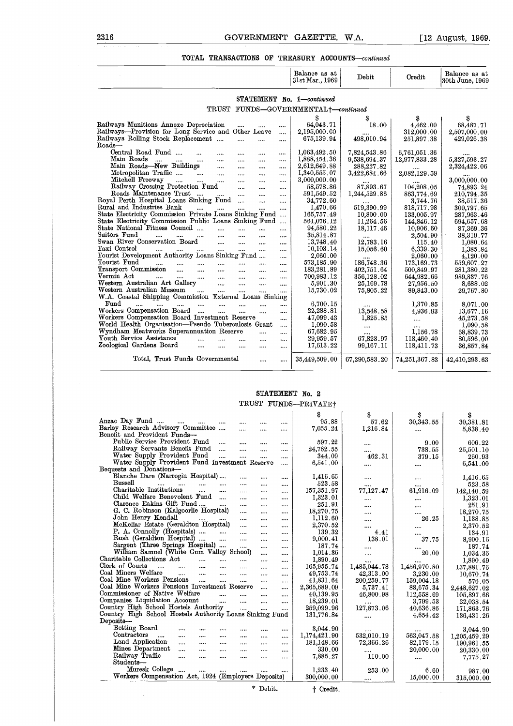#### **TOTAL TRANSACTIONS OF TREASURY ACCOUNTS-continued**

| 2316                                                                                                                                                          |                                              | <b>GOVERNMENT</b>        |                      | <b>GAZETTE.</b>                                   | W.A.          |                      | [12 August, 1969]                |
|---------------------------------------------------------------------------------------------------------------------------------------------------------------|----------------------------------------------|--------------------------|----------------------|---------------------------------------------------|---------------|----------------------|----------------------------------|
|                                                                                                                                                               |                                              |                          |                      | TOTAL TRANSACTIONS OF TREASURY ACCOUNTS-continued |               |                      |                                  |
|                                                                                                                                                               |                                              |                          |                      | Balance as at<br>31st Mar., 1969                  | Debit         | Credit               | Balance as at<br>30th June, 1969 |
|                                                                                                                                                               |                                              |                          |                      | STATEMENT No. 1—continued                         |               |                      |                                  |
|                                                                                                                                                               |                                              |                          |                      | TRUST FUNDS-GOVERNMENTAL+-continued               |               |                      |                                  |
|                                                                                                                                                               |                                              |                          |                      | s                                                 | S             | S                    | s                                |
| Railways Munitions Annexe Depreciation                                                                                                                        |                                              | $\cdots$                 | $\cdots$             | 64,043.71                                         | 18.00         | 4,462.00             | 68,487.71                        |
| Railways—Provision for Long Service and Other Leave                                                                                                           |                                              |                          |                      | 2,195,000.00                                      |               | 312,000.00           | 2,507,000.00                     |
| Railways Rolling Stock Replacement                                                                                                                            | $\cdots$                                     | $\cdots$                 | $\cdots$             | 675,139.94                                        | 498,010.94    | 251,897.38           | 429,026.38                       |
| Roads–                                                                                                                                                        |                                              |                          |                      |                                                   |               |                      |                                  |
| Central Road Fund<br>$\ddotsc$                                                                                                                                | $\cdots$<br>$\cdots$                         | $\cdots$                 | $\overline{1}$       | 1,063,492.50                                      | 7,824,543.86  | $6,\!761,\!051.36$   |                                  |
| Main Roads                                                                                                                                                    | $\cdots$<br>$\overline{a}$                   | $\overline{\phantom{a}}$ | $\cdots$             | 1,888,454.36                                      | 9,538,694.37  | 12,977,833.28        | 5,327,593.27                     |
| Main Roads—New Buildings                                                                                                                                      | $\sim$<br>$\cdots$                           | $\cdots$                 |                      | 2,612,649.88                                      | 288, 227.82   |                      | 2,324,422.06                     |
| Metropolitan Traffic<br>Mitchell Freeway                                                                                                                      | $\cdots$<br>$\cdots$                         | $\cdots$                 | $\cdots$             | 1,340,555.07<br>3,000,000.00                      | 3,422,684.66  | 2,082,129.59         |                                  |
| $\cdots$<br>Railway Crossing Protection Fund                                                                                                                  | $\cdots$                                     | <br>$\cdots$             | $\cdots$<br>$\cdots$ | 58,578.86                                         | 87,893.67     | 104,208.05           | 3,000,000.00<br>74,893.24        |
| Roads Maintenance Trust                                                                                                                                       | $\cdots$                                     | $\cdots$                 | $\cdots$             | 591,549.52                                        | 1,244,529.86  | 863,774.69           | 210,794.35                       |
| Royal Perth Hospital Loans Sinking Fund                                                                                                                       | $\ddotsc$                                    | $\ddotsc$                | $\cdots$             | 34,772.60                                         |               | 3,744.76             | 38,517.36                        |
| Rural and Industries Bank<br>$\cdots$                                                                                                                         |                                              |                          | $\cdots$             | 1,470.66                                          | 519,390.99    | 818,717.98           | 300,797.65                       |
| State Electricity Commission Private Loans Sinking Fund                                                                                                       |                                              |                          |                      | 165,757.49                                        | 10,800.00     | 133,005.97           | 287,963.46                       |
| State Electricity Commission Public Loans Sinking Fund                                                                                                        |                                              |                          |                      | 561,076.12                                        | 11,264.56     | 144,846.12           | 694,657.68                       |
| State National Fitness Council                                                                                                                                | $\cdots$                                     | $\cdots$                 | $\cdots$             | 94,580.22                                         | 18,117.46     | 10,906.60            | 87,369.36                        |
| Suitors Fund<br>$\cdots$<br>$\cdots$ . $\cdots$<br>Swan River Conservation Board                                                                              | $\cdots$<br>$\ddotsc$                        | $\cdots$                 |                      | $35,\!814.87$<br>13,748.40                        | 12,783.16     | 2,504.90             | 38,319.77                        |
| Taxi Control<br>                                                                                                                                              | $\cdots$<br>$\cdots$<br>$\cdots$<br>$\ldots$ | $\cdots$                 | $\cdots$<br>         | 10,103.14                                         | 15,056.60     | 115.40<br>6,339.30   | 1,080.64<br>1,385.84             |
| Tourist Development Authority Loans Sinking Fund                                                                                                              |                                              |                          | $\cdots$             | $2{,}060.00$                                      |               | 2,060.00             | 4,120.00                         |
| Tourist Fund<br>$\ldots$ $\ldots$<br>$\cdots$                                                                                                                 | $\cdots$<br>$\cdots$                         | $\cdots$                 |                      | 573,185.90                                        | 186,748.36    | 173,169.73           | 559,607.27                       |
| Transport Commission<br>$\sim$<br>$\cdots$                                                                                                                    | $\cdots$<br>$\cdots$                         | $\cdots$                 | $\cdots$             | 183,281.89                                        | 402,751.64    | 500,849.97           | 281,380.22                       |
| Vermin Act<br>$\cdots$<br>$\cdots$                                                                                                                            | $\cdots$<br>$\cdots$                         | $\cdots$                 | $\cdots$             | 700,983.12                                        | 356,128.02    | 644,982.66           | 989,837.76                       |
| Western Australian Art Gallery                                                                                                                                | $\cdots$<br>$\cdots$                         | $\cdots$                 |                      | 5,901.30                                          | 25,169.78     | 27,956.50            | 8,688.02                         |
| Western Australian Museum<br>$\cdots$                                                                                                                         | $\cdots$<br>$\cdots$                         | $\dddotsc$               | $\cdots$             | 15,730.02                                         | 75,805.22     | 89,843.00            | 29,767.80                        |
| W.A. Coastal Shipping Commission External Loans Sinking<br>$\operatorname*{Fund}% \left( X\right) \equiv\operatorname*{End}\left( X\right) , \label{eq-Ind}%$ |                                              |                          |                      | 6,700.15                                          |               |                      |                                  |
| $\cdots$<br>$\cdots$<br><br>Workers Compensation Board                                                                                                        | $\cdots$<br>$\cdots$<br>$\ddotsc$<br>        | $\cdots$                 | <br>$\cdots$         | 22,288.81                                         | 13,548.58     | 1,370.85<br>4,936.93 | 8,071.00<br>13,677.16            |
| Workers Compensation Board Investment Reserve                                                                                                                 |                                              |                          | $\cdots$             | 47,099.43                                         | 1,825.85      |                      | 45,273.58                        |
| World Health Organisation—Pseudo Tuberculosis Grant                                                                                                           |                                              |                          | $\cdots$             | 1,090.58                                          |               |                      | 1,090.58                         |
| Wyndham Meatworks Superannuation Reserve                                                                                                                      |                                              | $\cdots$                 | $\cdots$             | 67,682.95                                         |               | 1,156.78             | 68,839.73                        |
| Youth Service Assistance<br>$\ddotsc$                                                                                                                         | $\cdots$<br>$\cdots$                         | $\cdots$                 | $\cdots$             | 29,959.57                                         | 67,823.97     | 118,460.40           | 80,596.00                        |
| Zoological Gardens Board                                                                                                                                      |                                              | $\cdots$                 | $\cdots$             | 17,613.22                                         | 99,167.11     | 118,411.73           | 36,857.84                        |
| Total, Trust Funds Governmental                                                                                                                               |                                              | $\cdots$                 | $\cdots$             | 35,449,509.00                                     | 67,290,583.20 | 74,251,367.83        | 42,410,293.63                    |

#### **STATEMENT** No. 2 TRUST FUNDS-PRIVATEt

|                                                                     |              |           |           | STATEMENT No. 2      |                          |                  |                         |
|---------------------------------------------------------------------|--------------|-----------|-----------|----------------------|--------------------------|------------------|-------------------------|
|                                                                     |              |           |           | TRUST FUNDS-PRIVATE+ |                          |                  |                         |
|                                                                     |              |           |           | Ŝ                    | S                        | S                |                         |
| Anzac Day Fund<br>$\cdots$<br>$\cdots$                              |              |           |           | 95.88                | 57.62                    | 30,343.55        | \$<br>30,381.81         |
| Barley Research Advisory Committee                                  | <br>$\cdots$ |           |           | 7,055.24             | 1,216.84                 |                  | 5,838.40                |
| Benefit and Provident Funds-                                        |              |           |           |                      |                          | $\cdots$         |                         |
| Public Service Provident Fund<br>$\cdots$                           | $\cdots$     | $\cdots$  | $\cdots$  | 597.22               |                          | 9.00             | 606.22                  |
| Railway Servants Benefit Fund<br>$\ddotsc$                          |              | $\cdots$  |           | 24,762.55            | .                        | 738.55           | 25,501.10               |
| Water Supply Provident Fund<br>                                     |              |           | $\cdots$  | 344.09               | <br>462.31               | 379.15           | 260.93                  |
| Water Supply Provident Fund Investment Reserve                      |              |           |           | 6.541.00             |                          |                  | 6,541.00                |
| Bequests and Donations-                                             |              |           |           |                      |                          |                  |                         |
| Blanche Dare (Narrogin Hospital)                                    | $\cdots$     |           |           | 1,416.65             |                          |                  | 1,416.65                |
| Bussell<br><br>$\cdots$<br>                                         |              |           |           | 523.58               |                          |                  | 523.58                  |
| Charitable Institutions<br>$\cdots$<br>                             | $\cdots$     |           |           | 157,351.97           | <br>77,127.47            | <br>61,916.09    | 142,140.59              |
| Child Welfare Benevolent Fund                                       | $\cdots$     | $\cdots$  |           | 1,323.01             |                          |                  | 1,323.01                |
| Clarence Eakins Gift Fund                                           | $\cdots$     | $\cdots$  |           | 251.91               |                          |                  | 251.91                  |
| G. C. Robinson (Kalgoorlie Hospital)                                |              | $\cdots$  |           | 18,270.75            |                          |                  | 18,270.75               |
| John Henry Kendall<br>$\sim$ $\sim$                                 | $\cdots$     | $\cdots$  | $\cdots$  | 1,112.60             |                          | <br>26.25        | 1,138.85                |
| McKellar Estate (Geraldton Hospital)                                | $\cdots$     | $\cdots$  |           | 2,370.52             | $\cdots$                 |                  | 2,370.52                |
| P. A. Connolly (Hospitals)<br>$\cdots$                              |              |           |           | 139.32               | <br>4.41                 |                  | 134.91                  |
| Rush (Geraldton Hospital)<br>$\cdots$                               | $\ddotsc$    |           |           | 9,000.41             | 138.01                   | 37.75            | 8,900.15                |
| Sargent (Three Springs Hospital)                                    | $\cdots$     |           |           | 187.74               |                          |                  | 187.74                  |
| William Samuel (White Gum Valley School)                            |              | $\cdots$  |           | 1,014.36             | <br>$\cdots$             | 20.00            | 1.034.36                |
| Charitable Collections Act<br>$\cdots$<br>$\ddotsc$                 |              |           |           | 1,890.49             |                          |                  | 1,890.49                |
| Clerk of Courts<br>$\ddotsc$<br><br>$\cdots$                        | $\cdots$     |           | <br>      | 165,955.74           | $\cdots$<br>1,485,044.78 | <br>1,456,970.80 | 137,881.76              |
| Coal Miners Welfare<br>$\cdots$<br>$\ddot{\phantom{a}}$<br>$\cdots$ | $\cdots$     | 1.1.1     |           | 49,753.74            | 42,313.00                | 3.230.00         |                         |
| Coal Mine Workers Pensions<br>$\cdots$<br>$\cdots$                  |              | $\cdots$  |           | 41,831.64            | 200,259.77               | 159,004.18       | 10,670.74<br>576.05     |
| Coal Mine Workers Pensions Investment Reserve                       |              |           |           | 2,365,689.09         | 5,737.41                 | 88,675.34        | 2,448,627.02            |
| Commissioner of Native Welfare<br>$\cdots$                          |              |           | $\cdots$  | 40.139.95            | 46,800.98                | 112,558.69       |                         |
| Companies Liquidation Account<br>$\cdots$                           | $\cdots$     | $\ddotsc$ | $\ddotsc$ | 18,239.01            |                          | 3,799.53         | 105,897.66<br>22,038.54 |
| Country High School Hostels Authority                               | $\dddotsc$   | $\cdots$  |           | 259,099.96           | <br>127,873.06           | 40,636.86        | 171,863.76              |
| Country High School Hostels Authority Loans Sinking Fund            |              |           |           | 131,776.84           |                          | 4,654.42         | 136,431.26              |
| Deposits-                                                           |              |           |           |                      |                          |                  |                         |
| Betting Board<br>$\cdots$<br>$\overline{a}$                         | $\cdots$     | $\cdots$  |           | 3,044.90             |                          |                  |                         |
| Contractors<br>$\cdots$<br><br>$\cdots$<br>$\cdots$                 | $\cdots$     | $\cdots$  |           | 1,174,421.90         | 532,010.19               | <br>563,047.58   | 3.044.90                |
| Land Application<br>$\cdots$<br>$\cdots$<br>                        | $\cdots$     | $\cdots$  | <br>      | 181,148.66           | 72,366.26                | 82,179.15        | 1,205,459.29            |
| Mines Department<br>$\cdots$<br>$\cdots$<br>$\cdots$                | $\cdots$     |           |           | 330.00               |                          | 20,000.00        | 190,961.55              |
| Railway Traffic<br>$\cdots$<br>$\cdots$<br>                         | $\cdots$     |           | $\cdots$  | 7,885.27             | 110.00                   |                  | 20,330.00               |
| Students-                                                           |              |           |           |                      |                          |                  | 7,775.27                |
| Muresk College<br><br>                                              |              |           |           | 1,233.40             | 253.00                   | 6.60             |                         |
| Workers Compensation Act, 1924 (Employers Deposits)                 |              |           | $\cdots$  | 300,000.00           |                          | 15,000.00        | 987.00                  |
|                                                                     |              |           |           |                      |                          |                  | 315,000.00              |
|                                                                     |              | * Debit.  |           | † Credit.            |                          |                  |                         |
|                                                                     |              |           |           |                      |                          |                  |                         |
|                                                                     |              |           |           |                      |                          |                  |                         |
|                                                                     |              |           |           |                      |                          |                  |                         |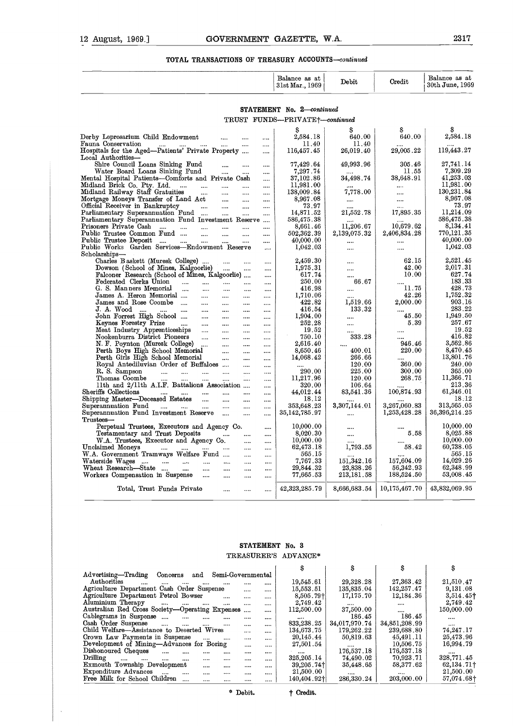| GOVERNMENT GAZETTE, W.A.<br>12 August, 1969.]                                                                                                                                                                                                                      |                                             |                        |                       | 2317                             |
|--------------------------------------------------------------------------------------------------------------------------------------------------------------------------------------------------------------------------------------------------------------------|---------------------------------------------|------------------------|-----------------------|----------------------------------|
| TOTAL TRANSACTIONS OF TREASURY ACCOUNTS-continued                                                                                                                                                                                                                  | Balance as at<br>31st Mar., 1969            | ${\bf D}$ ebit         | Credit                | Balance as at<br>30th June, 1969 |
|                                                                                                                                                                                                                                                                    |                                             |                        |                       |                                  |
|                                                                                                                                                                                                                                                                    | STATEMENT No. 2-continued                   |                        |                       |                                  |
|                                                                                                                                                                                                                                                                    | TRUST FUNDS-PRIVATE <sup>+</sup> -continued |                        |                       |                                  |
| Derby Leprosarium Child Endowment<br>$\cdots$                                                                                                                                                                                                                      | S<br>2,584.18                               | 640.00                 | 640.00                | S<br>2,584.18                    |
| Fauna Conservation<br><br>$\overline{\phantom{a}}$<br><br><br>Hospitals for the Aged-Patients' Private Property<br><br>Local Authorities-                                                                                                                          | 11.40<br>116,457.45                         | 11.40<br>$26,\!019.40$ | 29,005.22             | 119,443.27                       |
| Shire Council Loans Sinking Fund<br><br>$\cdots$<br>$\cdots$<br>Water Board Loans Sinking Fund                                                                                                                                                                     | 77,429.64                                   | 49,993.96              | 305.46<br>11.55       | 27,741.14<br>7,309.29            |
| <br><br>$\cdots$<br>Mental Hospital Patients---Comforts and Private Cash<br>$\ddotsc$                                                                                                                                                                              | 7,297.74<br>37,102.86                       | 34,498.74              | $38,\!648.91$         | 41,253.03                        |
| Midland Brick Co. Pty. Ltd.<br>$\cdots$<br>$\cdots$<br>$\cdots$<br>$\cdots$<br><br>Midland Railway Staff Gratuities<br>$\cdots$<br>$\cdots$<br>$\ddotsc$<br>                                                                                                       | 11,981.00<br>138,009.84                     | $\cdots$<br>7,778.00   | $\cdots$<br>          | 11,981.00<br>130,231.84          |
| Mortgage Moneys Transfer of Land Act<br>$\cdots$<br>$\cdots$                                                                                                                                                                                                       | 8,967.08                                    | $\cdots$               |                       | 8,967.08                         |
| Official Receiver in Bankruptcy<br><b>Section</b><br>$\cdots$<br>$\cdots$<br><br>Parliamentary Superannuation Fund<br>المتنازل<br>$\ddotsc$<br>                                                                                                                    | 73.97<br>14,871.52                          | 21,552.78              | $\cdots$<br>17,895.35 | 73.97<br>11,214.09               |
| Parliamentary Superannuation Fund Investment Reserve<br>$\cdots$<br>Prisoners Private Cash<br>$\cdots$<br>$\cdots$<br>$\cdots$<br>$\cdots$<br><br>                                                                                                                 | 586,475.38<br>8,661.46                      | 11,206.67              | 10,679.62             | 586,475.38<br>8,134.41           |
| Public Trustee Common Fund<br>$\cdots$<br><br>$\ddotsc$<br>                                                                                                                                                                                                        | 502,362.39                                  | $2,\!139,\!075.32$     | 2,406,834.28          | 770,121.35                       |
| Public Trustee Deposit<br>$\cdots$<br>$\cdots$<br>Public Works Garden Services-Endowment Reserve<br>$\cdots$<br>Scholarships-                                                                                                                                      | 40,000.00<br>1,042.03                       | <br>                   | <br>                  | 40,000.00<br>1,042.03            |
| Charles Baskett (Muresk College)<br>$\cdots$                                                                                                                                                                                                                       | 2,459.30                                    |                        | 62.15                 | 2,521.45                         |
| Dowson (School of Mines, Kalgoorlie)<br>$\cdots$<br>$\cdots$<br>$\cdots$<br>Falconer Research (School of Mines, Kalgoorlie)<br>$\cdots$                                                                                                                            | 1,975.31<br>617.74                          | $\cdots$<br>           | 42.00<br>10.00        | 2,017.31<br>627.74               |
| Federated Clerks Union<br>$\cdots$ $\cdots$ $\cdots$ $\cdots$<br>$\cdots$                                                                                                                                                                                          | 250.00                                      | 66.67                  |                       | 183.33                           |
| G. S. Manners Memorial<br>$\sim$ $\sim$<br>$\cdots$<br>$\cdots$<br>$\cdots$<br>$\cdots$<br>James A. Heron Memorial<br>$\cdots$<br>$\cdots$<br>$\cdots$<br>                                                                                                         | 416.98<br>1,710.06                          |                        | 11.75<br>42.26        | 428.73<br>1,752.32               |
| James and Rose Coombe<br>$\frac{1}{2}$ and $\frac{1}{2}$ are the contract of the contract of the contract of the contract of the contract of the contract of the contract of the contract of the contract of the contract of the contract of the contract of t<br> | 422.82                                      | 1,519.66               | 2,000.00              | 903.16                           |
| J. A. Wood<br>$\cdots$<br>$\cdots$<br>$\cdots$<br><br>John Forrest High School<br>$\cdots$<br><br><br>                                                                                                                                                             | 416.54<br>1,904.00                          | 133.32<br>             | <br>45.50             | $283\,.22$<br>1,949.50           |
| Keynes Forestry Prize<br>$\cdots$<br>$\cdots$<br><br><br>                                                                                                                                                                                                          | 252.28                                      |                        | 5.39                  | 257.67                           |
| Meat Industry Apprenticeships<br>$\cdots$<br><br><br><br>Nookenburra District Pioneers<br>$\cdots$<br><br><br>                                                                                                                                                     | 19.52<br>750.10                             | <br>333.28             | <br>                  | 19.52<br>416.82                  |
| N. F. Poynton (Muresk College)<br>$\cdots$<br>$\cdots$<br><br>                                                                                                                                                                                                     | 2,616.40                                    |                        | 946.46                | $3,\!562.86$                     |
| Perth Boys High School Memorial<br><br><br><br>Perth Girls High School Memorial<br>$\cdots$<br><br>                                                                                                                                                                | 8,650.46<br>14,068.42                       | 400.01<br>266.66       | 220.00<br>            | 8,470.45<br>13,801.76            |
| Royal Antediluvian Order of Buffaloes<br><br>                                                                                                                                                                                                                      |                                             | 120.00                 | 360.00                | 240.00                           |
| R. S. Sampson<br><br><br><br><br><br><br>Thomas Coombe<br><br><br><br><br>                                                                                                                                                                                         | 290.00<br>11,217.96                         | 225.00<br>120.00       | 300.00<br>268.75      | $365.00\,$<br>11,366.71          |
| <br>11th and 2/11th A.I.F. Battalions Association<br>                                                                                                                                                                                                              | 320.00                                      | 106.64                 |                       | 213.36                           |
| Sheriffs Collections<br>$\cdots$<br><br>$\cdots$<br><br><br><br>Shipping Master-Deceased Estates<br>$\cdots$<br>$\cdots$                                                                                                                                           | 44,012.44<br>18.12                          | 83,541.36              | 100,874.93            | 61,346.01<br>18.12               |
| <br><br>Superannuation Fund<br>$\cdots$<br><br><br>                                                                                                                                                                                                                | 353,648.23                                  | <br>3,307,144.01       | 3,267,060.83          | 313,565.05                       |
| Superannuation Fund Investment Reserve<br>$\dddotsc$<br><br><br>Trustees-                                                                                                                                                                                          | 35,142,785.97                               |                        | 1,253,428.28          | 36,396,214.25                    |
| Perpetual Trustees, Executors and Agency Co.<br>                                                                                                                                                                                                                   | 10,000.00                                   |                        |                       | 10,000.00                        |
| Testamentary and Trust Deposits<br>$\cdots$<br><br><br>W.A. Trustees, Executor and Agency Co.                                                                                                                                                                      | 8,020.30<br>10,000.00                       |                        | 5.58                  | 8,025.88<br>10,000.00            |
| <br><br>Unclaimed Moneys<br><br>$\cdots$<br>                                                                                                                                                                                                                       | 62,473.18                                   | <br>1,793.55           | 58.42                 | 60,738.05                        |
| W.A. Government Tramways Welfare Fund<br><br><br>Waterside Wages                                                                                                                                                                                                   | 565.15<br>7,767.33                          | 151,342.16             | 157,604.09            | 565.15<br>14,029.26              |
| $\cdots$<br>$\cdots$<br>$\cdots$<br><br><br><br>Wheat Research-State<br><br>$\cdots$<br><br><br>                                                                                                                                                                   | 29,844.32                                   | 23,838.26              | 56,342.93             | 62,348.99                        |
| Workers Compensation in Suspense<br>$\cdots$<br><br><br>                                                                                                                                                                                                           | 77,665.53                                   | 213,181.58             | 188,524.50            | 53,008.45                        |
| Total, Trust Funds Private<br><br><br>                                                                                                                                                                                                                             | 42,323,285.79                               | 8,666,683.54           | 10,175,467.70         | 43,832,069.95                    |

#### **STATEMENT** No. 3 TREASURER'S ADVANCE\*

| Wheat Research—State<br>$\cdots$<br>$\cdots$<br>Workers Compensation in Suspense<br>$\cdots$ |          |                   | <br>     | 29,844.32<br>77,665.53   | 23,838.26<br>213,181.58     | 56,342.93<br>188,524.50     | 62,348.99<br>53,008.45  |
|----------------------------------------------------------------------------------------------|----------|-------------------|----------|--------------------------|-----------------------------|-----------------------------|-------------------------|
| Total, Trust Funds Private                                                                   |          |                   |          | 42,323,285.79            | 8,666,683.54                | 10,175,467.70               | 43,832,069.95           |
|                                                                                              |          |                   |          |                          |                             |                             |                         |
|                                                                                              |          |                   |          |                          |                             |                             |                         |
|                                                                                              |          |                   |          | STATEMENT No. 3          |                             |                             |                         |
|                                                                                              |          |                   |          | TREASURER'S ADVANCE*     |                             |                             |                         |
|                                                                                              |          |                   |          | \$                       | \$                          | \$                          | \$                      |
| Advertising-Trading<br>Concerns<br>and                                                       |          | Semi-Governmental |          |                          |                             |                             |                         |
| Authorities                                                                                  |          |                   | $\cdots$ | 19,545.61                | 29,328.28                   | 27,363.42                   | 21,510.47               |
| Agriculture Department Cash Order Suspense                                                   |          |                   | $\cdots$ | 15,553.51                | 135,835.04                  | 142, 257.47                 | 9,131.08                |
| Agriculture Department Petrol Bowser                                                         | $\cdots$ | $\cdots$          |          | $8,505.79$ <sup>+</sup>  | 17,175.70                   | 12,184.36                   | $3,514.45$ <sup>†</sup> |
| Aluminium Therapy<br>$\cdots$<br>$\cdots$<br>$\cdots$                                        | $\cdots$ |                   |          | 2.749.42                 |                             |                             | 2,749.42                |
| Australian Red Cross Society-Operating Expenses<br>Cablegrams in Suspense                    |          | $\cdots$          |          | 112,500.00               | 37,500.00                   | <br>186.45                  | 150,000.00              |
| $\cdots$<br>$\cdots$<br>Cash Order Suspense                                                  | $\cdots$ |                   | $\cdots$ | $\cdots$                 | 186.45                      |                             |                         |
| $\cdots$<br>$\cdots$<br><br>Child Welfare-Assistance to Deserted Wives                       | $\cdots$ |                   |          | 833,238.25<br>134,673.75 | 34,017,970.74<br>179,262.22 | 34,851,208.99<br>239,688.80 | <br>74,247.17           |
| Crown Law Payments in Suspense                                                               |          | $\cdots$          |          | 20,145.44                | 50,819.63                   | 45,491.11                   | 25,473.96               |
| $\cdots$<br>Development of Mining-Advances for Boring                                        | $\cdots$ | $\cdots$          |          | 27,501.54                |                             | 10,506.75                   | 16,994.79               |
| Dishonoured Cheques<br>$\cdots$                                                              |          | $\cdots$          |          |                          | <br>176,537.18              | 176,537.18                  |                         |
| $\cdots$<br><br>Drilling                                                                     | $\cdots$ | $\cdots$          |          | $\cdots$<br>325, 205.14  | 74,490.02                   | 70,923.71                   | <br>328,771.45          |
| $\cdots$<br>$\cdots$<br>$\cdots$<br>$\cdots$<br><br>Exmouth Township Development             |          |                   |          | $39,205.74$ <sup>+</sup> | 35,448.65                   | 58,377.62                   | $62,134.71\dagger$      |
| $\cdots$<br>Expenditure Advances<br>$\cdots$<br>$\cdots$<br>                                 | <br>     |                   |          | 21,500.00                |                             |                             | $21,\!500.00$           |
| Free Milk for School Children<br>                                                            | $\cdots$ | <br>              | <br>     | 140,404.92†              | <br>286,330.24              | <br>$203,000$ . $00$        | 57,074.68†              |
|                                                                                              | ۰        | Debit.            |          | <sup>†</sup> Credit.     |                             |                             |                         |
|                                                                                              |          |                   |          |                          |                             |                             |                         |
|                                                                                              |          |                   |          |                          |                             |                             |                         |
|                                                                                              |          |                   |          |                          |                             |                             |                         |
|                                                                                              |          |                   |          |                          |                             |                             |                         |

 $\bar{\mathcal{A}}$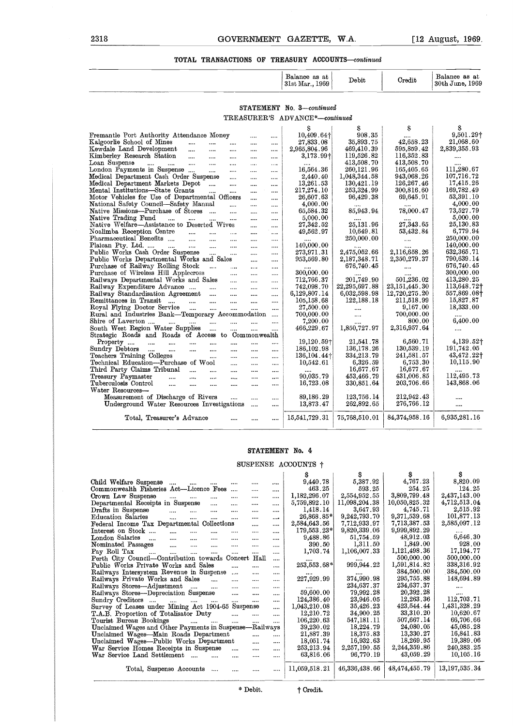| 2318                                                                                                               |                          | GOVERNMENT GAZETTE, W.A.         |                            |                          | $[12 \text{ August}, 1969]$      |
|--------------------------------------------------------------------------------------------------------------------|--------------------------|----------------------------------|----------------------------|--------------------------|----------------------------------|
| TOTAL TRANSACTIONS OF TREASURY ACCOUNTS—continued                                                                  |                          |                                  |                            |                          |                                  |
|                                                                                                                    |                          | Balance as at<br>31st Mar., 1969 | Debit                      | Credit                   | Balance as at<br>30th June, 1969 |
|                                                                                                                    |                          | STATEMENT No. 3-continued        |                            |                          |                                  |
|                                                                                                                    |                          | TREASURER'S ADVANCE*-continued   |                            |                          |                                  |
|                                                                                                                    |                          | Ŝ                                | S                          | \$                       | \$                               |
| Fremantle Port Authority Attendance Money                                                                          | $\cdots$<br>             | 10,409.64+                       | 908.35                     |                          | 9,501.29+                        |
| Kalgoorlie School of Mines<br>$\cdots$<br>$\cdots$<br>$\cdots$                                                     | <br>                     | 27,833.08                        | 35,893.75                  | 42.658.23                | 21,068.60                        |
| Kewdale Land Development<br>$\cdots$<br>$\cdots$<br>$\cdots$                                                       | $\cdots$<br>             | 2,965,804.96                     | 469,410.39                 | 595,859.42               | $2,\!839,\!355$ . $93$           |
| Kimberley Research Station<br>$\cdots$<br>$\cdots$<br>$\cdots$                                                     | $\cdots$<br>             | $3,173.99\dagger$                | 119,526.82                 | 116,352.83               |                                  |
| Loan Suspense<br>$\sim$ 1000 $\sim$<br>and the same<br>$\sim$ $\sim$<br>$\cdots$                                   | $\cdots$<br>$\cdots$     |                                  | 413,508.70                 | 413,508.70               |                                  |
| London Payments in Suspense<br>$\mathbf{m}$<br>$\cdots$<br>Medical Department Cash Order Suspense                  | $\cdots$<br>             | 16,564.36<br>2,440.40            | 260,121.96<br>1,048,344.58 | 165,405.65<br>943,068.26 | 111,280.67<br>107,716.72         |
| $\ldots$<br>Medical Department Markets Depot<br>$\cdots$                                                           | $\cdots$<br>$\cdots$     | 13,261.53                        | 130,421.19                 | 126, 267.46              | 17,415.26                        |
| Mental Institutions—State Grants<br>$\cdots$<br>$\cdots$                                                           | <br><br>$\cdots$<br>     | $217,\!274.10$                   | 253,324.99                 | 300, 816.60              | 169,782.49                       |
| Motor Vehicles for Use of Departmental Officers                                                                    | $\ddotsc$<br>            | 26,607.63                        | 96,429.38                  | 69,645.91                | 53,391.10                        |
| National Safety Council-Safety Manual<br>$\cdots$                                                                  | $\cdots$<br>             | 4,000.00                         |                            |                          | 4,000.00                         |
| Native Missions---Purchase of Stores<br>$\cdots$                                                                   | <br>                     | 65,584.32                        | 85,943.94                  | 78,000.47                | $73,\!527.79$                    |
| Native Trading Fund<br>$\cdots$<br>$\cdots$<br>$\cdots$<br>$\cdots$                                                | $\cdots$<br>             | 5,000.00                         |                            |                          | 5,000.00                         |
| Native Welfare—Assistance to Deserted Wives                                                                        | <br>                     | 27,342.52                        | 25,131.96                  | 27,343.65                | $25,\!130.83$                    |
| Noalimba Reception Centre<br>$\sim$ $\sim$ $\sim$<br>$\cdots$<br>$\sim 100$                                        | $\cdots$<br>$\cdots$     | 49,562.97                        | 10,649.81                  | 53,432.84                | 6,779.94                         |
| Pharmaceutical Benefits<br>$\cdots$<br>$\cdots$<br>Plaican Pty. Ltd.<br>$\sim$ 1000 $\sim$<br>$\cdots$<br>$\cdots$ | $\cdots$<br><br>$\cdots$ | 140,000.00                       | 250,000.00                 | $\cdots$                 | 250,000.00<br>140,000.00         |
| Public Works Cash Order Suspense<br>$\sim$ $\sim$ $\sim$<br>$\cdots$                                               | <br><br>                 | 273,971.31                       | $2,\!475,\!052$ . $66$     | 2,116,658.26             | 632,365.71                       |
| Public Works Departmental Works and Sales                                                                          | $\cdots$<br>             | 953,569.80                       | 2,187,348.71               | 2,350,279.37             | 790,639.14                       |
| Purchase of Railway Rolling Stock<br>$\mathbf{r}$<br>$\cdots$                                                      | $\ldots$<br>             |                                  | 676,740.45                 |                          | 676,740.45                       |
| Purchase of Wireless Hill Applecross<br>$\cdots$                                                                   | $\cdots$<br>             | 300,000.00                       |                            |                          | 300,000.00                       |
| Railways Departmental Works and Sales                                                                              | $\cdots$<br>             | 712,766.37                       | $201,\!749$ . $90$         | 501,236.02               | 413,280.25                       |
| Railway Expenditure Advance<br>$\cdots$<br>$\sim$ $\sim$                                                           | $\cdots$<br>             | 742,098.70                       | 22,295,697.88              | 23,151,445.30            | 113,648.72†                      |
| Railway Standardisation Agreement<br>$\cdots$<br>Remittances in Transit                                            | $\cdots$<br>             | 6,129,807.14<br>105,158.68       | 6,032,598.98<br>122,188.18 | 12,720,275.20            | 557,869.08†<br>15,827.87         |
| $\cdots$<br>$\cdots$<br>$\cdots$<br>Royal Flying Doctor Service                                                    | <br>                     | 27,500.00                        |                            | 211,518.99<br>9,167.00   | 18,333.00                        |
| $\cdots$<br>$\cdots$<br>$\cdots$<br>Rural and Industries Bank-Temporary Accommodation                              | $\cdots$<br>             | 700,000.00                       | <br>                       | 700,000.00               |                                  |
| Shire of Laverton<br>$\cdots$<br>$\cdots$<br><br>                                                                  | <br>                     | 7,200.00                         |                            | 800.00                   | 6,400.00                         |
| South West Region Water Supplies<br>$\cdots$<br>                                                                   | <br>                     | 466,229.67                       | 1,850,727.97               | 2,316,957.64             | $\cdots$                         |
| Strategic Roads and Roads of Access to Commonwealth                                                                |                          |                                  |                            |                          |                                  |
| $Property$<br>$\cdots$<br><br><br><br>                                                                             | <br>                     | $19,120.59$ <sup>+</sup>         | 21,541.78                  | 6,560.71                 | $4,139.52\dagger$                |
| Sundry Debtors<br>$\cdots$<br><br><br><br>                                                                         | <br>                     | 186, 102.98                      | 136,178.26                 | 130,539.19               | 191,742.05                       |
| Teachers Training Colleges<br>$\cdots$<br>                                                                         | <br>                     | 136,104.44+                      | 334,213.79                 | $241,\!581.57$           | 43,472.22†                       |
| Technical Education---Purchase of Wool<br>                                                                         | <br>                     | 10,542.61                        | 6,326.59                   | 6,753.30                 | 10,115.90                        |
| Third Party Claims Tribunal<br><br><br><br>Treasury Paymaster                                                      | <br>                     | $\cdots$<br>90,035.79            | 16,677.67<br>453,466.79    | 16,677.67<br>431,006.85  | <br>112,495.73                   |
| $\cdots$<br>$\cdots$<br><br>$\cdots$<br>Tuberculosis Control<br><br><br><br>                                       | <br><br><br>             | 16,723.08                        | 330,851.64                 | 203,706.66               | 143,868.06                       |
| Water Resources-                                                                                                   |                          |                                  |                            |                          |                                  |

#### **STATEMENT No. 4**

Measurement of Discharge of Rivers .... .... .... 89,186.29 123,756.14 212,942.43<br>
Underground Water Resources Investigations .... .... 13,873.47 262,892.65 276,766.12 Underground Water Resources Investigations .... 13,873.47 262,892.65 276,766.12

#### SUSPENSE ACCOUNTS  $\dagger$

| 100010010010 COMO101<br>Water Resources-                                                     |              |          |                        |                          |                          |                |
|----------------------------------------------------------------------------------------------|--------------|----------|------------------------|--------------------------|--------------------------|----------------|
| Measurement of Discharge of Rivers<br>$\cdots$<br>Underground Water Resources Investigations | <br>$\cdots$ |          | 89.186.29<br>13,873.47 | 123,756.14<br>262,892.65 | 212,942.43<br>276,766.12 |                |
|                                                                                              |              |          |                        |                          |                          |                |
| Total, Treasurer's Advance                                                                   |              |          | 15,541,729.31          | 75,768,510.01            | 84, 374, 958.16          | 6,935,281.16   |
|                                                                                              |              |          |                        |                          |                          |                |
|                                                                                              |              |          | STATEMENT No. 4        |                          |                          |                |
|                                                                                              |              |          | SUSPENSE ACCOUNTS †    |                          |                          |                |
|                                                                                              |              |          | s                      | s                        | S                        | s              |
| Child Welfare Suspense<br>$\cdots$<br><b>Section</b><br>$\cdots$<br>$\cdots$                 |              |          | 9,440.78               | 5,387.92                 | 4,767.23                 | 8,820.09       |
| Commonwealth Fisheries Act-Licence Fees                                                      | $\cdots$     |          | 463.25                 | 593.25                   | 254.25                   | 124.25         |
| Crown Law Suspense<br>$\cdots$<br>$\cdots$<br>$\cdots$<br>$\cdots$                           |              |          | 1,182,296.07           | 2,554,952.55             | 3,809,799.48             | 2,437,143.00   |
| Departmental Receipts in Suspense<br>$\cdots$<br>$\cdots$                                    | $\cdots$     |          | 5,759,892.10           | 11,098,204.38            | 10,050,825.32            | 4,712,513.04   |
| Drafts in Suspense<br>$\cdots$<br>$\cdots$<br>$\cdots$<br>$\cdots$                           |              |          | 1,418.14               | 3,647.93                 | 4,745.71                 | 2,515.92       |
| Education Salaries<br>$\cdots$<br>$\cdots$<br>$\cdots$<br>                                   |              | $\cdots$ | 26,868.85*             | 9,242,793.70             | 9,371,539.68             | 101,877.13     |
| Federal Income Tax Departmental Collections                                                  |              |          | 2,584,643.56           | 7,712,933.97             | 7,713,387.53             | 2,585,097.12   |
| Interest on Stock<br>التبيد<br>$\cdots$<br>$\cdots$                                          | $\cdots$     | $\cdots$ | 179,553.23*            | 9,820,339.06             | 9,999,892.29             |                |
| London Salaries<br>$\ldots$ and $\ldots$ and $\ldots$<br>$\cdots$<br>$\cdots$                |              |          | 9,488.86               | 51,754.59                | 48,912.03                | 6,646.30       |
| Nominated Passages<br>$\ldots$ .<br>$\cdots$                                                 | $\cdots$     |          | 390.50                 | 1,311.50                 | 1,849.00                 | 928.00         |
| Pay Roll Tax<br>$\cdots$<br>$\cdots$<br>and the state<br>                                    |              |          | 1,703.74               | 1,106,007.33             | 1,121,498.36             | 17,194.77      |
| Perth City Council-Contribution towards Concert Hall                                         |              |          |                        |                          | $500,\!000$ . $00$       | 500,000.00     |
| Public Works Private Works and Sales<br>                                                     |              |          | 253,553.68*            | 999,944.22               | 1,591,814.82             | 338,316.92     |
| Railways Intersystem Revenue in Suspense                                                     | $\cdots$     |          |                        |                          | 384,500.00               | 384,500.00     |
| Railways Private Works and Sales<br>$\ddotsc$                                                | $\cdots$     |          | 227,929.99             | 374,990.98               | 295,755.88               | 148,694.89     |
| Railways Stores-Adjustment<br>$\sim$<br>$\cdots$                                             | $\cdots$     |          |                        | 234,637.37               | 234,637.37               |                |
| Railways Stores-Depreciation Suspense<br>$\cdots$                                            | $\cdots$     |          | 59,600.00              | 79,992.28                | 20,392.28                | $\cdots$       |
| Sundry Creditors<br>                                                                         | $\cdots$     |          | 124,386.40             | 23,946.05                | 12,263.36                | 112,703.71     |
| Survey of Leases under Mining Act 1904-65 Suspense                                           |              |          | 1,043,210.08           | 35,426.23                | 423,544.44               | 1,431,328.29   |
| T.A.B. Proportion of Totalisator Duty<br>$\mathbf{1}$                                        | $\cdots$     |          | 12,210.72              | 34,900.25                | 33,310.20                | 10,620.67      |
| Tourist Bureau Bookings<br>$\cdots$                                                          |              |          | 106,220.63             | 547,181.11               | 507,667.14               | 66,706.66      |
| Unclaimed Wages and Other Payments in Suspense—Railways                                      |              |          | 39,230.02              | 18,224.79                | 24,080.05                | 45,085.28      |
| Unclaimed Wages-Main Roads Department                                                        | $\cdots$     |          | 21,887.39              | 18,375.83                | 13,330.27                | 16,841.83      |
| Unclaimed Wages-Public Works Department                                                      | $\cdots$     |          | 18,051.74              | 16,932.63                | 18,269.95                | 19,389.06      |
| War Service Homes Receipts in Suspense<br>$\cdots$                                           | $\ddotsc$    |          | 253,213.94             | 2,257,190.55             | 2,244,359.86             | $240.383\,.25$ |
| War Service Land Settlement<br>$\sim$<br>$\dddotsc$                                          | $\cdots$     |          | 63,816.06              | 96,770.19                | 43,059.29                | 10, 105.16     |
| Total, Suspense Accounts<br>$\cdots$                                                         |              |          | 11,059,518.21          | 46,336,438.66            | 48,474,455.79            | 13,197,535.34  |
|                                                                                              | * Debit.     |          | † Credit.              |                          |                          |                |
|                                                                                              |              |          |                        |                          |                          |                |
|                                                                                              |              |          |                        |                          |                          |                |
|                                                                                              |              |          |                        |                          |                          |                |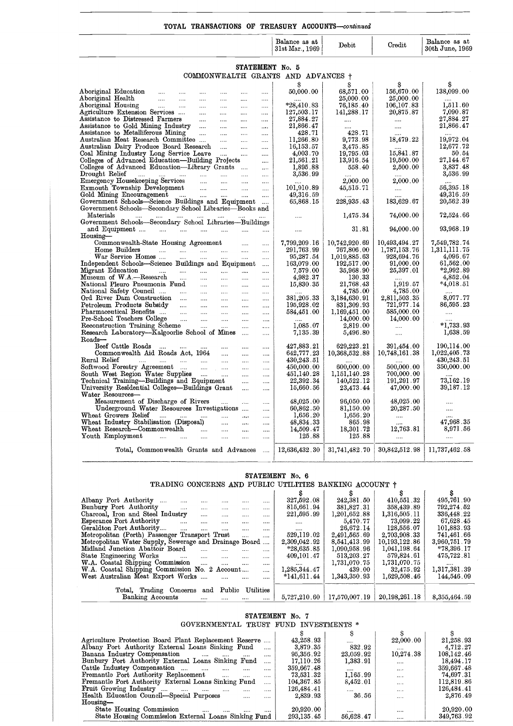#### **TOTAL TRANSACTIONS OF TREASURY ACCOUNTS—continued**

|                                                                                                               |                        |                      | Balance as at<br>31st Mar., 1969 | Debit                       | Credit                        | Balance as at<br>30th June, 1969 |  |  |  |  |
|---------------------------------------------------------------------------------------------------------------|------------------------|----------------------|----------------------------------|-----------------------------|-------------------------------|----------------------------------|--|--|--|--|
| STATEMENT No. 5                                                                                               |                        |                      |                                  |                             |                               |                                  |  |  |  |  |
| COMMONWEALTH GRANTS AND ADVANCES +                                                                            |                        |                      |                                  |                             |                               |                                  |  |  |  |  |
|                                                                                                               |                        |                      | Ŝ                                | я                           |                               | S                                |  |  |  |  |
| Aboriginal Education<br>$\mathbf{r}$<br>$\cdots$<br>$\cdots$<br>$\cdots$                                      | $\ddotsc$              | $\ddotsc$            | 50,000.00                        | 68,571.00                   | 156,670.00                    | 138,099.00                       |  |  |  |  |
| Aboriginal Health<br>$\mathcal{L} = \mathcal{L} \mathcal{L}$<br>$\cdots$<br>$\cdots$<br>$\cdots$              | $\cdots$               |                      |                                  | 25,000.00                   | 25,000.00                     |                                  |  |  |  |  |
| Aboriginal Housing<br>$\cdots$<br>$\cdots$                                                                    | $\cdots$               |                      | $*28,410.83$                     | 76,185.40                   | 106,107.83                    | 1,511.60                         |  |  |  |  |
| Agriculture Extension Services<br>$\sim$<br>$\cdots$<br>Assistance to Distressed Farmers                      | $\cdots$               |                      | 127,503.17<br>27,884.27          | 141,288.17                  | 20,875.87                     | 7,090.87<br>27,884.27            |  |  |  |  |
| $\cdots$<br>Assistance to Gold Mining Industry<br>$\cdots$                                                    | <br>$\cdots$           | <br>$\cdots$         | 21,866.47                        | $\cdots$<br>$\cdots$        | $\cdots$<br>$\cdots$          | 21,866.47                        |  |  |  |  |
| Assistance to Metalliferous Mining<br>$\sim$<br>$\cdots$                                                      | $\cdots$               |                      | 428.71                           | 428.71                      | $\cdots$                      |                                  |  |  |  |  |
| Australian Meat Research Committee<br>$\cdots$                                                                | $\cdots$               |                      | 11,266.80                        | 9,773.98                    | 18,479.22                     | 19,972.04                        |  |  |  |  |
| Australian Dairy Produce Board Research                                                                       | $\cdots$               | $\cdots$             | 16,153.57                        | 3,475.85                    |                               | 12,677.72                        |  |  |  |  |
| Coal Mining Industry Long Service Leave<br>$\sim$ 1000 $\sim$                                                 | $\cdots$               |                      | 4,003.70<br>21,561.21            | 19,795.03<br>13,916.54      | 15,841.87<br>19,500.00        | 50.54<br>27,144.67               |  |  |  |  |
| Colleges of Advanced Education-Building Projects<br>Colleges of Advanced Education-Library Grants             |                        | <br>                 | 1,895.88                         | 558.40                      | 2,500.00                      | 3,837.48                         |  |  |  |  |
| Drought Relief<br>المسامين السنادا السنا<br>$\ldots$<br>$\cdots$                                              | $\cdots$               |                      | 3,536.99                         |                             |                               | 3,536.99                         |  |  |  |  |
| Emergency Housekeeping Services<br>$\ldots$<br>$\sim$                                                         | $\ddotsc$              |                      |                                  | 2,000.00                    | 2,000.00                      |                                  |  |  |  |  |
| Exmouth Township Development<br>$\sim$<br>$\ldots$                                                            |                        | $\cdots$             | 101,910.89                       | 45,515.71                   | $\cdots$                      | 56,395.18                        |  |  |  |  |
| Gold Mining Encouragement<br>$\sim$ 100 $\sim$                                                                | $\mathbf{1}$           |                      | 49,316.59                        | 228,935.43                  |                               | 49,316.59                        |  |  |  |  |
| Government Schools-Science Buildings and Equipment<br>Government Schools-Secondary School Libraries-Books and |                        |                      | 65,868.15                        |                             | 183,629.67                    | 20,562.39                        |  |  |  |  |
| Materials<br>$\sim 10^{-10}$<br>$\cdots$<br><b>Section</b><br><b>Section</b>                                  |                        |                      | $\cdots$                         | 1,475.34                    | 74,000.00                     | 72,524.66                        |  |  |  |  |
| Government Schools-Secondary School Libraries-Buildings                                                       |                        |                      |                                  |                             |                               |                                  |  |  |  |  |
| and Equipment                                                                                                 | $\dddotsc$             |                      | $\cdots$                         | 31.81                       | 94,000.00                     | 93,968.19                        |  |  |  |  |
| Housing-                                                                                                      |                        |                      |                                  |                             |                               |                                  |  |  |  |  |
| Commonwealth-State Housing Agreement<br>Home Builders<br>المندار المندار                                      | $\cdots$               |                      | 7,799,209.16<br>291,763.99       | 10,742,920.69<br>767,806.00 | 10,493,494.27<br>1,787,153.76 | 7,549,782.74<br>1,311,111.75     |  |  |  |  |
| $\sim$ $\sim$ $\sim$<br>$\cdots$<br>War Service Homes<br>$\sim 100$<br>                                       | $\cdots$<br>$\cdots$   | $\cdots$<br>         | 95,287.54                        | 1,019,885.63                | 928,694.76                    | 4,096.67                         |  |  |  |  |
| Independent Schools-Science Buildings and Equipment                                                           |                        | $\cdots$             | 163,079.00                       | 192,517.00                  | 91,000.00                     | 61,562.00                        |  |  |  |  |
| Migrant Education<br><b><i>Committee State State</i></b><br>and the same<br>$\ldots$                          | $\dddotsc$             | $\cdots$             | 7,579.00                         | 35,968.90                   | 25,397.01                     | $*2,992.89$                      |  |  |  |  |
| Museum of W.A.-Research<br>$\sim$<br>$\sim$<br>$\cdots$                                                       | $\cdots$               | $\cdots$             | 4,982.37                         | 130.33                      |                               | 4,852.04                         |  |  |  |  |
| National Pleuro Pneumonia Fund<br><b>College</b><br><b>Section</b><br>National Safety Council                 | $\cdots$               | $\cdots$             | 15,830.35                        | 21,768.43<br>4,785.00       | 1,919.57<br>4,785.00          | *4,018.51                        |  |  |  |  |
| $\sim$ $\sim$<br>$\cdots$<br>Ord River Dam Construction<br>$\sim$ $\sim$<br>$\cdots$                          | $\cdots$<br>$\cdots$   | $\cdots$<br>$\cdots$ | 381,205.33                       | 3,184,630.91                | 2,811,503.35                  | 8,077.77                         |  |  |  |  |
| Petroleum Products Subsidy<br><b>College</b><br>$\sim$                                                        | $\sim$                 | $\cdots$             | 195,928.02                       | 831,309.93                  | 721,977.14                    | 86,595.23                        |  |  |  |  |
| Pharmaceutical Benefits<br>$\sim$<br>$\cdots$                                                                 | $\cdots$               |                      | 584,451.00                       | 1,169,451.00                | 585,000.00                    | $\sim$ $\sim$                    |  |  |  |  |
| Pre-School Teachers College<br>$\sim$<br>$\sim$<br>$\sim$                                                     | $\cdots$               | $\cdots$             |                                  | 14,000.00                   | 14,000.00                     | $\ddotsc$                        |  |  |  |  |
| Reconstruction Training Scheme<br>$\sim$<br>$\ldots$                                                          |                        | $\ldots$             | 1,085.07                         | 2,819.00                    | $\ldots$                      | $*1,733.93$                      |  |  |  |  |
| Research Laboratory-Kalgoorlie School of Mines<br>Roads-                                                      |                        |                      | 7.135.39                         | 5,496.80                    | $\cdots$                      | 1,638.59                         |  |  |  |  |
| Beef Cattle Roads<br>$\sim$<br>$\cdots$                                                                       |                        | $\cdots$             | 427,883.21                       | 629,223.21                  | 391,454.00                    | 190,114.00                       |  |  |  |  |
| Commonwealth Aid Roads Act, 1964<br>$\sim$                                                                    | $\cdots$               | $\cdots$             | 642,777.23                       | 10,368,532.88               | 10,748,161.38                 | 1,022,405.73                     |  |  |  |  |
| Rural Relief<br>التبين المتناء المتناء المتناء<br>$\sim$                                                      | $\cdots$               | $\ddotsc$            | 430,243.51                       |                             |                               | 430,243.51                       |  |  |  |  |
| Softwood Forestry Agreement<br>$\sim$ $\sim$                                                                  | $\sim$                 |                      | 450,000.00                       | 600,000.00                  | 500,000.00                    | 350,000.00                       |  |  |  |  |
| South West Region Water Supplies                                                                              | $\cdots$               | $\cdots$             | 451,140.28<br>22,392.34          | 1,151,140.28<br>140,522.12  | 700,000.00<br>191,291.97      | 73,162.19                        |  |  |  |  |
| Technical Training---Buildings and Equipment<br>University Residential Colleges---Buildings Grant             | $\cdots$<br>$\dddotsc$ | $\cdots$<br>$\cdots$ | 15,660.56                        | 23,473.44                   | 47,000.00                     | 39,187.12                        |  |  |  |  |
| Water Resources-                                                                                              |                        |                      |                                  |                             |                               |                                  |  |  |  |  |
| Measurement of Discharge of Rivers<br>$\cdots$                                                                | $\ddotsc$              |                      | 48,025.00                        | 96,050.00                   | 48,025.00                     | $\cdots$                         |  |  |  |  |
| Underground Water Resources Investigations                                                                    |                        | and a                | 60,862.50                        | 81,150.00                   | 20,287.50                     | $\cdots$                         |  |  |  |  |
| Wheat Growers Relief<br>التبين المتباد المتباد المتنا                                                         | $\ddotsc$              | $\cdots$             | 1,656.20                         | 1,656.20<br>865.98          | $\cdots$                      | 47,968.35                        |  |  |  |  |
| Wheat Industry Stabilisation (Disposal)<br>$\sim$<br>Wheat Research-Commonwealth<br>$\sim 100$<br>$\sim 100$  | $\dots$<br>$\cdots$    | $\cdots$<br>         | 48,834.33<br>14,509.47           | 18,301.72                   | $\cdots$<br>12,763.81         | 8,971.56                         |  |  |  |  |
| Youth Employment<br>$\ldots$ . $\ldots$<br>$\cdots$<br>$\cdots$                                               |                        |                      | 125.88                           | 125.88                      |                               | $\sim$ $\sim$                    |  |  |  |  |
| Total, Commonwealth Grants and Advances                                                                       |                        | $\cdots$             | 12,636,432.30                    | 31,741,482.70               | 30,842,512.98                 | 11,737,462.58                    |  |  |  |  |
|                                                                                                               |                        |                      |                                  |                             |                               |                                  |  |  |  |  |

| Total, Commonwealth Grants and Advances                                                         | 12,636,432.30   | 31,741,482.70 | 30,842,512.98 | 11,737,462.58 |  |  |  |  |  |  |
|-------------------------------------------------------------------------------------------------|-----------------|---------------|---------------|---------------|--|--|--|--|--|--|
| STATEMENT No. 6                                                                                 |                 |               |               |               |  |  |  |  |  |  |
| TRADING CONCERNS AND PUBLIC UTILITIES BANKING ACCOUNT †                                         |                 |               |               |               |  |  |  |  |  |  |
|                                                                                                 | S               | S             | S             | S             |  |  |  |  |  |  |
| Albany Port Authority<br><br>                                                                   | 327,592.08      | 242,381.50    | 410.551.32    | 495,761.90    |  |  |  |  |  |  |
| Bunbury Port Authority<br>$\cdots$                                                              | 815,661.94      | 381,827.31    | 358,439.89    | 792,274.52    |  |  |  |  |  |  |
| Charcoal, Iron and Steel Industry<br>$\cdots$<br>$\cdots$                                       | 221,595.99      | 1,201,652.88  | 1,316,505.11  | 336,448.22    |  |  |  |  |  |  |
| <b>Esperance Port Authority</b><br><b>Sales</b><br>$\mathbf{r}$<br>$\mathbf{r}$<br>$\cdots$<br> |                 | 5,470.77      | 73,099.22     | 67,628.45     |  |  |  |  |  |  |
| Geraldton Port Authority<br>$\cdots$<br>$\ddotsc$<br>$\cdots$<br>$\dddotsc$<br>                 |                 | 26,672.14     | 128,556.07    | 101,883.93    |  |  |  |  |  |  |
| Metropolitan (Perth) Passenger Transport Trust<br>$\sim$<br>                                    | 529,119.02      | 2,491,565.69  | 2,703,908.33  | 741,461.66    |  |  |  |  |  |  |
| Metropolitan Water Supply, Sewerage and Drainage Board<br>$\dddotsc$                            | 2,309,042.92    | 8,541,413.99  | 10,193,122.86 | 3,960,751.79  |  |  |  |  |  |  |
| Midland Junction Abattoir Board<br>$\cdots$<br>$\cdots$<br>$\cdots$<br>                         | $*28,635.85$    | 1,090,958.96  | 1.041.198.64  | $*78,396,17$  |  |  |  |  |  |  |
| State Engineering Works<br>$\mathbf{r}$<br>and the<br>$\cdots$<br>$\cdots$<br>                  | 409,101.47      | 513,203.27    | 579,824.61    | 475,722.81    |  |  |  |  |  |  |
| W.A. Coastal Shipping Commission<br><b>Continued States</b><br>المنتب<br>$\cdots$<br>           | $\cdots$        | 1,731,070.75  | 1,731,070.75  |               |  |  |  |  |  |  |
| W.A. Coastal Shipping Commission No. 2 Account<br>$\cdots$                                      | 1,285,344.47    | 439.00        | 32,475.92     | 1,317,381.39  |  |  |  |  |  |  |
| West Australian Meat Export Works<br>$\cdots$<br>                                               | $*141,611.44$   | 1,343,350.93  | 1,629,508.46  | 144,546.09    |  |  |  |  |  |  |
| Total, Trading Concerns and Public Utilities                                                    |                 |               |               |               |  |  |  |  |  |  |
| Banking Accounts<br>$\cdots$<br>                                                                | 5,727,210.60    | 17,570,007.19 | 20,198,261.18 | 8,355,464.59  |  |  |  |  |  |  |
|                                                                                                 |                 |               |               |               |  |  |  |  |  |  |
|                                                                                                 | STATEMENT No. 7 |               |               |               |  |  |  |  |  |  |
| GOVERNMENTAL TRUST FUND INVESTMENTS *                                                           |                 |               |               |               |  |  |  |  |  |  |
|                                                                                                 | S               | S             | s             | s             |  |  |  |  |  |  |
| Agriculture Protection Board Plant Replacement Reserve                                          | 43,258.93       |               | 22,000.00     | 21,258.93     |  |  |  |  |  |  |
| Albany Port Authority External Loans Sinking Fund<br>.                                          | 3,879.35        | 832.92        |               | 4,712.27      |  |  |  |  |  |  |
| Banana Industry Compensation<br>$\cdots$<br>$\cdots$<br>$\cdots$<br>                            | 95,356.92       | 23,059.92     | 10,274.38     | 108,142.46    |  |  |  |  |  |  |
| Bunbury Port Authority External Loans Sinking Fund                                              | 17,110.26       | 1,383.91      |               | 18,494.17     |  |  |  |  |  |  |
| Cattle Industry Compensation<br>$\sim$ $\sim$ $\sim$ $\sim$<br>$\cdots$ $\cdots$<br>$\cdots$    | 359,667.48      | $\cdots$      | $\cdots$      | 359,667.48    |  |  |  |  |  |  |
| Fremantle Port Authority Replacement<br>$\mathbf{r}$<br>$\cdots$<br>                            | 73,531.32       | 1,165.99      | $\cdots$      | 74,697.31     |  |  |  |  |  |  |
| Fremantle Port Authority External Loans Sinking Fund<br>$\cdots$                                | 104,367.85      | 8,452.01      | $\cdots$      | 112,819.86    |  |  |  |  |  |  |
| <b>Fruit Growing Industry</b><br>المتناد المتناد المسادات متنا<br>$\cdots$                      | 126,484.41      | $\cdots$      | $\cdots$      | 126,484.41    |  |  |  |  |  |  |

#### **STATEMENT No.** 7 GOVERNMENTAL TRUST FUND INVESTMENTS \*

| Public Utilities<br>Total, Trading Concerns and<br>20,198,261.18<br>Banking Accounts<br>17,570,007.19<br>5,727,210.60<br>$\cdots$<br>$\cdots$<br>$\cdots$<br>STATEMENT No. 7<br>TRUST FUND INVESTMENTS *<br><b>GOVERNMENTAL</b><br>s<br>S<br>s<br>Agriculture Protection Board Plant Replacement Reserve<br>22,000.00<br>43,258.93<br><br>Albany Port Authority External Loans Sinking Fund<br>3,879.35<br>832.92<br><br>10,274.38<br>Banana Industry Compensation<br>95,356.92<br>23,059.92<br><b>Sales Common</b><br><br><br><br>Bunbury Port Authority External Loans Sinking Fund<br>17,110.26<br>1,383.91<br>$\cdots$<br> | 8,355,464.59<br>S<br>21,258.93<br>4,712.27<br>108,142.46 |
|--------------------------------------------------------------------------------------------------------------------------------------------------------------------------------------------------------------------------------------------------------------------------------------------------------------------------------------------------------------------------------------------------------------------------------------------------------------------------------------------------------------------------------------------------------------------------------------------------------------------------------|----------------------------------------------------------|
|                                                                                                                                                                                                                                                                                                                                                                                                                                                                                                                                                                                                                                |                                                          |
|                                                                                                                                                                                                                                                                                                                                                                                                                                                                                                                                                                                                                                |                                                          |
|                                                                                                                                                                                                                                                                                                                                                                                                                                                                                                                                                                                                                                |                                                          |
|                                                                                                                                                                                                                                                                                                                                                                                                                                                                                                                                                                                                                                |                                                          |
|                                                                                                                                                                                                                                                                                                                                                                                                                                                                                                                                                                                                                                |                                                          |
|                                                                                                                                                                                                                                                                                                                                                                                                                                                                                                                                                                                                                                |                                                          |
|                                                                                                                                                                                                                                                                                                                                                                                                                                                                                                                                                                                                                                |                                                          |
|                                                                                                                                                                                                                                                                                                                                                                                                                                                                                                                                                                                                                                | 18,494.17                                                |
| Cattle Industry Compensation<br>359,667.48<br>$\cdots$<br><br><br>$\cdots$                                                                                                                                                                                                                                                                                                                                                                                                                                                                                                                                                     | 359,667.48                                               |
| Fremantle Port Authority Replacement<br>1,165.99<br>73,531.32<br>$\cdots$<br><br>                                                                                                                                                                                                                                                                                                                                                                                                                                                                                                                                              | 74,697.31                                                |
| Fremantle Port Authority External Loans Sinking Fund<br>104,367.85<br>8,452.01<br><br>                                                                                                                                                                                                                                                                                                                                                                                                                                                                                                                                         | 112,819.86                                               |
| <b>Fruit Growing Industry</b><br>126,484.41<br>$\sim$<br><br>                                                                                                                                                                                                                                                                                                                                                                                                                                                                                                                                                                  | 126,484.41                                               |
| Health Education Council—Special Purposes<br>36.56<br>2,839.93<br>$\cdots$<br><br>                                                                                                                                                                                                                                                                                                                                                                                                                                                                                                                                             | 2,876.49                                                 |
| Housing-                                                                                                                                                                                                                                                                                                                                                                                                                                                                                                                                                                                                                       |                                                          |
| State Housing Commission<br>20,920.00<br><b>SALE</b><br>$\cdots$<br>$\cdots$<br>1.111                                                                                                                                                                                                                                                                                                                                                                                                                                                                                                                                          | 20,920.00                                                |
| <br><br>State Housing Commission External Loans Sinking Fund<br>293,135.45<br>56,628.47                                                                                                                                                                                                                                                                                                                                                                                                                                                                                                                                        | 349,763.92                                               |
|                                                                                                                                                                                                                                                                                                                                                                                                                                                                                                                                                                                                                                |                                                          |
|                                                                                                                                                                                                                                                                                                                                                                                                                                                                                                                                                                                                                                |                                                          |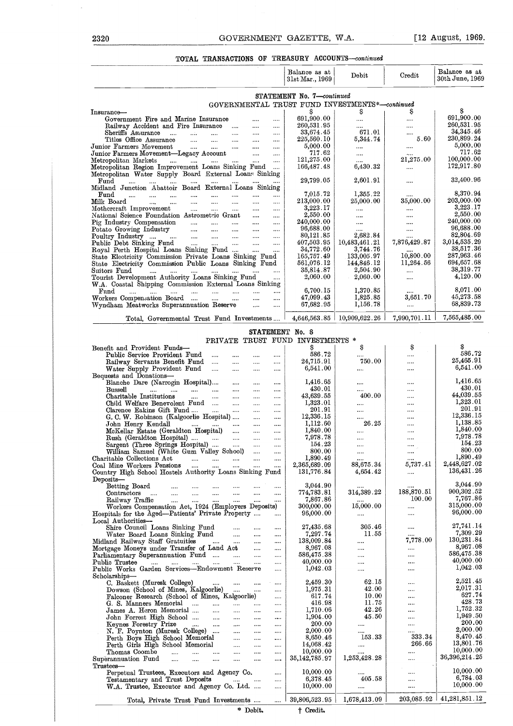# 2320 GOVERNMENT GAZETTE, W.A. [12 August, 1969.]<br>TOTAL TRANSACTIONS OF TREASURY ACCOUNTS—continued TOTAL TRANSACTIONS OF TREASURY ACCOUNTS-continued

|                                                                                                                                                                                                                 | Balance as at<br>31st Mar., 1969 | Debit                          | Credit                     | Balance as at<br>30th June, 1969               |
|-----------------------------------------------------------------------------------------------------------------------------------------------------------------------------------------------------------------|----------------------------------|--------------------------------|----------------------------|------------------------------------------------|
|                                                                                                                                                                                                                 | STATEMENT No. 7-continued        |                                |                            |                                                |
| GOVERNMENTAL TRUST FUND INVESTMENTS*-continued                                                                                                                                                                  |                                  |                                |                            | s                                              |
| Insurance-<br>Government Fire and Marine Insurance<br><br>$\cdots$                                                                                                                                              | s<br>691,900.00                  | s<br>                          | S<br>                      | 691,900.00                                     |
| Railway Accident and Fire Insurance<br>$\sim 100$<br>                                                                                                                                                           | 260,531.95                       |                                |                            | 260,531.95                                     |
| Sheriffs Assurance<br>$\ldots$<br>$\cdots$<br>$\sim 10^{-1}$<br>$\cdots$<br><br>Titles Office Assurance                                                                                                         | 33,674.45<br>$225{,}560.10$      | 671.01<br>5,344.74             | <br>5.60                   | 34,345.46<br>230,899.24                        |
| $\mathbf{1}$<br>$\cdots$<br>$\cdots$<br>$\cdots$<br><br>Junior Farmers Movement<br>$\sim 10^{-10}$ km $^{-1}$<br>$\cdots$<br>$\cdots$<br>$\ldots$                                                               | 5,000.00                         |                                |                            | 5,000.00                                       |
| Junior Farmers Movement-Legacy Account<br>$\cdots$<br>$\cdots$                                                                                                                                                  | 717.62                           |                                |                            | 717.62                                         |
| Metropolitan Markets<br>المسادات للمداد الملدان الملدان<br>$\mathbf{1}$<br>$\cdots$<br>Metropolitan Region Improvement Loans Sinking Fund<br>$\cdots$                                                           | 121,275.00<br>166,487.48         | <br>6,430.32                   | 21,275.00                  | 100,000.00<br>172,917.80                       |
| Metropolitan Water Supply Board External Loans Sinking                                                                                                                                                          |                                  |                                |                            |                                                |
| $\operatorname*{Fund}% \left( X\right) \equiv\operatorname*{End}\left( X\right) , \label{eq-Ind}%$<br>1.11<br><br>$\cdots$<br>$\cdots$                                                                          | 29,799.05                        | 2,601.91                       |                            | 32,400.96                                      |
| Midland Junction Abattoir Board External Loans Sinking<br>Fund<br>$\cdots$<br>$\cdots$<br><br><br>$\cdots$<br><br>                                                                                              | 7,015.72                         | 1,355.22                       |                            | 8,370.94                                       |
| Milk Board<br>$\cdots$<br>$\cdots$ $\cdots$<br>$\cdots$<br>$\cdots$<br><br>                                                                                                                                     | $213,\!000$ . $00$               | 25,000.00                      | $35,\!000.00$              | 203,000.00                                     |
| Mothercraft Improvement<br>$\cdots$<br>$\cdots$<br>$\cdots$<br>$\cdots$<br>                                                                                                                                     | 3,223.17                         |                                |                            | 3,223.17<br>2,550.00                           |
| National Science Foundation Astrometric Grant<br>$\cdots$<br><br>Pig Industry Compensation<br><b>Contract Contract</b><br>$\ldots$<br>$\cdots$<br>$\cdots$<br>$\cdots$                                          | 2,550.00<br>240,000.00           | <br>$\cdots$                   | <br>                       | 240,000.00                                     |
| Potato Growing Industry<br>$\ldots$<br>$\cdots$<br>$\cdots$                                                                                                                                                     | 96,688.00                        |                                |                            | 96,688.00                                      |
| Poultry Industry<br>and the company of the state of the<br>$\sim$<br>$\cdots$<br><br>Public Debt Sinking Fund<br>المستحدث المساري<br>$\cdots$<br>$\cdots$                                                       | 80,121.85<br>407,503.95          | 2,682.84<br>10,483,461.21      | <br>7,876,429.87           | 82,804.69<br>3,014,535.29                      |
| Royal Perth Hospital Loans Sinking Fund<br>$\mathbf{u}$<br>$\cdots$                                                                                                                                             | 34,772.60                        | 3,744.76                       |                            | 38.517.36                                      |
| State Electricity Commission Private Loans Sinking Fund                                                                                                                                                         | 165,757.49                       | 133,005.97                     | 10,800.00                  | 287,963.46                                     |
| State Electricity Commission Public Loans Sinking Fund<br>Suitors Fund<br>$\cdots$<br>                                                                                                                          | 561,076.12<br>35,814.87          | 144,846.12<br>2,504.90         | 11,264.56<br>$\cdots$      | 694,657.68<br>38,319.77                        |
| Tourist Development Authority Loans Sinking Fund<br>                                                                                                                                                            | 2,060.00                         | 2,060.00                       | $\cdots$                   | 4,120.00                                       |
| W.A. Coastal Shipping Commission External Loans Sinking                                                                                                                                                         | 6,700.15                         | 1,370.85                       |                            | 8,071.00                                       |
| Fund<br>$\cdots$<br>$\ldots$ . $\ldots$ .<br>$\cdots$<br>$\cdots$<br><br>$\cdots$<br>Workers Compensation Board<br>$\mathbf{1},\mathbf{1},\mathbf{1},\mathbf{1},\mathbf{1}$<br>$\cdots$<br>$\cdots$<br>$\cdots$ | 47,099.43                        | 1,825.85                       | $\cdots$<br>$3,651$ . $70$ | 45,273.58                                      |
| Wyndham Meatworks Superannuation Reserve<br>$\cdots$<br>                                                                                                                                                        | 67,682.95                        | 1,156.78                       |                            | 68,839.73                                      |
| Total, Governmental Trust Fund Investments                                                                                                                                                                      |                                  | $4,646,563.85$   10,909,622.26 | 7,990,701.11               | 7,565,485.00                                   |
|                                                                                                                                                                                                                 |                                  |                                |                            |                                                |
| STATEMENT No. 8                                                                                                                                                                                                 |                                  |                                |                            |                                                |
| PRIVATE TRUST FUND INVESTMENTS *                                                                                                                                                                                | S                                | S                              | \$                         |                                                |
| Benefit and Provident Funds-<br>Public Service Provident Fund<br>$\cdots$<br>$\cdots$<br>                                                                                                                       | 586.72                           |                                |                            | 586.72                                         |
| Railway Servants Benefit Fund<br>$\cdots$<br><br>$\cdots$                                                                                                                                                       | 24,715.91                        | 750.00                         |                            | 25,465.91                                      |
| Water Supply Provident Fund<br>$\sim$ $\sim$<br>$\cdots$<br>$\cdots$<br><br>Bequests and Donations-                                                                                                             | 6,541.00                         |                                | $\cdots$                   | 6,541.00                                       |
| Blanche Dare (Narrogin Hospital)<br>$\cdots$<br>$\cdots$<br>                                                                                                                                                    | 1,416.65                         |                                |                            | 1,416.65                                       |
| <b>Bussell</b><br><br>$\cdots$<br>$\cdots$<br>                                                                                                                                                                  | 430.01                           |                                | $\cdots$                   | 430.01<br>44,039.55                            |
| Charitable Institutions<br>$\cdots$<br>$\cdots$<br>$\cdots$<br>$\cdots$<br><br>Child Welfare Benevolent Fund<br>$\cdots$<br>$\cdots$<br>                                                                        | 43,639.55<br>1,323.01            | 400.00<br>                     | <br>                       | 1,323.01                                       |
| Clarence Eakins Gift Fund<br>$\sim$ $\sim$<br>$\cdots$<br>$\cdots$<br>                                                                                                                                          | 201.91                           |                                | $\cdots$                   | 201.91                                         |
| G. C. W. Robinson (Kalgoorlie Hospital)<br>$\cdots$<br>$\cdots$                                                                                                                                                 | 12,336.15<br>1,112.60            | <br>26.25                      |                            | 12,336.15<br>1,138.85                          |
| John Henry Kendall<br>$\cdots$<br>$\cdots$<br>McKellar Estate (Geraldton Hospital)<br>$\cdots$<br>$\cdots$                                                                                                      | 1,840.00                         |                                | <br>                       | 1,840.00                                       |
| Rush (Geraldton Hospital)<br>$\cdots$<br>$\cdots$                                                                                                                                                               | 7,978.78                         |                                |                            | 7,978.78                                       |
| Sargent (Three Springs Hospital)<br>$\sim$ $\sim$<br>$\cdots$<br>$\cdots$<br>William Samuel (White Gum Valley School)                                                                                           | 154.23<br>800.00                 |                                | <br>                       | 154.23<br>800.00                               |
| $\sim$ $\sim$<br>$\cdots$<br>Charitable Collections Act<br>                                                                                                                                                     | 1,890.49                         | <br>                           |                            | 1,890.49                                       |
| Coal Mine Workers Pensions<br>$\cdots$<br><br>                                                                                                                                                                  | 2,365,689.09                     | 88,675.34                      | 5,737.41                   | 2,448,627.02<br>136,431.26                     |
| Country High School Hostels Authority Loans Sinking Fund<br>Deposits-                                                                                                                                           | 131,776.84                       | 4,654.42                       |                            |                                                |
| Betting Board<br><br><br><br>                                                                                                                                                                                   | 3,044.90                         |                                |                            | 3,044.90                                       |
| Contractors<br>$\cdots$<br>$\cdots$<br><br><br><br><br><br>Railway Traffic                                                                                                                                      | 774,783.81<br>7,867.86           | $314,\!389$ . $22$             | 188,870.51<br>100.00       | $\hphantom{0,\!0}900,\!302$ . $52$<br>7,767.86 |
| $\cdots$<br><br><br><br><br><br>Workers Compensation Act, 1924 (Employers Deposits)                                                                                                                             | $300,\!000$ . $00$               | 15,000.00                      |                            | 315,000.00                                     |
| Hospitals for the Aged—Patients' Private Property<br>                                                                                                                                                           | 96,000.00                        |                                |                            | 96,000.00                                      |
| Local Authorities-<br>Shire Council Loans Sinking Fund<br>                                                                                                                                                      | 27,435.68                        | 305.46                         |                            | 27,741.14                                      |
| Water Board Loans Sinking Fund<br>$\cdots$<br><br>                                                                                                                                                              | 7,297.74                         | 11.55                          |                            | 7,309.29                                       |
| Midland Railway Staff Gratuities<br>$\sim 100$<br>$\cdots$<br>$\cdots$<br>                                                                                                                                      | 138,009.84<br>8,967.08           |                                | 7,778.00                   | 130,231.84<br>8,967.08                         |
| Mortgage Moneys under Transfer of Land Act<br>$\cdots$<br><br>Parliamentary Superannuation Fund<br>$\cdots$<br>$\cdots$<br>                                                                                     | 586,475.38                       | <br>                           | <br>                       | 586,475.38                                     |
| Public Trustee<br>المستنا المتنا<br><br>$\cdots$<br>$\cdots$<br>$\cdots$<br>                                                                                                                                    | 40,000.00                        |                                |                            | 40,000.00                                      |
| Public Works Garden Services-Endowment Reserve<br><br>Scholarships-                                                                                                                                             | 1,042.03                         |                                |                            | 1,042.03                                       |
| C. Baskett (Muresk College)<br>$\cdots$<br>$\cdots$<br>$\cdots$                                                                                                                                                 | 2,459.30                         | 62.15                          |                            | 2,521.45                                       |
| Dowson (School of Mines, Kalgoorlie)<br>$\cdots$<br>                                                                                                                                                            | 1,975.31                         | 42.00                          |                            | 2,017.31<br>627.74                             |
| Falconer Research (School of Mines, Kalgoorlie)<br><br>G. S. Manners Memorial<br>$\cdots$<br><br>$\cdots$<br>$\cdots$<br>                                                                                       | 617.74<br>416.98                 | 10.00<br>11.75                 | <br>                       | 428.73                                         |
| James A. Heron Memorial<br>$\cdots$<br>$\cdots$<br><br>                                                                                                                                                         | 1,710.06                         | 42.26                          |                            | 1,752.32                                       |
| John Forrest High School<br>$\cdots$<br>$\cdots$<br>$\cdots$<br>                                                                                                                                                | 1,904.00<br>200.00               | 45.50                          |                            | 1,949.50<br>200.00                             |
| Keynes Forestry Prize<br>$\sim 100$<br>$\cdots$<br>$\cdots$<br><br><br>N. F. Poynton (Muresk College)<br><br>$\cdots$<br>                                                                                       | 2,000.00                         |                                |                            | 2,000.00                                       |
| Perth Boys High School Memorial<br><br>$\cdots$<br>$\cdots$                                                                                                                                                     | 8,650.46                         | 153.33                         | 333.34                     | 8,470.45                                       |
| Perth Girls High School Memorial<br><br><br><br>Thomas Coombe<br>$\cdots$<br>                                                                                                                                   | 14,068.42<br>10,000.00           |                                | 266.66<br>                 | 13,801.76<br>10,000.00                         |
| <br>$\cdots$<br><br><br>Superannuation Fund<br><br><br><br><br><br>                                                                                                                                             | 35, 142, 785. 97                 | 1,253,428.28                   |                            | 36,396,214.25                                  |
| Thus <sub>tes</sub>                                                                                                                                                                                             |                                  |                                |                            | 10,000.00                                      |
| Perpetual Trustees, Executors and Agency Co.<br>$\cdots$<br>Testamentary and Trust Deposits<br><br>$\sim$ $\sim$<br>                                                                                            | 10,000.00<br>6,378.45            | 405.58                         | <br>$\cdots$               | 6,784.03                                       |
| W.A. Trustee, Executor and Agency Co. Ltd.<br>                                                                                                                                                                  | 10,000.00                        |                                |                            | 10,000.00                                      |
|                                                                                                                                                                                                                 |                                  |                                |                            |                                                |
| Total, Private Trust Fund Investments<br>$\cdots$                                                                                                                                                               | 39,806,523.95                    | 1,678,413.09                   |                            | $203,085.92 \pm 41,281,851.12$                 |
| * Debit.                                                                                                                                                                                                        | † Credit.                        |                                |                            |                                                |
|                                                                                                                                                                                                                 |                                  |                                |                            |                                                |
|                                                                                                                                                                                                                 |                                  |                                |                            |                                                |
|                                                                                                                                                                                                                 |                                  |                                |                            |                                                |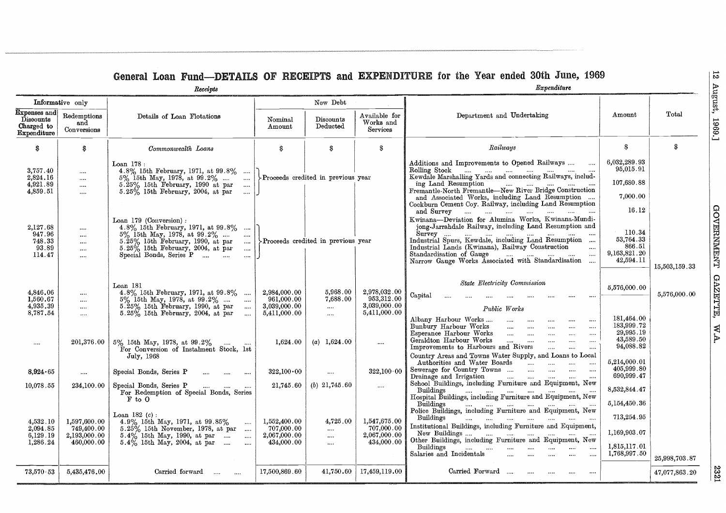|               |                                                              |                                                                                                                                                                                                                                                                                                                                                                                                     |                                                            | New Debt                                     |                                                            |                                                                                                                                                                                                                                                                     | Informative only                                         |                                                        |
|---------------|--------------------------------------------------------------|-----------------------------------------------------------------------------------------------------------------------------------------------------------------------------------------------------------------------------------------------------------------------------------------------------------------------------------------------------------------------------------------------------|------------------------------------------------------------|----------------------------------------------|------------------------------------------------------------|---------------------------------------------------------------------------------------------------------------------------------------------------------------------------------------------------------------------------------------------------------------------|----------------------------------------------------------|--------------------------------------------------------|
| Total         | Amount                                                       | Department and Undertaking                                                                                                                                                                                                                                                                                                                                                                          | Available for<br>Works and<br>Services                     | Discounts<br>Deducted                        | Nominal<br>Amount                                          | Details of Loan Flotations                                                                                                                                                                                                                                          | Redemptions<br>and<br>Conversions                        | Expenses and<br>Discounts<br>Charged to<br>Expenditure |
| S.            | S.                                                           | Railways                                                                                                                                                                                                                                                                                                                                                                                            | S                                                          | S                                            | S                                                          | Commonwealth Loans                                                                                                                                                                                                                                                  | \$                                                       | S                                                      |
|               | 6,032,289.93<br>95,015.91<br>107,680.88<br>7,000.00<br>16.12 | Additions and Improvements to Opened Railways<br>Kewdale Marshalling Yards and connecting Railways, includ-<br>ing Land Resumption<br>لمنافس المنتاب المستندر والمستندر<br>Fremantle-North Fremantle-New River Bridge Construction<br>and Associated Works, including Land Resumption<br>Cockburn Cement Coy. Railway, including Land Resumption<br>and Survey                                      |                                                            | >Proceeds credited in previous year          |                                                            | $\text{Loan } 178:$<br>4.8% 15th February, 1971, at 99.8%<br>$5\%$ 15th May, 1978, at 99.2%<br>$\cdots$<br>$5.25\%$ 15th February, 1990 at par<br>$\ldots$<br>$5.25\%$ 15th February, 2004, at par<br>$\cdots$                                                      | <br>$\cdots$<br>$\cdots$<br>                             | 3,757.40<br>2,824.16<br>4,921.89<br>4,859.51           |
| 15,503,159.33 | 110.34<br>53,764.33<br>866.51<br>9,163,821.20<br>42,594.11   | Kwinana-Deviation for Alumina Works, Kwinana-Mundi-<br>iong-Jarrahdale Railway, including Land Resumption and<br>$S$ urvev<br>المتناد المتناد المتناد المتناد المتناد المتناد<br>Industrial Spurs, Kewdale, including Land Resumption<br>Industrial Lands (Kwinana), Railway Construction<br>$\cdots$<br>Standardisation of Gauge<br>$\cdots$<br>Narrow Gauge Works Associated with Standardisation |                                                            | Proceeds credited in previous year           |                                                            | Loan 179 (Conversion):<br>4.8% 15th February, 1971, at 99.8%<br>$5\%$ 15th May, 1978, at 99.2%<br>$\cdots$<br>$5.25\%$ 15th February, 1990, at par<br>المنتب<br>$5.25\%$ 15th February, 2004, at par<br>$\sim$ $\sim$<br>Special Bonds, Series P<br>$\sim$ . $\sim$ | $\cdots$<br>$\cdots$<br><br><br>                         | 2,127.68<br>947.96<br>748.33<br>93.89<br>114.47        |
| 5,576,000.00  | 5,576,000.00<br>181,464.00                                   | <b>State Electricity Commission</b><br>$\rm Capital$<br>$\cdots$<br>$\cdots$<br>Public Works<br>Albany Harbour Works<br>$\ldots$<br>$\cdots$<br>$\cdots$                                                                                                                                                                                                                                            | 2,978,032.00<br>953,312.00<br>3,039,000.00<br>5,411,000.00 | 5,968.00<br>7,688.00<br>$\cdots$<br>$\cdots$ | 2,984,000.00<br>961,000.00<br>3,039,000.00<br>5,411,000.00 | Loan 181<br>4.8% 15th February, 1971, at 99.8%<br>$5\%$ 15th May, 1978, at 99.2%<br>$\cdots$<br>$5.25\%$ 15th February, 1990, at par<br>$\ldots$<br>$5.25\%$ 15th February, 2004, at par<br>$\sim$                                                                  | $\cdots$<br>$\cdots$<br>$\cdots$<br>$\cdots$             | 4,846.06<br>1,560.67<br>4,935.39<br>8,787.54           |
|               | 183,999.72<br>29,995.19<br>43,589.50<br>94,088.82            | Bunbury Harbour Works<br>$\ldots$<br>$\cdots$<br>$\cdots$<br>Esperance Harbour Works<br>$\cdots$<br>$\cdots$<br>$\cdots$<br>$\cdots$<br>$\cdots$<br>Geraldton Harbour Works<br>$\sim$ 1000 $\sim$<br>$\cdots$<br>$\cdots$<br>$\cdots$<br>$\cdots$<br>Improvements to Harbours and Rivers<br>$\cdots$<br>$\ldots$ .<br>Country Areas and Towns Water Supply, and Loans to Local                      | $\cdots$                                                   | (a) $1,624.00$                               | 1.624.00                                                   | $5\%$ 15th May, 1978, at 99.2%<br>For Conversion of Instalment Stock, 1st<br>July, 1968                                                                                                                                                                             | $201,\!376.00$                                           | $\cdots$                                               |
|               | 5,214,000.01<br>405,999.80                                   | Authorities and Water Boards<br>$\cdots$<br>$\ldots$<br>$\sim$<br>Sewerage for Country Towns<br>$\cdots$<br>$\cdots$<br>$\ldots$                                                                                                                                                                                                                                                                    | $322.100 \cdot 00$                                         | $\cdots$                                     | $322,100 \cdot 00$                                         | Special Bonds, Series P<br>$\ldots$ . $\ldots$ . $\ldots$                                                                                                                                                                                                           | $\cdots$                                                 | 8,924.65                                               |
|               | 690,999.47<br>8,532,844.47<br>5,154,450.36                   | Drainage and Irrigation<br>$\mathbf{r}$ and $\mathbf{r}$ and $\mathbf{r}$ and $\mathbf{r}$<br>$\cdots$<br>School Buildings, including Furniture and Equipment, New<br>Buildings<br>المنتاب المتنا المتنا المتنا المتنا<br>$\cdots$<br>Hospital Buildings, including Furniture and Equipment, New                                                                                                    | $\cdots$                                                   | (b) $21,745.60$                              | 21,745.60                                                  | Special Bonds, Series P<br>المتناول المتناول<br>For Redemption of Special Bonds, Series<br>$F$ to $O$                                                                                                                                                               | 234,100.00                                               | 10,078.55                                              |
|               | 713,254.95<br>1,169,903.07<br>1,815,117.01                   | Buildings<br>Police Buildings, including Furniture and Equipment, New<br>Buildings<br>Institutional Buildings, including Furniture and Equipment,<br>New Buildings<br>Other Buildings, including Furniture and Equipment, New<br>Buildings<br>$\cdots$<br>$\cdots$<br>$\cdots$                                                                                                                      | 1,547,675.00<br>707,000.00<br>2,067,000.00<br>434,000.00   | 4,725.00<br><br><br>$\cdots$                 | 1.552,400.00<br>707,000.00<br>2,067,000.00<br>434,000.00   | Loan 182 $(c)$ :<br>4.9% 15th May, 1971, at 99.85%<br>$\cdots$<br>$5.25\%$ 15th November, 1978, at par<br>$5.4\%$ 15th May, 1990, at par<br>$\ldots$<br>$5.4\%$ 15th May, 2004, at par<br>$\cdots$                                                                  | 1,597,600.00<br>749,400.00<br>2,193,000.00<br>460,000.00 | 4,532.10<br>2,094.85<br>6,129.19<br>1,286.24           |
| 25,998,703.87 | 1,768,997.50                                                 | Salaries and Incidentals<br>$\cdots$<br>$\cdots$<br>$\cdots$<br>$\cdots$<br>$\cdots$                                                                                                                                                                                                                                                                                                                |                                                            |                                              |                                                            |                                                                                                                                                                                                                                                                     |                                                          |                                                        |
| 47,077,863.20 |                                                              | Carried Forward<br>.<br>$\cdots$<br>$\cdots$                                                                                                                                                                                                                                                                                                                                                        | 17,459,119.00                                              | 41,750.60                                    | 17,500,869.60                                              | $Carried$ forward                                                                                                                                                                                                                                                   | 5,435,476.00                                             | 73,570.53                                              |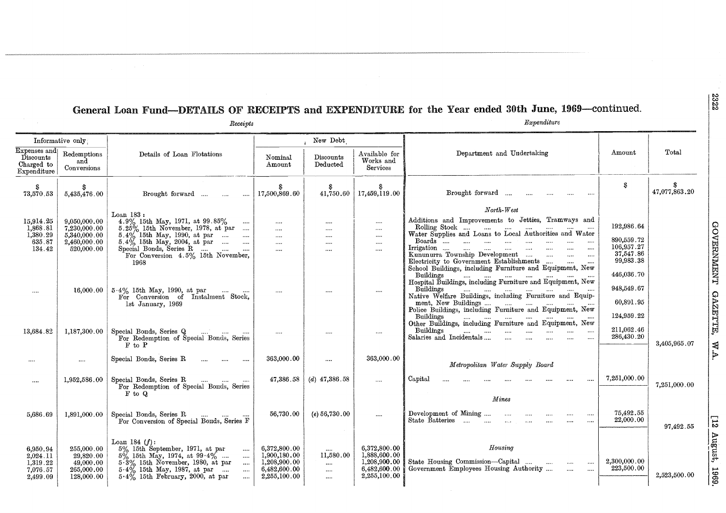#### **General Loan Fund—DETAILS OF RECEIPTS and EXPENDITURE for the Year ended 30th June, 1969—continued.**

|                                                          |                                                                  | Receipts                                                                                                                                                                                                                                                               |                                                                              |                                                   |                                                                              | General Loan Fund—DETAILS OF RECEIPTS and EXPENDITURE for the Year ended 30th June, 1969—continued.<br>Expenditure                                                                                |                                                                  |                     |
|----------------------------------------------------------|------------------------------------------------------------------|------------------------------------------------------------------------------------------------------------------------------------------------------------------------------------------------------------------------------------------------------------------------|------------------------------------------------------------------------------|---------------------------------------------------|------------------------------------------------------------------------------|---------------------------------------------------------------------------------------------------------------------------------------------------------------------------------------------------|------------------------------------------------------------------|---------------------|
|                                                          | Informative only                                                 |                                                                                                                                                                                                                                                                        |                                                                              | New Debt                                          |                                                                              |                                                                                                                                                                                                   |                                                                  |                     |
| Expenses and<br>Discounts<br>Charged to<br>Expenditure   | ${\bf Redemptions}$<br>and<br>Conversions                        | Details of Loan Flotations                                                                                                                                                                                                                                             | Nominal<br>Amount                                                            | Discounts<br>Deducted                             | Available for<br>Works and<br>Services                                       | Department and Undertaking                                                                                                                                                                        | Amount                                                           | Total               |
| S<br>73,570.53                                           | 5,435,476.00                                                     | Brought forward<br>$\cdots$                                                                                                                                                                                                                                            | S<br>17,500,869.60                                                           | S<br>41,750.60                                    | 17,459,119.00                                                                | Brought forward                                                                                                                                                                                   | S                                                                | -8<br>47,077,863.20 |
| 15,914.25<br>1,868.81<br>1,380.29                        | 9,050,000.00<br>7,230,000.00<br>5,340,000.00                     | Loan $183:$<br>4.9% 15th May, 1971, at 99.85%<br>5.25% 15th November, 1978, at par<br>$5.4\%$ 15th May, 1990, at par                                                                                                                                                   | $\ldots$<br>$\cdots$<br>$\ldots$ .                                           | $\cdots$<br>$\cdots$<br>$\cdots$                  | $\cdots$<br>$\cdots$<br>$\cdots$                                             | $North-West$<br>Additions and Improvements to Jetties, Tramways and<br>Rolling Stock<br>Water Supplies and Loans to Local Authorities and Water                                                   | 192,986.64                                                       |                     |
| 635.87<br>134.42                                         | 2,460,000.00<br>520,000.00                                       | 1968                                                                                                                                                                                                                                                                   | $\ldots$ .<br>$\ldots$ .                                                     | $\dots$<br>$\cdots$                               | $\cdots$<br>$\cdots$                                                         | Boards<br>$\sim$<br>$\cdots$<br>$\sim$<br>$\cdots$<br>$\sim 100$<br>$\cdots$<br>Electricity to Government Establishments<br>School Buildings, including Furniture and Equipment, New<br>Buildings | 890,559.72<br>106,957.27<br>37,547.86<br>99,983.38<br>446,036.70 |                     |
| $\cdots$                                                 | 16,000.00                                                        | $5.4\%$ 15th May, 1990, at par<br>For Conversion of Instalment Stock,<br>1st January, 1969                                                                                                                                                                             | $\cdots$                                                                     | $\cdots$                                          | $\cdots$                                                                     | Buildings<br>ment, New Buildings<br>Police Buildings, including Furniture and Equipment, New<br>Buildings<br>Other Buildings, including Furniture and Equipment, New                              | 948,549.67<br>60,891.95<br>124,959.22                            |                     |
| 13,684.82                                                | 1,187,300.00                                                     | Special Bonds, Series Q<br>For Redemption of Special Bonds, Series<br>F to P                                                                                                                                                                                           | $\cdots$                                                                     | $\cdots$                                          | $\cdots$                                                                     | Buildings<br>المنتسب المنتسب المنتسب المنتسب<br>$\cdots$<br>$\cdots$<br>$\cdots$<br>Salaries and Incidentals<br>$\cdots$<br>$\cdots$                                                              | 211,062.46<br>286,430.20                                         | 3,405,965.07        |
|                                                          | $\cdots$                                                         | Special Bonds, Series R<br>$\cdots$                                                                                                                                                                                                                                    | 363,000.00                                                                   |                                                   | 363,000.00                                                                   | Metropolitan Water Supply Board                                                                                                                                                                   |                                                                  |                     |
| $\cdots$                                                 | 1,952,586.00                                                     | Special Bonds, Series R<br>المنتفر المتنفير<br>For Redemption of Special Bonds, Series<br>F to Q                                                                                                                                                                       | 47,386.58                                                                    | $(d)$ 47,386.58                                   | $\cdots$                                                                     | Capital<br>Mines                                                                                                                                                                                  | 7,251,000.00                                                     | 7,251,000.00        |
| 5,686.69                                                 |                                                                  | $1,891,000.00$   Special Bonds, Series R<br>$\cdots$ $\cdots$<br>$\cdots$<br>For Conversion of Special Bonds, Series F                                                                                                                                                 | 56,730.00                                                                    | (e) 56,730.00                                     | $\cdots$                                                                     | Development of Mining<br>$\cdots$<br>State Batteries<br>$\cdots$<br>$\cdots$<br><br>$\cdots$                                                                                                      | 75,492.55<br>22,000.00                                           | 97,492.55           |
| 6,950.94<br>2,024.11<br>1,319.22<br>7,076.57<br>2,499.09 | 255,000.00<br>29,820.00<br>49,000.00<br>265,000.00<br>128,000.00 | Loan 184 $(f)$ :<br>5% 15th September, 1971, at par<br>$\cdots$<br>$5\%$ 15th May, 1974, at 99.4%<br>$\dots$ .<br>$5\frac{3}{8}$ 15th November, 1980, at par<br>$\cdots$<br>5.4% 15th May, 1987, at par<br>$\cdots$<br>$5.4\%$ 15th February, 2000, at par<br>$\cdots$ | 6,372,800.00<br>1,900,180.00<br>1,208,900.00<br>6,482,600.00<br>2,255,100.00 | <br>11,580.00<br>$\cdots$<br>$\cdots$<br>$\cdots$ | 6,372,800.00<br>1,888,600.00<br>1,208,900.00<br>6,482,600.00<br>2,255,100.00 | Housing<br>State Housing Commission-Capital<br>$\cdots$<br><br>$\cdots$<br>Government Employees Housing Authority<br>$\cdots$<br>$\cdots$                                                         | 2,300,000.00<br>223,500.00                                       | 2,523,500.00        |

2322